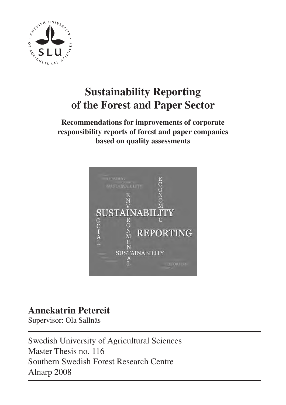

# **Sustainability Reporting of the Forest and Paper Sector**

## **Recommendations for improvements of corporate responsibility reports of forest and paper companies based on quality assessments**



## **Annekatrin Petereit**

Supervisor: Ola Sallnäs

Swedish University of Agricultural Sciences Master Thesis no. 116 Southern Swedish Forest Research Centre Alnarp 2008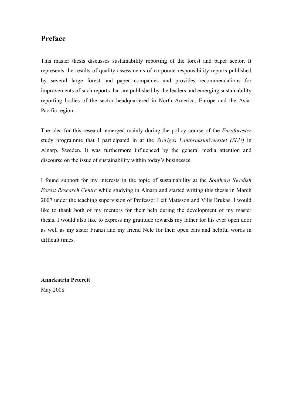## **Preface**

This master thesis discusses sustainability reporting of the forest and paper sector. It represents the results of quality assessments of corporate responsibility reports published by several large forest and paper companies and provides recommendations for improvements of such reports that are published by the leaders and emerging sustainability reporting bodies of the sector headquartered in North America, Europe and the Asia-Pacific region.

The idea for this research emerged mainly during the policy course of the *Euroforester*  study programme that I participated in at the *Sveriges Lantbruksuniversitet (SLU)* in Alnarp, Sweden. It was furthermore influenced by the general media attention and discourse on the issue of sustainability within today's businesses.

I found support for my interests in the topic of sustainability at the *Southern Swedish Forest Research Centre* while studying in Alnarp and started writing this thesis in March 2007 under the teaching supervision of Professor Leif Mattsson and Vilis Brukas. I would like to thank both of my mentors for their help during the development of my master thesis. I would also like to express my gratitude towards my father for his ever open door as well as my sister Franzi and my friend Nele for their open ears and helpful words in difficult times.

**Annekatrin Petereit**  May 2008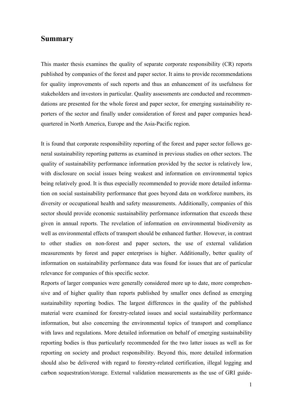### **Summary**

This master thesis examines the quality of separate corporate responsibility (CR) reports published by companies of the forest and paper sector. It aims to provide recommendations for quality improvements of such reports and thus an enhancement of its usefulness for stakeholders and investors in particular. Quality assessments are conducted and recommendations are presented for the whole forest and paper sector, for emerging sustainability reporters of the sector and finally under consideration of forest and paper companies headquartered in North America, Europe and the Asia-Pacific region.

It is found that corporate responsibility reporting of the forest and paper sector follows general sustainability reporting patterns as examined in previous studies on other sectors. The quality of sustainability performance information provided by the sector is relatively low, with disclosure on social issues being weakest and information on environmental topics being relatively good. It is thus especially recommended to provide more detailed information on social sustainability performance that goes beyond data on workforce numbers, its diversity or occupational health and safety measurements. Additionally, companies of this sector should provide economic sustainability performance information that exceeds these given in annual reports. The revelation of information on environmental biodiversity as well as environmental effects of transport should be enhanced further. However, in contrast to other studies on non-forest and paper sectors, the use of external validation measurements by forest and paper enterprises is higher. Additionally, better quality of information on sustainability performance data was found for issues that are of particular relevance for companies of this specific sector.

Reports of larger companies were generally considered more up to date, more comprehensive and of higher quality than reports published by smaller ones defined as emerging sustainability reporting bodies. The largest differences in the quality of the published material were examined for forestry-related issues and social sustainability performance information, but also concerning the environmental topics of transport and compliance with laws and regulations. More detailed information on behalf of emerging sustainability reporting bodies is thus particularly recommended for the two latter issues as well as for reporting on society and product responsibility. Beyond this, more detailed information should also be delivered with regard to forestry-related certification, illegal logging and carbon sequestration/storage. External validation measurements as the use of GRI guide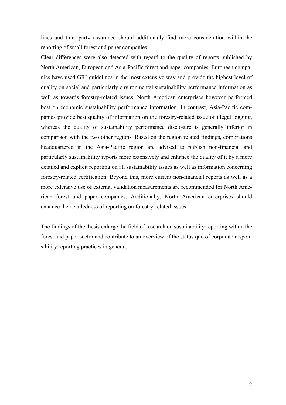lines and third-party assurance should additionally find more consideration within the reporting of small forest and paper companies.

Clear differences were also detected with regard to the quality of reports published by North American, European and Asia-Pacific forest and paper companies. European companies have used GRI guidelines in the most extensive way and provide the highest level of quality on social and particularly environmental sustainability performance information as well as towards forestry-related issues. North American enterprises however performed best on economic sustainability performance information. In contrast, Asia-Pacific companies provide best quality of information on the forestry-related issue of illegal logging, whereas the quality of sustainability performance disclosure is generally inferior in comparison with the two other regions. Based on the region related findings, corporations headquartered in the Asia-Pacific region are advised to publish non-financial and particularly sustainability reports more extensively and enhance the quality of it by a more detailed and explicit reporting on all sustainability issues as well as information concerning forestry-related certification. Beyond this, more current non-financial reports as well as a more extensive use of external validation measurements are recommended for North American forest and paper companies. Additionally, North American enterprises should enhance the detailedness of reporting on forestry-related issues.

The findings of the thesis enlarge the field of research on sustainability reporting within the forest and paper sector and contribute to an overview of the status quo of corporate responsibility reporting practices in general.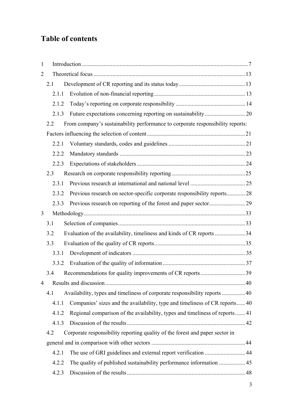## **Table of contents**

| $\mathbf{1}$   |       |                                                                                |    |
|----------------|-------|--------------------------------------------------------------------------------|----|
| $\overline{2}$ |       |                                                                                |    |
|                | 2.1   |                                                                                |    |
|                | 2.1.1 |                                                                                |    |
|                | 2.1.2 |                                                                                |    |
|                | 2.1.3 |                                                                                |    |
|                | 2.2   | From company's sustainability performance to corporate responsibility reports: |    |
|                |       |                                                                                |    |
|                | 2.2.1 |                                                                                |    |
|                | 2.2.2 |                                                                                |    |
|                | 2.2.3 |                                                                                |    |
|                | 2.3   |                                                                                |    |
|                | 2.3.1 |                                                                                |    |
|                | 2.3.2 | Previous research on sector-specific corporate responsibility reports 28       |    |
|                | 2.3.3 |                                                                                |    |
| 3              |       |                                                                                |    |
|                | 3.1   |                                                                                |    |
|                | 3.2   | Evaluation of the availability, timeliness and kinds of CR reports 34          |    |
|                | 3.3   |                                                                                |    |
|                | 3.3.1 |                                                                                |    |
|                | 3.3.2 |                                                                                |    |
|                | 34    | Recommendations for quality improvements of CR reports                         | 39 |
| 4              |       |                                                                                |    |
|                | 4.1   | Availability, types and timeliness of corporate responsibility reports  40     |    |
|                | 4.1.1 | Companies' sizes and the availability, type and timeliness of CR reports 40    |    |
|                | 4.1.2 | Regional comparison of the availability, types and timeliness of reports 41    |    |
|                | 4.1.3 |                                                                                |    |
|                | 4.2   | Corporate responsibility reporting quality of the forest and paper sector in   |    |
|                |       |                                                                                |    |
|                | 4.2.1 |                                                                                |    |
|                | 4.2.2 | The quality of published sustainability performance information  45            |    |
|                | 4.2.3 |                                                                                |    |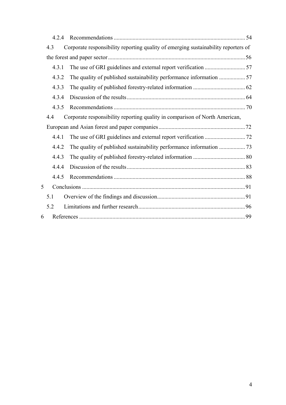|   | 4.2.4 |                                                                                    |  |
|---|-------|------------------------------------------------------------------------------------|--|
|   | 4.3   | Corporate responsibility reporting quality of emerging sustainability reporters of |  |
|   |       |                                                                                    |  |
|   | 4.3.1 |                                                                                    |  |
|   | 4.3.2 | The quality of published sustainability performance information  57                |  |
|   | 4.3.3 |                                                                                    |  |
|   | 4.3.4 |                                                                                    |  |
|   | 4.3.5 |                                                                                    |  |
|   | 4.4   | Corporate responsibility reporting quality in comparison of North American,        |  |
|   |       |                                                                                    |  |
|   | 4.4.1 |                                                                                    |  |
|   | 4.4.2 |                                                                                    |  |
|   | 4.4.3 |                                                                                    |  |
|   | 4.4.4 |                                                                                    |  |
|   | 4.4.5 |                                                                                    |  |
| 5 |       |                                                                                    |  |
|   | 5.1   |                                                                                    |  |
|   | 5.2   |                                                                                    |  |
| 6 |       |                                                                                    |  |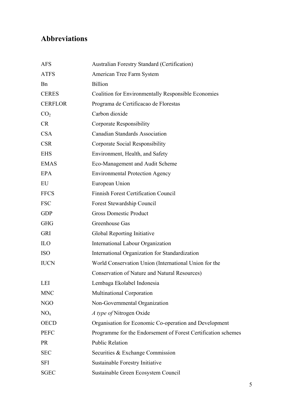## **Abbreviations**

| <b>AFS</b>      | Australian Forestry Standard (Certification)                  |
|-----------------|---------------------------------------------------------------|
| <b>ATFS</b>     | American Tree Farm System                                     |
| <b>B</b> n      | <b>Billion</b>                                                |
| <b>CERES</b>    | <b>Coalition for Environmentally Responsible Economies</b>    |
| <b>CERFLOR</b>  | Programa de Certificacao de Florestas                         |
| CO <sub>2</sub> | Carbon dioxide                                                |
| <b>CR</b>       | Corporate Responsibility                                      |
| <b>CSA</b>      | <b>Canadian Standards Association</b>                         |
| <b>CSR</b>      | Corporate Social Responsibility                               |
| <b>EHS</b>      | Environment, Health, and Safety                               |
| <b>EMAS</b>     | Eco-Management and Audit Scheme                               |
| <b>EPA</b>      | <b>Environmental Protection Agency</b>                        |
| EU              | European Union                                                |
| <b>FFCS</b>     | <b>Finnish Forest Certification Council</b>                   |
| <b>FSC</b>      | Forest Stewardship Council                                    |
| <b>GDP</b>      | <b>Gross Domestic Product</b>                                 |
| <b>GHG</b>      | Greenhouse Gas                                                |
| <b>GRI</b>      | Global Reporting Initiative                                   |
| <b>ILO</b>      | <b>International Labour Organization</b>                      |
| <b>ISO</b>      | International Organization for Standardization                |
| <b>IUCN</b>     | World Conservation Union (International Union for the         |
|                 | Conservation of Nature and Natural Resources)                 |
| LEI             | Lembaga Ekolabel Indonesia                                    |
| <b>MNC</b>      | Multinational Corporation                                     |
| <b>NGO</b>      | Non-Governmental Organization                                 |
| NO <sub>x</sub> | A type of Nitrogen Oxide                                      |
| <b>OECD</b>     | Organisation for Economic Co-operation and Development        |
| <b>PEFC</b>     | Programme for the Endorsement of Forest Certification schemes |
| <b>PR</b>       | <b>Public Relation</b>                                        |
| <b>SEC</b>      | Securities & Exchange Commission                              |
| <b>SFI</b>      | Sustainable Forestry Initiative                               |
| <b>SGEC</b>     | Sustainable Green Ecosystem Council                           |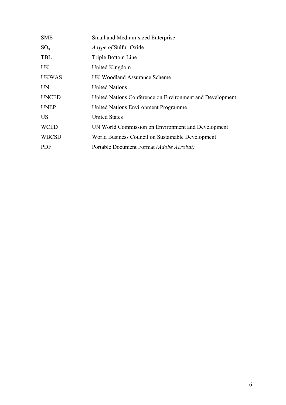| <b>SME</b>   | Small and Medium-sized Enterprise                        |
|--------------|----------------------------------------------------------|
| $SO_{x}$     | A type of Sulfur Oxide                                   |
| <b>TBL</b>   | Triple Bottom Line                                       |
| <b>UK</b>    | United Kingdom                                           |
| <b>UKWAS</b> | UK Woodland Assurance Scheme                             |
| <b>UN</b>    | <b>United Nations</b>                                    |
| <b>UNCED</b> | United Nations Conference on Environment and Development |
| <b>UNEP</b>  | United Nations Environment Programme                     |
| <b>US</b>    | <b>United States</b>                                     |
| <b>WCED</b>  | UN World Commission on Environment and Development       |
| <b>WBCSD</b> | World Business Council on Sustainable Development        |
| <b>PDF</b>   | Portable Document Format (Adobe Acrobat)                 |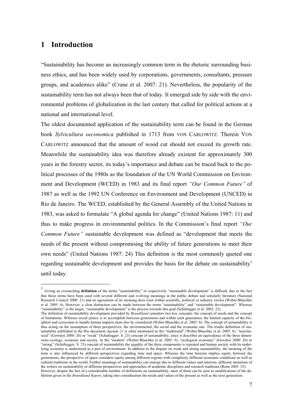## **1 Introduction**

 $\overline{a}$ 

"Sustainability has become an increasingly common term in the rhetoric surrounding business ethics, and has been widely used by corporations, governments, consultants, pressure groups, and academics alike" (Crane et al. 2007: 21). Nevertheless, the popularity of the sustainability term has not always been that of today. It emerged side by side with the environmental problems of globalization in the last century that called for political actions at a national and international level.

The oldest documented application of the sustainability term can be found in the German book *Sylvicultura oeconomica* published in 1713 from VON CARLOWITZ. Therein VON CARLOWITZ announced that the amount of wood cut should not exceed its growth rate. Meanwhile the sustainability idea was therefore already existent for approximately 300 years in the forestry sector, its today's importance and debate can be traced back to the political processes of the 1980s as the foundation of the UN World Commission on Environment and Development (WCED) in 1983 and its final report *"Our Common Future"* of 1987 as well as the 1992 UN Conference on Environment and Development (UNCED) in Rio de Janeiro. The WCED, established by the General Assembly of the United Nations in 1983, was asked to formulate "A global agenda for change" (United Nations 1987: 11) and thus to make progress in environmental politics. In the Commission's final report *"Our Common Future"* sustainable development was defined as "development that meets the needs of the present without compromising the ability of future generations to meet their own needs" (United Nations 1987: 24) This definition is the most commonly quoted one regarding sustainable development and provides the basis for the debate on sustainability<sup>1</sup> until today.

<sup>1</sup> Giving an overarching **definition** of the terms "sustainability" or respectively "sustainable development" is difficult, due to the fact that these terms have been used with several different and evolving meanings in the public debate and scholarly literature (National Research Council 2000: 21) and no agreement of its meaning does exist within scientific, political or industry circles (Weber-Blaschke et al. 2005: 6). However, a clear distinction can be made between the terms "sustainability" and "sustainable development": Whereas "sustainability" is the target, "sustainable development" is the process towards this goal (Schaltegger et al. 2003: 22).

The definition of sustainability development provided by *Brundtland* considers two key concepts: the concept of needs and the concept of limitations. Whereas social justice is to accomplish between generations and within each generation, the limited capacity of the biosphere and ecosystem to handle human impacts must also be considered (Weber-Blaschke et al. 2005: 8). The concept of sustainability is thus acting on the assumption of three perspectives: the environmental, the social and the economic one. The triadic definition of sustainability published in the Rio document *Agenda 21* is often mentioned as the "traditional" (Weber-Blaschke et al. 2005: 8), "neoclassical" (Gowdyn 2000: 26) or "weak" (Schaltegger: S. 23) concept of sustainability, since it describes an equivalence of the three dimensions ecology, economy and society. In the "modern" (Weber-Blaschke et al. 2005: 9), "ecological economic" (Gowdyn 2000: 26) or "strong" (Schaltegger: S. 23) concept of sustainability the equality of the three components is repeated and human society with its underlying economy is understood as a part of environment. In addition to the dispute on weak and strong sustainability, the meaning of the term is also influenced by different perspectives regarding time and space. Whereas the time horizon implies equity between the generations, the perspective of space considers equity among different regions with completely different economic conditions as well as cultural traditions in the world. Further meanings of sustainability can emerge due to different values and interests, different intentions of the writers on sustainability or different perspectives and approaches of academic disciplines and research traditions (Renn 2005: 25). However, despite the fact of a considerable number of definitions on sustainability, most of them can be seen as modifications of the definition given in the *Brundtland Report*, taking into consideration the needs and values of the present as well as the next generation.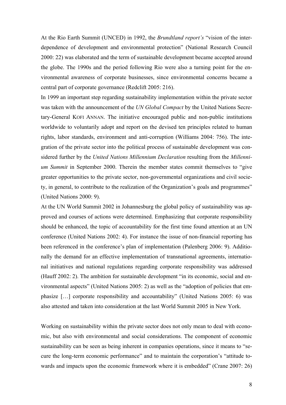At the Rio Earth Summit (UNCED) in 1992, the *Brundtland report's* "vision of the interdependence of development and environmental protection" (National Research Council 2000: 22) was elaborated and the term of sustainable development became accepted around the globe. The 1990s and the period following Rio were also a turning point for the environmental awareness of corporate businesses, since environmental concerns became a central part of corporate governance (Redclift 2005: 216).

In 1999 an important step regarding sustainability implementation within the private sector was taken with the announcement of the *UN Global Compact* by the United Nations Secretary-General KOFI ANNAN. The initiative encouraged public and non-public institutions worldwide to voluntarily adopt and report on the devised ten principles related to human rights, labor standards, environment and anti-corruption (Williams 2004: 756). The integration of the private sector into the political process of sustainable development was considered further by the *United Nations Millennium Declaration* resulting from the *Millennium Summit* in September 2000. Therein the member states commit themselves to "give greater opportunities to the private sector, non-governmental organizations and civil society, in general, to contribute to the realization of the Organization's goals and programmes" (United Nations 2000: 9).

At the UN World Summit 2002 in Johannesburg the global policy of sustainability was approved and courses of actions were determined. Emphasizing that corporate responsibility should be enhanced, the topic of accountability for the first time found attention at an UN conference (United Nations 2002: 4). For instance the issue of non-financial reporting has been referenced in the conference's plan of implementation (Palenberg 2006: 9). Additionally the demand for an effective implementation of transnational agreements, international initiatives and national regulations regarding corporate responsibility was addressed (Hauff 2002: 2). The ambition for sustainable development "in its economic, social and environmental aspects" (United Nations 2005: 2) as well as the "adoption of policies that emphasize […] corporate responsibility and accountability" (United Nations 2005: 6) was also attested and taken into consideration at the last World Summit 2005 in New York.

Working on sustainability within the private sector does not only mean to deal with economic, but also with environmental and social considerations. The component of economic sustainability can be seen as being inherent in companies operations, since it means to "secure the long-term economic performance" and to maintain the corporation's "attitude towards and impacts upon the economic framework where it is embedded" (Crane 2007: 26)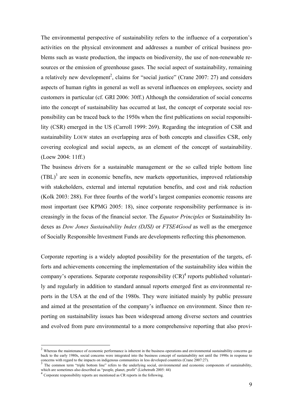The environmental perspective of sustainability refers to the influence of a corporation's activities on the physical environment and addresses a number of critical business problems such as waste production, the impacts on biodiversity, the use of non-renewable resources or the emission of greenhouse gases. The social aspect of sustainability, remaining a relatively new development<sup>2</sup>, claims for "social justice" (Crane 2007: 27) and considers aspects of human rights in general as well as several influences on employees, society and customers in particular (cf. GRI 2006: 30ff.) Although the consideration of social concerns into the concept of sustainability has occurred at last, the concept of corporate social responsibility can be traced back to the 1950s when the first publications on social responsibility (CSR) emerged in the US (Carroll 1999: 269). Regarding the integration of CSR and sustainability LOEW states an overlapping area of both concepts and classifies CSR, only covering ecological and social aspects, as an element of the concept of sustainability. (Loew 2004: 11ff.)

The business drivers for a sustainable management or the so called triple bottom line  $(TBL)^3$  are seen in economic benefits, new markets opportunities, improved relationship with stakeholders, external and internal reputation benefits, and cost and risk reduction (Kolk 2003: 288). For three fourths of the world's largest companies economic reasons are most important (see KPMG 2005: 18), since corporate responsibility performance is increasingly in the focus of the financial sector. The *Equator Principles* or Sustainability Indexes as *Dow Jones Sustainability Index (DJSI)* or *FTSE4Good* as well as the emergence of Socially Responsible Investment Funds are developments reflecting this phenomenon.

Corporate reporting is a widely adopted possibility for the presentation of the targets, efforts and achievements concerning the implementation of the sustainability idea within the company's operations. Separate corporate responsibility  $(CR)^4$  reports published voluntarily and regularly in addition to standard annual reports emerged first as environmental reports in the USA at the end of the 1980s. They were initiated mainly by public pressure and aimed at the presentation of the company's influence on environment. Since then reporting on sustainability issues has been widespread among diverse sectors and countries and evolved from pure environmental to a more comprehensive reporting that also provi-

 $2$  Whereas the maintenance of economic performance is inherent in the business operations and environmental sustainability concerns go back to the early 1980s, social concerns were integrated into the business concept of sustainability not until the 1990s in response to concerns with regard to the impacts on indigenous communities in less developed countr

The common term "triple bottom line" refers to the underlying social, environmental and economic components of sustainability, which are sometimes also described as "people, planet, profit" (Liebetruth 2005: 44)<br>
<sup>4</sup> Corporate responsibility reports are mentioned as CR reports in the following.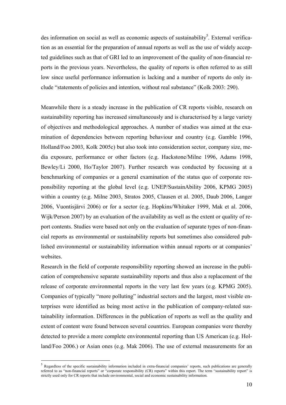des information on social as well as economic aspects of sustainability<sup>5</sup>. External verification as an essential for the preparation of annual reports as well as the use of widely accepted guidelines such as that of GRI led to an improvement of the quality of non-financial reports in the previous years. Nevertheless, the quality of reports is often referred to as still low since useful performance information is lacking and a number of reports do only include "statements of policies and intention, without real substance" (Kolk 2003: 290).

Meanwhile there is a steady increase in the publication of CR reports visible, research on sustainability reporting has increased simultaneously and is characterised by a large variety of objectives and methodological approaches. A number of studies was aimed at the examination of dependencies between reporting behaviour and country (e.g. Gamble 1996, Holland/Foo 2003, Kolk 2005c) but also took into consideration sector, company size, media exposure, performance or other factors (e.g. Hackstone/Milne 1996, Adams 1998, Bewley/Li 2000, Ho/Taylor 2007). Further research was conducted by focussing at a benchmarking of companies or a general examination of the status quo of corporate responsibility reporting at the global level (e.g. UNEP/SustainAbility 2006, KPMG 2005) within a country (e.g. Milne 2003, Stratos 2005, Clausen et al. 2005, Daub 2006, Langer 2006, Vuontisjärvi 2006) or for a sector (e.g. Hopkins/Whitaker 1999, Mak et al. 2006, Wijk/Person 2007) by an evaluation of the availability as well as the extent or quality of report contents. Studies were based not only on the evaluation of separate types of non-financial reports as environmental or sustainability reports but sometimes also considered published environmental or sustainability information within annual reports or at companies' websites

Research in the field of corporate responsibility reporting showed an increase in the publication of comprehensive separate sustainability reports and thus also a replacement of the release of corporate environmental reports in the very last few years (e.g. KPMG 2005). Companies of typically "more polluting" industrial sectors and the largest, most visible enterprises were identified as being most active in the publication of company-related sustainability information. Differences in the publication of reports as well as the quality and extent of content were found between several countries. European companies were thereby detected to provide a more complete environmental reporting than US American (e.g. Holland/Foo 2006.) or Asian ones (e.g. Mak 2006). The use of external measurements for an

<sup>5</sup> Regardless of the specific sustainability information included in extra-financial companies' reports, such publications are generally referred to as "non-financial reports" or "corporate responsibility (CR) reports" within this report. The term "sustainability report" is strictly used only for CR reports that include environmental, social and economic sustainability information.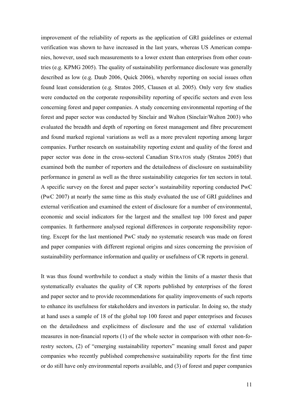improvement of the reliability of reports as the application of GRI guidelines or external verification was shown to have increased in the last years, whereas US American companies, however, used such measurements to a lower extent than enterprises from other countries (e.g. KPMG 2005). The quality of sustainability performance disclosure was generally described as low (e.g. Daub 2006, Quick 2006), whereby reporting on social issues often found least consideration (e.g. Stratos 2005, Clausen et al. 2005). Only very few studies were conducted on the corporate responsibility reporting of specific sectors and even less concerning forest and paper companies. A study concerning environmental reporting of the forest and paper sector was conducted by Sinclair and Walton (Sinclair/Walton 2003) who evaluated the breadth and depth of reporting on forest management and fibre procurement and found marked regional variations as well as a more prevalent reporting among larger companies. Further research on sustainability reporting extent and quality of the forest and paper sector was done in the cross-sectoral Canadian STRATOS study (Stratos 2005) that examined both the number of reporters and the detailedness of disclosure on sustainability performance in general as well as the three sustainability categories for ten sectors in total. A specific survey on the forest and paper sector's sustainability reporting conducted PwC (PwC 2007) at nearly the same time as this study evaluated the use of GRI guidelines and external verification and examined the extent of disclosure for a number of environmental, economic and social indicators for the largest and the smallest top 100 forest and paper companies. It furthermore analysed regional differences in corporate responsibility reporting. Except for the last mentioned PwC study no systematic research was made on forest and paper companies with different regional origins and sizes concerning the provision of sustainability performance information and quality or usefulness of CR reports in general.

It was thus found worthwhile to conduct a study within the limits of a master thesis that systematically evaluates the quality of CR reports published by enterprises of the forest and paper sector and to provide recommendations for quality improvements of such reports to enhance its usefulness for stakeholders and investors in particular. In doing so, the study at hand uses a sample of 18 of the global top 100 forest and paper enterprises and focuses on the detailedness and explicitness of disclosure and the use of external validation measures in non-financial reports (1) of the whole sector in comparison with other non-forestry sectors, (2) of "emerging sustainability reporters" meaning small forest and paper companies who recently published comprehensive sustainability reports for the first time or do still have only environmental reports available, and (3) of forest and paper companies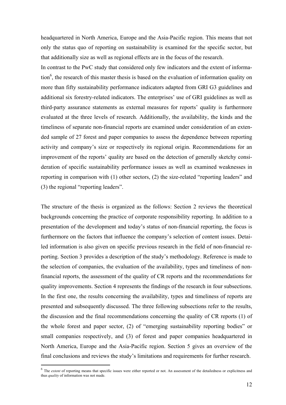headquartered in North America, Europe and the Asia-Pacific region. This means that not only the status quo of reporting on sustainability is examined for the specific sector, but that additionally size as well as regional effects are in the focus of the research.

In contrast to the PwC study that considered only few indicators and the extent of information<sup>6</sup>, the research of this master thesis is based on the evaluation of information quality on more than fifty sustainability performance indicators adapted from GRI G3 guidelines and additional six forestry-related indicators. The enterprises' use of GRI guidelines as well as third-party assurance statements as external measures for reports' quality is furthermore evaluated at the three levels of research. Additionally, the availability, the kinds and the timeliness of separate non-financial reports are examined under consideration of an extended sample of 27 forest and paper companies to assess the dependence between reporting activity and company's size or respectively its regional origin. Recommendations for an improvement of the reports' quality are based on the detection of generally sketchy consideration of specific sustainability performance issues as well as examined weaknesses in reporting in comparison with (1) other sectors, (2) the size-related "reporting leaders" and (3) the regional "reporting leaders".

The structure of the thesis is organized as the follows: Section 2 reviews the theoretical backgrounds concerning the practice of corporate responsibility reporting. In addition to a presentation of the development and today's status of non-financial reporting, the focus is furthermore on the factors that influence the company's selection of content issues. Detailed information is also given on specific previous research in the field of non-financial reporting. Section 3 provides a description of the study's methodology. Reference is made to the selection of companies, the evaluation of the availability, types and timeliness of nonfinancial reports, the assessment of the quality of CR reports and the recommendations for quality improvements. Section 4 represents the findings of the research in four subsections. In the first one, the results concerning the availability, types and timeliness of reports are presented and subsequently discussed. The three following subsections refer to the results, the discussion and the final recommendations concerning the quality of CR reports (1) of the whole forest and paper sector, (2) of "emerging sustainability reporting bodies" or small companies respectively, and (3) of forest and paper companies headquartered in North America, Europe and the Asia-Pacific region. Section 5 gives an overview of the final conclusions and reviews the study's limitations and requirements for further research.

<sup>&</sup>lt;sup>6</sup> The *extent* of reporting means that specific issues were either reported or not. An assessment of the detailedness or explicitness and thus *quality* of information was not made.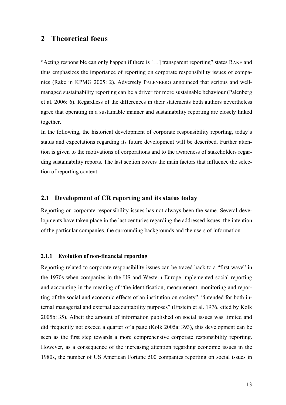### **2 Theoretical focus**

"Acting responsible can only happen if there is […] transparent reporting" states RAKE and thus emphasizes the importance of reporting on corporate responsibility issues of companies (Rake in KPMG 2005: 2). Adversely PALENBERG announced that serious and wellmanaged sustainability reporting can be a driver for more sustainable behaviour (Palenberg et al. 2006: 6). Regardless of the differences in their statements both authors nevertheless agree that operating in a sustainable manner and sustainability reporting are closely linked together.

In the following, the historical development of corporate responsibility reporting, today's status and expectations regarding its future development will be described. Further attention is given to the motivations of corporations and to the awareness of stakeholders regarding sustainability reports. The last section covers the main factors that influence the selection of reporting content.

#### **2.1 Development of CR reporting and its status today**

Reporting on corporate responsibility issues has not always been the same. Several developments have taken place in the last centuries regarding the addressed issues, the intention of the particular companies, the surrounding backgrounds and the users of information.

#### **2.1.1 Evolution of non-financial reporting**

Reporting related to corporate responsibility issues can be traced back to a "first wave" in the 1970s when companies in the US and Western Europe implemented social reporting and accounting in the meaning of "the identification, measurement, monitoring and reporting of the social and economic effects of an institution on society", "intended for both internal managerial and external accountability purposes" (Epstein et al. 1976, cited by Kolk 2005b: 35). Albeit the amount of information published on social issues was limited and did frequently not exceed a quarter of a page (Kolk 2005a: 393), this development can be seen as the first step towards a more comprehensive corporate responsibility reporting. However, as a consequence of the increasing attention regarding economic issues in the 1980s, the number of US American Fortune 500 companies reporting on social issues in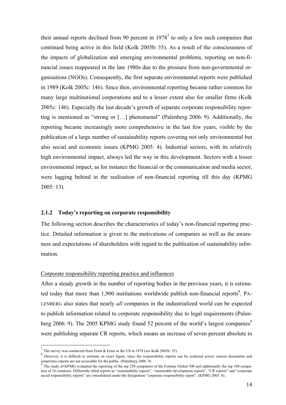their annual reports declined from 90 percent in  $1978<sup>7</sup>$  to only a few such companies that continued being active in this field (Kolk 2005b: 35). As a result of the consciousness of the impacts of globalization and emerging environmental problems, reporting on non-financial issues reappeared in the late 1980s due to the pressure from non-governmental organisations (NGOs). Consequently, the first separate environmental reports were published in 1989 (Kolk 2005c: 146). Since then, environmental reporting became rather common for many large multinational corporations and to a lesser extent also for smaller firms (Kolk 2005c: 146). Especially the last decade's growth of separate corporate responsibility reporting is mentioned as "strong or […] phenomenal" (Palenberg 2006: 9). Additionally, the reporting became increasingly more comprehensive in the last few years, visible by the publication of a large number of sustainability reports covering not only environmental but also social and economic issues (KPMG 2005: 4). Industrial sectors, with its relatively high environmental impact, always led the way in this development. Sectors with a lesser environmental impact, as for instance the financial or the communication and media sector, were lagging behind in the realisation of non-financial reporting till this day (KPMG 2005: 13).

#### **2.1.2 Today's reporting on corporate responsibility**

The following section describes the characteristics of today's non-financial reporting practice. Detailed information is given to the motivations of companies as well as the awareness and expectations of shareholders with regard to the publication of sustainability information.

#### Corporate responsibility reporting practice and influences

After a steady growth in the number of reporting bodies in the previous years, it is estimated today that more than 1,900 institutions worldwide publish non-financial reports $\delta$ . PA-LENBERG also states that nearly *all* companies in the industrialized world can be expected to publish information related to corporate responsibility due to legal requirements (Palenberg 2006: 9). The 2005 KPMG study found 52 percent of the world's largest companies<sup>9</sup> were publishing separate CR reports, which means an increase of seven percent absolute in

 $^7$  The survey was conducted from Ernst & Ernst in the US in 1978 (see Kolk 2005b: 35).

<sup>&</sup>lt;sup>8</sup> However, it is difficult to estimate an exact figure, since the responsibility reports can be scattered across various documents and

sometimes reports are not accessible for the public. (Palenberg 2006: 9)<br><sup>9</sup> The study of KPMG evaluated the reporting of the top 250 companies of the Fortune Global 500 and additionally the top 100 companies of 16 countries. Differently titled reports as "sustainability reports", "sustainable development reports", "CR reports" and "corporate social responsibility reports" are consolidated under the designation "corporate responsibility report". (KPMG 2005: 6).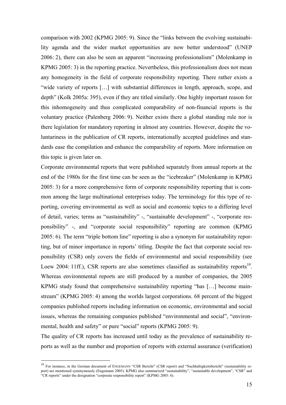comparison with 2002 (KPMG 2005: 9). Since the "links between the evolving sustainability agenda and the wider market opportunities are now better understood" (UNEP 2006: 2), there can also be seen an apparent "increasing professionalism" (Molenkamp in KPMG 2005: 3) in the reporting practice. Nevertheless, this professionalism does not mean any homogeneity in the field of corporate responsibility reporting. There rather exists a "wide variety of reports […] with substantial differences in length, approach, scope, and depth" (Kolk 2005a: 395), even if they are titled similarly. One highly important reason for this inhomogeneity and thus complicated comparability of non-financial reports is the voluntary practice (Palenberg 2006: 9). Neither exists there a global standing rule nor is there legislation for mandatory reporting in almost any countries. However, despite the voluntariness in the publication of CR reports, internationally accepted guidelines and standards ease the compilation and enhance the comparability of reports. More information on this topic is given later on.

Corporate environmental reports that were published separately from annual reports at the end of the 1980s for the first time can be seen as the "icebreaker" (Molenkamp in KPMG 2005: 3) for a more comprehensive form of corporate responsibility reporting that is common among the large multinational enterprises today. The terminology for this type of reporting, covering environmental as well as social and economic topics to a differing level of detail, varies; terms as "sustainability" -, "sustainable development" -, "corporate responsibility" -, and "corporate social responsibility" reporting are common (KPMG 2005: 6). The term "triple bottom line" reporting is also a synonym for sustainability reporting, but of minor importance in reports' titling. Despite the fact that corporate social responsibility (CSR) only covers the fields of environmental and social responsibility (see Loew 2004: 11ff.), CSR reports are also sometimes classified as sustainability reports<sup>10</sup>. Whereas environmental reports are still produced by a number of companies, the 2005 KPMG study found that comprehensive sustainability reporting "has […] become mainstream" (KPMG 2005: 4) among the worlds largest corporations. 68 percent of the biggest companies published reports including information on economic, environmental and social issues, whereas the remaining companies published "environmental and social", "environmental, health and safety" or pure "social" reports (KPMG 2005: 9).

The quality of CR reports has increased until today as the prevalence of sustainability reports as well as the number and proportion of reports with external assurance (verification)

<sup>&</sup>lt;sup>10</sup> For instance, in the German document of ENGEMANN "CSR Bericht" (CSR report) and "Nachhaltigkeitsbericht" (sustainability report) are mentioned synonymously (Engemann 2005). KPMG also summarized "sustainability", "sustainable development", "CSR" and "CR reports" under the designation "corporate responsibility report" (KPMG 2005: 6).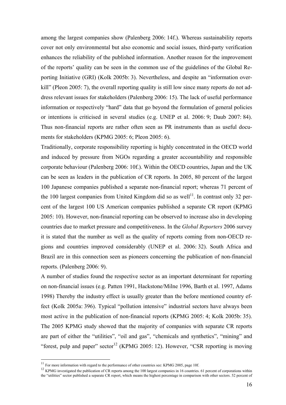among the largest companies show (Palenberg 2006: 14f.). Whereas sustainability reports cover not only environmental but also economic and social issues, third-party verification enhances the reliability of the published information. Another reason for the improvement of the reports' quality can be seen in the common use of the guidelines of the Global Reporting Initiative (GRI) (Kolk 2005b: 3). Nevertheless, and despite an "information overkill" (Pleon 2005: 7), the overall reporting quality is still low since many reports do not address relevant issues for stakeholders (Palenberg 2006: 15). The lack of useful performance information or respectively "hard" data that go beyond the formulation of general policies or intentions is criticised in several studies (e.g. UNEP et al. 2006: 9; Daub 2007: 84). Thus non-financial reports are rather often seen as PR instruments than as useful documents for stakeholders (KPMG 2005: 6; Pleon 2005: 6).

Traditionally, corporate responsibility reporting is highly concentrated in the OECD world and induced by pressure from NGOs regarding a greater accountability and responsible corporate behaviour (Palenberg 2006: 10f.). Within the OECD countries, Japan and the UK can be seen as leaders in the publication of CR reports. In 2005, 80 percent of the largest 100 Japanese companies published a separate non-financial report; whereas 71 percent of the 100 largest companies from United Kingdom did so as well<sup>11</sup>. In contrast only 32 percent of the largest 100 US American companies published a separate CR report (KPMG 2005: 10). However, non-financial reporting can be observed to increase also in developing countries due to market pressure and competitiveness. In the *Global Reporters* 2006 survey it is stated that the number as well as the quality of reports coming from non-OECD regions and countries improved considerably (UNEP et al. 2006: 32). South Africa and Brazil are in this connection seen as pioneers concerning the publication of non-financial reports. (Palenberg 2006: 9).

A number of studies found the respective sector as an important determinant for reporting on non-financial issues (e.g. Patten 1991, Hackstone/Milne 1996, Barth et al. 1997, Adams 1998) Thereby the industry effect is usually greater than the before mentioned country effect (Kolk 2005a: 396). Typical "pollution intensive" industrial sectors have always been most active in the publication of non-financial reports (KPMG 2005: 4; Kolk 2005b: 35). The 2005 KPMG study showed that the majority of companies with separate CR reports are part of either the "utilities", "oil and gas", "chemicals and synthetics", "mining" and "forest, pulp and paper" sector<sup>12</sup> (KPMG 2005: 12). However, "CSR reporting is moving

 $11$  For more information with regard to the performance of other countries see: KPMG 2005, page 10f.

 $12$  KPMG investigated the publication of CR reports among the 100 largest companies in 16 countries. 61 percent of corporations within the "utilities" sector published a separate CR report, which means the highest percentage in comparison with other sectors. 52 percent of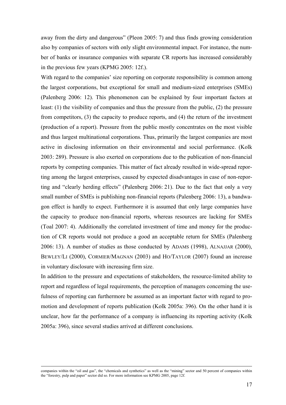away from the dirty and dangerous" (Pleon 2005: 7) and thus finds growing consideration also by companies of sectors with only slight environmental impact. For instance, the number of banks or insurance companies with separate CR reports has increased considerably in the previous few years (KPMG 2005: 12f.).

With regard to the companies' size reporting on corporate responsibility is common among the largest corporations, but exceptional for small and medium-sized enterprises (SMEs) (Palenberg 2006: 12). This phenomenon can be explained by four important factors at least: (1) the visibility of companies and thus the pressure from the public, (2) the pressure from competitors, (3) the capacity to produce reports, and (4) the return of the investment (production of a report). Pressure from the public mostly concentrates on the most visible and thus largest multinational corporations. Thus, primarily the largest companies are most active in disclosing information on their environmental and social performance. (Kolk 2003: 289). Pressure is also exerted on corporations due to the publication of non-financial reports by competing companies. This matter of fact already resulted in wide-spread reporting among the largest enterprises, caused by expected disadvantages in case of non-reporting and "clearly herding effects" (Palenberg 2006: 21). Due to the fact that only a very small number of SMEs is publishing non-financial reports (Palenberg 2006: 13), a bandwagon effect is hardly to expect. Furthermore it is assumed that only large companies have the capacity to produce non-financial reports, whereas resources are lacking for SMEs (Toal 2007: 4). Additionally the correlated investment of time and money for the production of CR reports would not produce a good an acceptable return for SMEs (Palenberg 2006: 13). A number of studies as those conducted by ADAMS (1998), ALNAJJAR (2000), BEWLEY/LI (2000), CORMIER/MAGNAN (2003) and HO/TAYLOR (2007) found an increase in voluntary disclosure with increasing firm size.

In addition to the pressure and expectations of stakeholders, the resource-limited ability to report and regardless of legal requirements, the perception of managers concerning the usefulness of reporting can furthermore be assumed as an important factor with regard to promotion and development of reports publication (Kolk 2005a: 396). On the other hand it is unclear, how far the performance of a company is influencing its reporting activity (Kolk 2005a: 396), since several studies arrived at different conclusions.

companies within the "oil and gas", the "chemicals and synthetics" as well as the "mining" sector and 50 percent of companies within the "forestry, pulp and paper" sector did so. For more information see KPMG 2005, page 12f.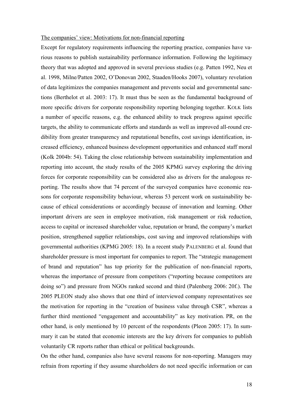#### The companies' view: Motivations for non-financial reporting

Except for regulatory requirements influencing the reporting practice, companies have various reasons to publish sustainability performance information. Following the legitimacy theory that was adopted and approved in several previous studies (e.g. Patten 1992, Neu et al. 1998, Milne/Patten 2002, O'Donovan 2002, Staaden/Hooks 2007), voluntary revelation of data legitimizes the companies management and prevents social and governmental sanctions (Berthelot et al. 2003: 17). It must thus be seen as the fundamental background of more specific drivers for corporate responsibility reporting belonging together. KOLK lists a number of specific reasons, e.g. the enhanced ability to track progress against specific targets, the ability to communicate efforts and standards as well as improved all-round credibility from greater transparency and reputational benefits, cost savings identification, increased efficiency, enhanced business development opportunities and enhanced staff moral (Kolk 2004b: 54). Taking the close relationship between sustainability implementation and reporting into account, the study results of the 2005 KPMG survey exploring the driving forces for corporate responsibility can be considered also as drivers for the analogous reporting. The results show that 74 percent of the surveyed companies have economic reasons for corporate responsibility behaviour, whereas 53 percent work on sustainability because of ethical considerations or accordingly because of innovation and learning. Other important drivers are seen in employee motivation, risk management or risk reduction, access to capital or increased shareholder value, reputation or brand, the company's market position, strengthened supplier relationships, cost saving and improved relationships with governmental authorities (KPMG 2005: 18). In a recent study PALENBERG et al. found that shareholder pressure is most important for companies to report. The "strategic management of brand and reputation" has top priority for the publication of non-financial reports, whereas the importance of pressure from competitors ("reporting because competitors are doing so") and pressure from NGOs ranked second and third (Palenberg 2006: 20f.). The 2005 PLEON study also shows that one third of interviewed company representatives see the motivation for reporting in the "creation of business value through CSR", whereas a further third mentioned "engagement and accountability" as key motivation. PR, on the other hand, is only mentioned by 10 percent of the respondents (Pleon 2005: 17). In summary it can be stated that economic interests are the key drivers for companies to publish voluntarily CR reports rather than ethical or political backgrounds.

On the other hand, companies also have several reasons for non-reporting. Managers may refrain from reporting if they assume shareholders do not need specific information or can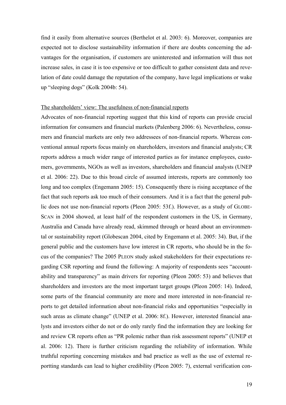find it easily from alternative sources (Berthelot et al. 2003: 6). Moreover, companies are expected not to disclose sustainability information if there are doubts concerning the advantages for the organisation, if customers are uninterested and information will thus not increase sales, in case it is too expensive or too difficult to gather consistent data and revelation of date could damage the reputation of the company, have legal implications or wake up "sleeping dogs" (Kolk 2004b: 54).

#### The shareholders' view: The usefulness of non-financial reports

Advocates of non-financial reporting suggest that this kind of reports can provide crucial information for consumers and financial markets (Palenberg 2006: 6). Nevertheless, consumers and financial markets are only two addressees of non-financial reports. Whereas conventional annual reports focus mainly on shareholders, investors and financial analysts; CR reports address a much wider range of interested parties as for instance employees, customers, governments, NGOs as well as investors, shareholders and financial analysts (UNEP et al. 2006: 22). Due to this broad circle of assumed interests, reports are commonly too long and too complex (Engemann 2005: 15). Consequently there is rising acceptance of the fact that such reports ask too much of their consumers. And it is a fact that the general public does not use non-financial reports (Pleon 2005: 53f.). However, as a study of GLOBE-SCAN in 2004 showed, at least half of the respondent customers in the US, in Germany, Australia and Canada have already read, skimmed through or heard about an environmental or sustainability report (Globescan 2004, cited by Engemann et al. 2005: 34). But, if the general public and the customers have low interest in CR reports, who should be in the focus of the companies? The 2005 PLEON study asked stakeholders for their expectations regarding CSR reporting and found the following: A majority of respondents sees "accountability and transparency" as main drivers for reporting (Pleon 2005: 53) and believes that shareholders and investors are the most important target groups (Pleon 2005: 14). Indeed, some parts of the financial community are more and more interested in non-financial reports to get detailed information about non-financial risks and opportunities "especially in such areas as climate change" (UNEP et al. 2006: 8f.). However, interested financial analysts and investors either do not or do only rarely find the information they are looking for and review CR reports often as "PR polemic rather than risk assessment reports" (UNEP et al. 2006: 12). There is further criticism regarding the reliability of information. While truthful reporting concerning mistakes and bad practice as well as the use of external reportting standards can lead to higher credibility (Pleon 2005: 7), external verification con-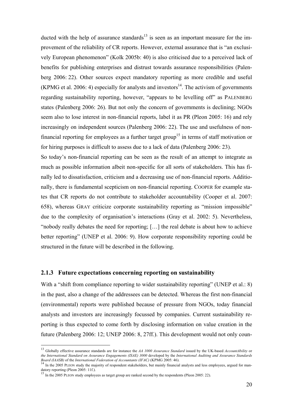ducted with the help of assurance standards<sup>13</sup> is seen as an important measure for the improvement of the reliability of CR reports. However, external assurance that is "an exclusively European phenomenon" (Kolk 2005b: 40) is also criticised due to a perceived lack of benefits for publishing enterprises and distrust towards assurance responsibilities (Palenberg 2006: 22). Other sources expect mandatory reporting as more credible and useful (KPMG et al. 2006: 4) especially for analysts and investors<sup>14</sup>. The activism of governments regarding sustainability reporting, however, "appears to be levelling off" as PALENBERG states (Palenberg 2006: 26). But not only the concern of governments is declining; NGOs seem also to lose interest in non-financial reports, label it as PR (Pleon 2005: 16) and rely increasingly on independent sources (Palenberg 2006: 22). The use and usefulness of nonfinancial reporting for employees as a further target group<sup>15</sup> in terms of staff motivation or for hiring purposes is difficult to assess due to a lack of data (Palenberg 2006: 23).

So today's non-financial reporting can be seen as the result of an attempt to integrate as much as possible information albeit non-specific for all sorts of stakeholders. This has finally led to dissatisfaction, criticism and a decreasing use of non-financial reports. Additionally, there is fundamental scepticism on non-financial reporting. COOPER for example states that CR reports do not contribute to stakeholder accountability (Cooper et al. 2007: 658), whereas GRAY criticize corporate sustainability reporting as "mission impossible" due to the complexity of organisation's interactions (Gray et al. 2002: 5). Nevertheless, "nobody really debates the need for reporting; […] the real debate is about how to achieve better reporting" (UNEP et al. 2006: 9). How corporate responsibility reporting could be structured in the future will be described in the following.

#### **2.1.3 Future expectations concerning reporting on sustainability**

With a "shift from compliance reporting to wider sustainability reporting" (UNEP et al.: 8) in the past, also a change of the addressees can be detected. Whereas the first non-financial (environmental) reports were published because of pressure from NGOs, today financial analysts and investors are increasingly focussed by companies. Current sustainability reporting is thus expected to come forth by disclosing information on value creation in the future (Palenberg 2006: 12; UNEP 2006: 8, 27ff.). This development would not only coun-

<sup>13</sup> Globally effective assurance standards are for instance the *AA 1000 Assurance Standard* issued by the UK-based *AccountAbility* or *the International Standard on Assurance Engagements (ISAE) 3000* developed by the *International Auditing and Assurance Standards* 

<sup>&</sup>lt;sup>14</sup> In the 2005 PLEON study the majority of respondent stakeholders, but mainly financial analysts and less employees, argued for mandatory reporting (Pleon 2005: 11f.).<br><sup>15</sup> In the 2005 PLEON study employees as target group are ranked second by the respondents (Pleon 2005: 22).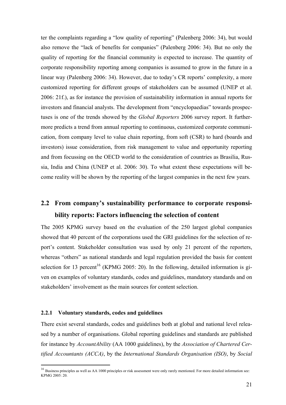ter the complaints regarding a "low quality of reporting" (Palenberg 2006: 34), but would also remove the "lack of benefits for companies" (Palenberg 2006: 34). But no only the quality of reporting for the financial community is expected to increase. The quantity of corporate responsibility reporting among companies is assumed to grow in the future in a linear way (Palenberg 2006: 34). However, due to today's CR reports' complexity, a more customized reporting for different groups of stakeholders can be assumed (UNEP et al. 2006: 21f.), as for instance the provision of sustainability information in annual reports for investors and financial analysts. The development from "encyclopaedias" towards prospectuses is one of the trends showed by the *Global Reporters* 2006 survey report. It furthermore predicts a trend from annual reporting to continuous, customized corporate communication, from company level to value chain reporting, from soft (CSR) to hard (boards and investors) issue consideration, from risk management to value and opportunity reporting and from focussing on the OECD world to the consideration of countries as Brasilia, Russia, India and China (UNEP et al. 2006: 30). To what extent these expectations will become reality will be shown by the reporting of the largest companies in the next few years.

## **2.2 From company's sustainability performance to corporate responsibility reports: Factors influencing the selection of content**

The 2005 KPMG survey based on the evaluation of the 250 largest global companies showed that 40 percent of the corporations used the GRI guidelines for the selection of report's content. Stakeholder consultation was used by only 21 percent of the reporters, whereas "others" as national standards and legal regulation provided the basis for content selection for 13 percent<sup>16</sup> (KPMG 2005: 20). In the following, detailed information is given on examples of voluntary standards, codes and guidelines, mandatory standards and on stakeholders' involvement as the main sources for content selection.

#### **2.2.1 Voluntary standards, codes and guidelines**

 $\overline{a}$ 

There exist several standards, codes and guidelines both at global and national level released by a number of organisations. Global reporting guidelines and standards are published for instance by *AccountAbility* (AA 1000 guidelines), by the *Association of Chartered Certified Accountants (ACCA)*, by the *International Standards Organisation (ISO)*, by *Social* 

<sup>&</sup>lt;sup>16</sup> Business principles as well as AA 1000 principles or risk assessment were only rarely mentioned. For more detailed information see: KPMG 2005: 20.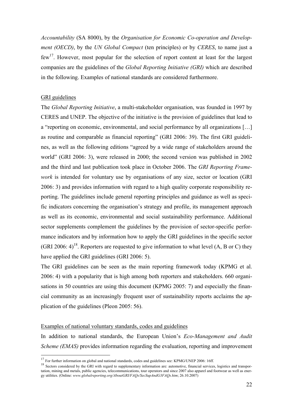*Accountability* (SA 8000), by the *Organisation for Economic Co-operation and Development (OECD)*, by the *UN Global Compact* (ten principles) or by *CERES*, to name just a  $f_{\text{ew}}^{17}$ . However, most popular for the selection of report content at least for the largest companies are the guidelines of the *Global Reporting Initiative (GRI)* which are described in the following. Examples of national standards are considered furthermore.

#### GRI guidelines

 $\overline{a}$ 

The *Global Reporting Initiative*, a multi-stakeholder organisation, was founded in 1997 by CERES and UNEP. The objective of the initiative is the provision of guidelines that lead to a "reporting on economic, environmental, and social performance by all organizations […] as routine and comparable as financial reporting" (GRI 2006: 39). The first GRI guidelines, as well as the following editions "agreed by a wide range of stakeholders around the world" (GRI 2006: 3), were released in 2000; the second version was published in 2002 and the third and last publication took place in October 2006. The *GRI Reporting Framework* is intended for voluntary use by organisations of any size, sector or location (GRI 2006: 3) and provides information with regard to a high quality corporate responsibility reporting. The guidelines include general reporting principles and guidance as well as specific indicators concerning the organisation's strategy and profile, its management approach as well as its economic, environmental and social sustainability performance. Additional sector supplements complement the guidelines by the provision of sector-specific performance indicators and by information how to apply the GRI guidelines in the specific sector (GRI 2006: 4)<sup>18</sup>. Reporters are requested to give information to what level (A, B or C) they have applied the GRI guidelines (GRI 2006: 5).

The GRI guidelines can be seen as the main reporting framework today (KPMG et al. 2006: 4) with a popularity that is high among both reporters and stakeholders. 660 organisations in 50 countries are using this document (KPMG 2005: 7) and especially the financial community as an increasingly frequent user of sustainability reports acclaims the application of the guidelines (Pleon 2005: 56).

#### Examples of national voluntary standards, codes and guidelines

In addition to national standards, the European Union's *Eco-Management and Audit Scheme (EMAS)* provides information regarding the evaluation, reporting and improvement

<sup>&</sup>lt;sup>17</sup> For further information on global and national standards, codes and guidelines see: KPMG/UNEP 2006: 16ff.

<sup>&</sup>lt;sup>18</sup> Sectors considered by the GRI with regard to supplementary information are: automotive, financial services, logistics and transportation, mining and metals, public agencies, telecommunications, tour operators and since 2007 also apparel and footwear as well as energy utilities. (Online: *www.globalreporting.org/AboutGRI/FAQs/SecSupAndG3FAQs.htm*; 26.10.2007)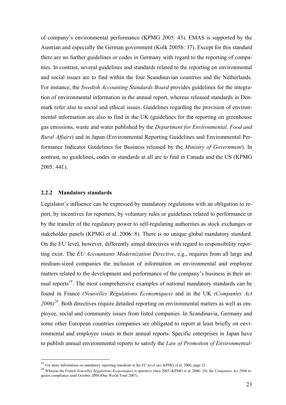of company's environmental performance (KPMG 2005: 43). EMAS is supported by the Austrian and especially the German government (Kolk 2005b: 37). Except for this standard there are no further guidelines or codes in Germany with regard to the reporting of companies. In contrast, several guidelines and standards related to the reporting on environmental and social issues are to find within the four Scandinavian countries and the Netherlands. For instance, the *Swedish Accounting Standards Board* provides guidelines for the integration of environmental information in the annual report, whereas released standards in Denmark refer also to social and ethical issues. Guidelines regarding the provision of environmental information are also to find in the UK (guidelines for the reporting on greenhouse gas emissions, waste and water published by the *Department for Environmental, Food and Rural Affairs*) and in Japan (Environmental Reporting Guidelines and Environmental Performance Indicator Guidelines for Business released by the *Ministry of Government*). In contrast, no guidelines, codes or standards at all are to find in Canada and the US (KPMG 2005: 44f.).

#### **2.2.2 Mandatory standards**

 $\overline{a}$ 

Legislator's influence can be expressed by mandatory regulations with an obligation to report, by incentives for reporters, by voluntary rules or guidelines related to performance or by the transfer of the regulatory power to self-regulating authorities as stock exchanges or stakeholder panels (KPMG et al. 2006: 8). There is no unique global mandatory standard. On the EU level, however, differently aimed directives with regard to responsibility reporting exist. The *EU Accountants Modernization Directive*, e.g., requires from all large and medium-sized companies the inclusion of information on environmental and employee matters related to the development and performance of the company's business in their annual reports<sup>19</sup>. The most comprehensive examples of national mandatory standards can be found in France *(Nouvelles Régulations Economiques)* and in the UK *(Companies Act*  2006)<sup>20</sup>. Both directives require detailed reporting on environmental matters as well as employee, social and community issues from listed companies. In Scandinavia, Germany and some other European countries companies are obligated to report at least briefly on environmental and employee issues in their annual reports. Specific enterprises in Japan have to publish annual environmental reports to satisfy the *Law of Promotion of Environmental-*

<sup>&</sup>lt;sup>19</sup> For more information on mandatory reporting standards at the EU level see: KPMG et al. 2006, page 22.<br><sup>20</sup> Whereas the French *Nouvelles Régulations Economiques* is operative since 2003 (KPMG et al. 2006: 24); the *C* quires compliance until October 2008 (One World Trust 2007).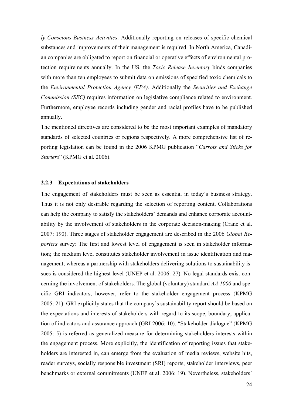*ly Conscious Business Activities*. Additionally reporting on releases of specific chemical substances and improvements of their management is required. In North America, Canadian companies are obligated to report on financial or operative effects of environmental protection requirements annually. In the US, the *Toxic Release Inventory* binds companies with more than ten employees to submit data on emissions of specified toxic chemicals to the *Environmental Protection Agency (EPA)*. Additionally the *Securities and Exchange Commission (SEC)* requires information on legislative compliance related to environment. Furthermore, employee records including gender and racial profiles have to be published annually.

The mentioned directives are considered to be the most important examples of mandatory standards of selected countries or regions respectively. A more comprehensive list of reporting legislation can be found in the 2006 KPMG publication "*Carrots and Sticks for Starters*" (KPMG et al. 2006).

#### **2.2.3 Expectations of stakeholders**

The engagement of stakeholders must be seen as essential in today's business strategy. Thus it is not only desirable regarding the selection of reporting content. Collaborations can help the company to satisfy the stakeholders' demands and enhance corporate accountability by the involvement of stakeholders in the corporate decision-making (Crane et al. 2007: 190). Three stages of stakeholder engagement are described in the 2006 *Global Reporters* survey: The first and lowest level of engagement is seen in stakeholder information; the medium level constitutes stakeholder involvement in issue identification and management; whereas a partnership with stakeholders delivering solutions to sustainability issues is considered the highest level (UNEP et al. 2006: 27). No legal standards exist concerning the involvement of stakeholders. The global (voluntary) standard *AA 1000* and specific GRI indicators, however, refer to the stakeholder engagement process (KPMG 2005: 21). GRI explicitly states that the company's sustainability report should be based on the expectations and interests of stakeholders with regard to its scope, boundary, application of indicators and assurance approach (GRI 2006: 10). "Stakeholder dialogue" (KPMG 2005: 5) is referred as generalized measure for determining stakeholders interests within the engagement process. More explicitly, the identification of reporting issues that stakeholders are interested in, can emerge from the evaluation of media reviews, website hits, reader surveys, socially responsible investment (SRI) reports, stakeholder interviews, peer benchmarks or external commitments (UNEP et al. 2006: 19). Nevertheless, stakeholders'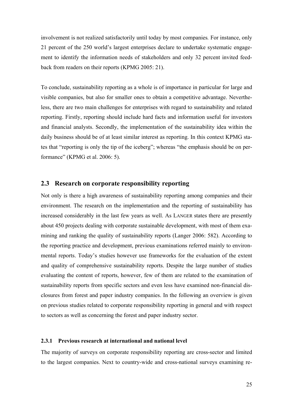involvement is not realized satisfactorily until today by most companies*.* For instance, only 21 percent of the 250 world's largest enterprises declare to undertake systematic engagement to identify the information needs of stakeholders and only 32 percent invited feedback from readers on their reports (KPMG 2005: 21).

To conclude, sustainability reporting as a whole is of importance in particular for large and visible companies, but also for smaller ones to obtain a competitive advantage. Nevertheless, there are two main challenges for enterprises with regard to sustainability and related reporting. Firstly, reporting should include hard facts and information useful for investors and financial analysts. Secondly, the implementation of the sustainability idea within the daily business should be of at least similar interest as reporting. In this context KPMG states that "reporting is only the tip of the iceberg"; whereas "the emphasis should be on performance" (KPMG et al. 2006: 5).

#### **2.3 Research on corporate responsibility reporting**

Not only is there a high awareness of sustainability reporting among companies and their environment. The research on the implementation and the reporting of sustainability has increased considerably in the last few years as well. As LANGER states there are presently about 450 projects dealing with corporate sustainable development, with most of them examining and ranking the quality of sustainability reports (Langer 2006: 582). According to the reporting practice and development, previous examinations referred mainly to environmental reports. Today's studies however use frameworks for the evaluation of the extent and quality of comprehensive sustainability reports. Despite the large number of studies evaluating the content of reports, however, few of them are related to the examination of sustainability reports from specific sectors and even less have examined non-financial disclosures from forest and paper industry companies. In the following an overview is given on previous studies related to corporate responsibility reporting in general and with respect to sectors as well as concerning the forest and paper industry sector.

#### **2.3.1 Previous research at international and national level**

The majority of surveys on corporate responsibility reporting are cross-sector and limited to the largest companies. Next to country-wide and cross-national surveys examining re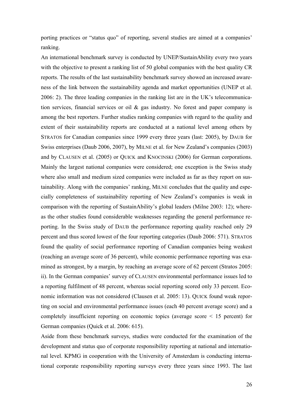porting practices or "status quo" of reporting, several studies are aimed at a companies' ranking.

An international benchmark survey is conducted by UNEP/SustainAbility every two years with the objective to present a ranking list of 50 global companies with the best quality CR reports. The results of the last sustainability benchmark survey showed an increased awareness of the link between the sustainability agenda and market opportunities (UNEP et al. 2006: 2). The three leading companies in the ranking list are in the UK's telecommunication services, financial services or oil & gas industry. No forest and paper company is among the best reporters. Further studies ranking companies with regard to the quality and extent of their sustainability reports are conducted at a national level among others by STRATOS for Canadian companies since 1999 every three years (last: 2005), by DAUB for Swiss enterprises (Daub 2006, 2007), by MILNE et al. for New Zealand's companies (2003) and by CLAUSEN et al. (2005) or QUICK and KNOCINSKI (2006) for German corporations. Mainly the largest national companies were considered; one exception is the Swiss study where also small and medium sized companies were included as far as they report on sustainability. Along with the companies' ranking, MILNE concludes that the quality and especially completeness of sustainability reporting of New Zealand's companies is weak in comparison with the reporting of SustainAbility's global leaders (Milne 2003: 12); whereas the other studies found considerable weaknesses regarding the general performance reporting. In the Swiss study of DAUB the performance reporting quality reached only 29 percent and thus scored lowest of the four reporting categories (Daub 2006: 571). STRATOS found the quality of social performance reporting of Canadian companies being weakest (reaching an average score of 36 percent), while economic performance reporting was examined as strongest, by a margin, by reaching an average score of 62 percent (Stratos 2005: ii). In the German companies' survey of CLAUSEN environmental performance issues led to a reporting fulfilment of 48 percent, whereas social reporting scored only 33 percent. Economic information was not considered (Clausen et al. 2005: 13). QUICK found weak reporting on social and environmental performance issues (each 40 percent average score) and a completely insufficient reporting on economic topics (average score < 15 percent) for German companies (Quick et al. 2006: 615).

Aside from these benchmark surveys, studies were conducted for the examination of the development and status quo of corporate responsibility reporting at national and international level. KPMG in cooperation with the University of Amsterdam is conducting international corporate responsibility reporting surveys every three years since 1993. The last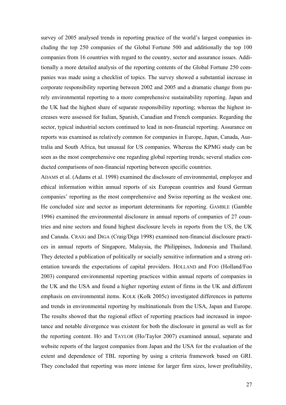survey of 2005 analysed trends in reporting practice of the world's largest companies including the top 250 companies of the Global Fortune 500 and additionally the top 100 companies from 16 countries with regard to the country, sector and assurance issues. Additionally a more detailed analysis of the reporting contents of the Global Fortune 250 companies was made using a checklist of topics. The survey showed a substantial increase in corporate responsibility reporting between 2002 and 2005 and a dramatic change from purely environmental reporting to a more comprehensive sustainability reporting. Japan and the UK had the highest share of separate responsibility reporting; whereas the highest increases were assessed for Italian, Spanish, Canadian and French companies. Regarding the sector, typical industrial sectors continued to lead in non-financial reporting. Assurance on reports was examined as relatively common for companies in Europe, Japan, Canada, Australia and South Africa, but unusual for US companies. Whereas the KPMG study can be seen as the most comprehensive one regarding global reporting trends; several studies conducted comparisons of non-financial reporting between specific countries.

ADAMS et al. (Adams et al. 1998) examined the disclosure of environmental, employee and ethical information within annual reports of six European countries and found German companies' reporting as the most comprehensive and Swiss reporting as the weakest one. He concluded size and sector as important determinants for reporting. GAMBLE (Gamble 1996) examined the environmental disclosure in annual reports of companies of 27 countries and nine sectors and found highest disclosure levels in reports from the US, the UK and Canada. CRAIG and DIGA (Craig/Diga 1998) examined non-financial disclosure practices in annual reports of Singapore, Malaysia, the Philippines, Indonesia and Thailand. They detected a publication of politically or socially sensitive information and a strong orientation towards the expectations of capital providers. HOLLAND and FOO (Holland/Foo 2003) compared environmental reporting practices within annual reports of companies in the UK and the USA and found a higher reporting extent of firms in the UK and different emphasis on environmental items. KOLK (Kolk 2005c) investigated differences in patterns and trends in environmental reporting by multinationals from the USA, Japan and Europe. The results showed that the regional effect of reporting practices had increased in importance and notable divergence was existent for both the disclosure in general as well as for the reporting content. HO and TAYLOR (Ho/Taylor 2007) examined annual, separate and website reports of the largest companies from Japan and the USA for the evaluation of the extent and dependence of TBL reporting by using a criteria framework based on GRI. They concluded that reporting was more intense for larger firm sizes, lower profitability,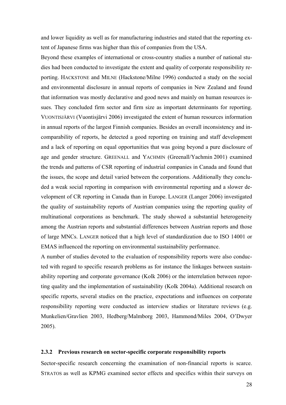and lower liquidity as well as for manufacturing industries and stated that the reporting extent of Japanese firms was higher than this of companies from the USA.

Beyond these examples of international or cross-country studies a number of national studies had been conducted to investigate the extent and quality of corporate responsibility reporting. HACKSTONE and MILNE (Hackstone/Milne 1996) conducted a study on the social and environmental disclosure in annual reports of companies in New Zealand and found that information was mostly declarative and good news and mainly on human resources issues. They concluded firm sector and firm size as important determinants for reporting. VUONTISJÄRVI (Vuontisjärvi 2006) investigated the extent of human resources information in annual reports of the largest Finnish companies. Besides an overall inconsistency and incomparability of reports, he detected a good reporting on training and staff development and a lack of reporting on equal opportunities that was going beyond a pure disclosure of age and gender structure. GREENALL and YACHMIN (Greenall/Yachmin 2001) examined the trends and patterns of CSR reporting of industrial companies in Canada and found that the issues, the scope and detail varied between the corporations. Additionally they concluded a weak social reporting in comparison with environmental reporting and a slower development of CR reporting in Canada than in Europe. LANGER (Langer 2006) investigated the quality of sustainability reports of Austrian companies using the reporting quality of multinational corporations as benchmark. The study showed a substantial heterogeneity among the Austrian reports and substantial differences between Austrian reports and those of large MNCs. LANGER noticed that a high level of standardization due to ISO 14001 or EMAS influenced the reporting on environmental sustainability performance.

A number of studies devoted to the evaluation of responsibility reports were also conducted with regard to specific research problems as for instance the linkages between sustainability reporting and corporate governance (Kolk 2006) or the interrelation between reporting quality and the implementation of sustainability (Kolk 2004a). Additional research on specific reports, several studies on the practice, expectations and influences on corporate responsibility reporting were conducted as interview studies or literature reviews (e.g. Munkelien/Gravlien 2003, Hedberg/Malmborg 2003, Hammond/Miles 2004, O'Dwyer 2005).

#### **2.3.2 Previous research on sector-specific corporate responsibility reports**

Sector-specific research concerning the examination of non-financial reports is scarce. STRATOS as well as KPMG examined sector effects and specifics within their surveys on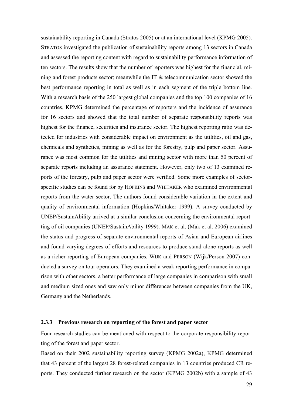sustainability reporting in Canada (Stratos 2005) or at an international level (KPMG 2005). STRATOS investigated the publication of sustainability reports among 13 sectors in Canada and assessed the reporting content with regard to sustainability performance information of ten sectors. The results show that the number of reporters was highest for the financial, mining and forest products sector; meanwhile the IT & telecommunication sector showed the best performance reporting in total as well as in each segment of the triple bottom line. With a research basis of the 250 largest global companies and the top 100 companies of 16 countries, KPMG determined the percentage of reporters and the incidence of assurance for 16 sectors and showed that the total number of separate responsibility reports was highest for the finance, securities and insurance sector. The highest reporting ratio was detected for industries with considerable impact on environment as the utilities, oil and gas, chemicals and synthetics, mining as well as for the forestry, pulp and paper sector. Assurance was most common for the utilities and mining sector with more than 50 percent of separate reports including an assurance statement. However, only two of 13 examined reports of the forestry, pulp and paper sector were verified. Some more examples of sectorspecific studies can be found for by HOPKINS and WHITAKER who examined environmental reports from the water sector. The authors found considerable variation in the extent and quality of environmental information (Hopkins/Whitaker 1999). A survey conducted by UNEP/SustainAbility arrived at a similar conclusion concerning the environmental reportting of oil companies (UNEP/SustainAbility 1999). MAK et al. (Mak et al. 2006) examined the status and progress of separate environmental reports of Asian and European airlines and found varying degrees of efforts and resources to produce stand-alone reports as well as a richer reporting of European companies. WIJK and PERSON (Wijk/Person 2007) conducted a survey on tour operators. They examined a weak reporting performance in comparison with other sectors, a better performance of large companies in comparison with small and medium sized ones and saw only minor differences between companies from the UK, Germany and the Netherlands.

#### **2.3.3 Previous research on reporting of the forest and paper sector**

Four research studies can be mentioned with respect to the corporate responsibility reporting of the forest and paper sector.

Based on their 2002 sustainability reporting survey (KPMG 2002a), KPMG determined that 43 percent of the largest 28 forest-related companies in 13 countries produced CR reports. They conducted further research on the sector (KPMG 2002b) with a sample of 43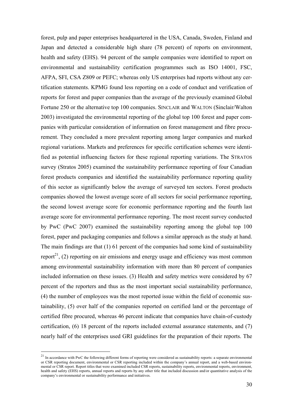forest, pulp and paper enterprises headquartered in the USA, Canada, Sweden, Finland and Japan and detected a considerable high share (78 percent) of reports on environment, health and safety (EHS). 94 percent of the sample companies were identified to report on environmental and sustainability certification programmes such as ISO 14001, FSC, AFPA, SFI, CSA Z809 or PEFC; whereas only US enterprises had reports without any certification statements. KPMG found less reporting on a code of conduct and verification of reports for forest and paper companies than the average of the previously examined Global Fortune 250 or the alternative top 100 companies. SINCLAIR and WALTON (Sinclair/Walton 2003) investigated the environmental reporting of the global top 100 forest and paper companies with particular consideration of information on forest management and fibre procurement. They concluded a more prevalent reporting among larger companies and marked regional variations. Markets and preferences for specific certification schemes were identified as potential influencing factors for these regional reporting variations. The STRATOS survey (Stratos 2005) examined the sustainability performance reporting of four Canadian forest products companies and identified the sustainability performance reporting quality of this sector as significantly below the average of surveyed ten sectors. Forest products companies showed the lowest average score of all sectors for social performance reporting, the second lowest average score for economic performance reporting and the fourth last average score for environmental performance reporting. The most recent survey conducted by PwC (PwC 2007) examined the sustainability reporting among the global top 100 forest, paper and packaging companies and follows a similar approach as the study at hand. The main findings are that (1) 61 percent of the companies had some kind of sustainability report<sup>21</sup>, (2) reporting on air emissions and energy usage and efficiency was most common among environmental sustainability information with more than 80 percent of companies included information on these issues. (3) Health and safety metrics were considered by 67 percent of the reporters and thus as the most important social sustainability performance, (4) the number of employees was the most reported issue within the field of economic sustainability, (5) over half of the companies reported on certified land or the percentage of certified fibre procured, whereas 46 percent indicate that companies have chain-of-custody certification, (6) 18 percent of the reports included external assurance statements, and (7) nearly half of the enterprises used GRI guidelines for the preparation of their reports. The

 $21$  In accordance with PwC the following different forms of reporting were considered as sustainability reports: a separate environmental or CSR reporting document, environmental or CSR reporting included within the company's annual report, and a web-based environmental or CSR report. Report titles that were examined included CSR reports, sustainability reports, environmental reports, environment, health and safety (EHS) reports, annual reports and reports by any other title that included discussion and/or quantitative analysis of the company's environmental or sustainability performance and initiatives.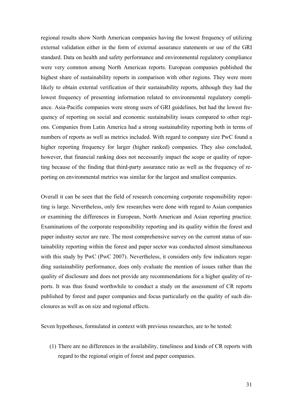regional results show North American companies having the lowest frequency of utilizing external validation either in the form of external assurance statements or use of the GRI standard. Data on health and safety performance and environmental regulatory compliance were very common among North American reports. European companies published the highest share of sustainability reports in comparison with other regions. They were more likely to obtain external verification of their sustainability reports, although they had the lowest frequency of presenting information related to environmental regulatory compliance. Asia-Pacific companies were strong users of GRI guidelines, but had the lowest frequency of reporting on social and economic sustainability issues compared to other regions. Companies from Latin America had a strong sustainability reporting both in terms of numbers of reports as well as metrics included. With regard to company size PwC found a higher reporting frequency for larger (higher ranked) companies. They also concluded, however, that financial ranking does not necessarily impact the scope or quality of reporting because of the finding that third-party assurance ratio as well as the frequency of reporting on environmental metrics was similar for the largest and smallest companies.

Overall it can be seen that the field of research concerning corporate responsibility reporting is large. Nevertheless, only few researches were done with regard to Asian companies or examining the differences in European, North American and Asian reporting practice. Examinations of the corporate responsibility reporting and its quality within the forest and paper industry sector are rare. The most comprehensive survey on the current status of sustainability reporting within the forest and paper sector was conducted almost simultaneous with this study by PwC (PwC 2007). Nevertheless, it considers only few indicators regarding sustainability performance, does only evaluate the mention of issues rather than the quality of disclosure and does not provide any recommendations for a higher quality of reports. It was thus found worthwhile to conduct a study on the assessment of CR reports published by forest and paper companies and focus particularly on the quality of such disclosures as well as on size and regional effects.

Seven hypotheses, formulated in context with previous researches, are to be tested:

(1) There are no differences in the availability, timeliness and kinds of CR reports with regard to the regional origin of forest and paper companies.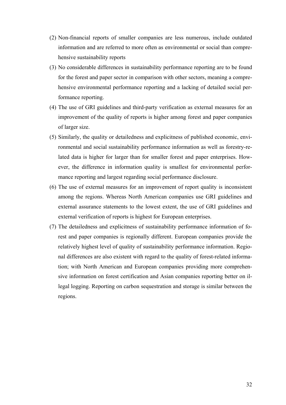- (2) Non-financial reports of smaller companies are less numerous, include outdated information and are referred to more often as environmental or social than comprehensive sustainability reports
- (3) No considerable differences in sustainability performance reporting are to be found for the forest and paper sector in comparison with other sectors, meaning a comprehensive environmental performance reporting and a lacking of detailed social performance reporting.
- (4) The use of GRI guidelines and third-party verification as external measures for an improvement of the quality of reports is higher among forest and paper companies of larger size.
- (5) Similarly, the quality or detailedness and explicitness of published economic, environmental and social sustainability performance information as well as forestry-related data is higher for larger than for smaller forest and paper enterprises. However, the difference in information quality is smallest for environmental performance reporting and largest regarding social performance disclosure.
- (6) The use of external measures for an improvement of report quality is inconsistent among the regions. Whereas North American companies use GRI guidelines and external assurance statements to the lowest extent, the use of GRI guidelines and external verification of reports is highest for European enterprises.
- (7) The detailedness and explicitness of sustainability performance information of forest and paper companies is regionally different. European companies provide the relatively highest level of quality of sustainability performance information. Regional differences are also existent with regard to the quality of forest-related information; with North American and European companies providing more comprehensive information on forest certification and Asian companies reporting better on illegal logging. Reporting on carbon sequestration and storage is similar between the regions.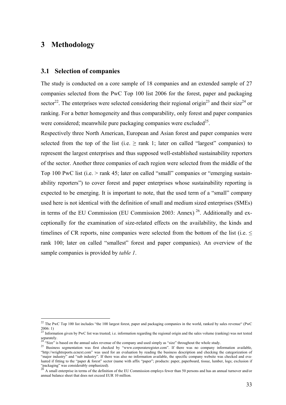### **3 Methodology**

 $\overline{a}$ 

#### **3.1 Selection of companies**

The study is conducted on a core sample of 18 companies and an extended sample of 27 companies selected from the PwC Top 100 list 2006 for the forest, paper and packaging sector<sup>22</sup>. The enterprises were selected considering their regional origin<sup>23</sup> and their size<sup>24</sup> or ranking. For a better homogeneity and thus comparability, only forest and paper companies were considered; meanwhile pure packaging companies were excluded<sup>25</sup>.

Respectively three North American, European and Asian forest and paper companies were selected from the top of the list (i.e.  $\geq$  rank 1; later on called "largest" companies) to represent the largest enterprises and thus supposed well-established sustainability reporters of the sector. Another three companies of each region were selected from the middle of the Top 100 PwC list (i.e. > rank 45; later on called "small" companies or "emerging sustainability reporters") to cover forest and paper enterprises whose sustainability reporting is expected to be emerging. It is important to note, that the used term of a "small" company used here is not identical with the definition of small and medium sized enterprises (SMEs) in terms of the EU Commission (EU Commission 2003: Annex)<sup>26</sup>. Additionally and exceptionally for the examination of size-related effects on the availability, the kinds and timelines of CR reports, nine companies were selected from the bottom of the list (i.e.  $\leq$ rank 100; later on called "smallest" forest and paper companies). An overview of the sample companies is provided by *table 1*.

 $^{22}$  The PwC Top 100 list includes "the 100 largest forest, paper and packaging companies in the world, ranked by sales revenue" (PwC 2006: 1)<br><sup>23</sup> Information given by PwC list was trusted; i.e. information regarding the regional origin and the sales volume (ranking) was not tested

separately.<br><sup>24</sup> "Size" is based on the annual sales revenue of the company and used simply as "size" throughout the whole study.

<sup>25</sup> Business segmentation was first checked by "www.corporateregister.com". If there was no company information available, "http://wrightreports.ecnext.com" was used for an evaluation by reading the business description and checking the categorization of "major industry" and "sub industry". If there was also no information available, the specific company website was checked and evaluated if fitting to the "paper & forest" sector (name with affix "paper"; products: paper, paperboard, tissue, lumber, logs; exclusion if "was considerably emphasized).<br>"packaging" was considerably emphasized).<br> $26 \mu$ 

<sup>&</sup>lt;sup>3</sup> A small enterprise in terms of the definition of the EU Commission employs fewer than 50 persons and has an annual turnover and/or annual balance sheet that does not exceed EUR 10 million.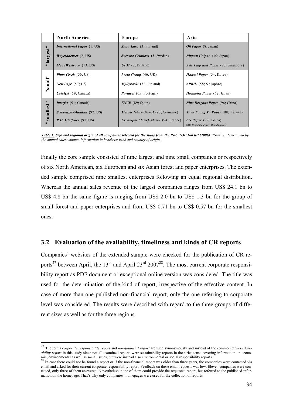|            | <b>North America</b>                 | Europe                                      | Asia                                                       |
|------------|--------------------------------------|---------------------------------------------|------------------------------------------------------------|
|            | <i>International Paper</i> $(1, US)$ | <i>Stora Enso</i> (3; Finland)              | <i>Oji Paper</i> $(8; Japan)$                              |
| "largest"  | <i>Weverhaeuser</i> $(2, US)$        | <i>Svenska Cellulosa</i> (5; Sweden)        | <i>Nippon Unipac</i> $(10; Japan)$                         |
|            | $MeadWestvac (13; US)$               | $UPM$ (7; Finland)                          | <b>Asia Pulp and Paper</b> (20; Singapore)                 |
|            | <b>Plum Creek</b> (56; US)           | <i>Lecta Group</i> $(46; UK)$               | Hansol Paper (54; Korea)                                   |
| "small"    | New Page $(57; US)$                  | <i>Myllykoski</i> (52; Finland)             | <b>APRIL</b> (58; Singapore)                               |
|            | <i>Catalyst</i> (59; Canada)         | <b>Portucel</b> (65; Portugal)              | <i>Hokuetsu Paper</i> (62; Japan)                          |
|            | <i>Interfor</i> (91; Canada)         | $\textit{ENCE } (89; \text{ Spain})$        | <i>Nine Dragons Paper</i> (96; China)                      |
| "smallest" | <i>Schweitzer-Mauduit</i> (92; US)   | <i>Mercer International</i> (93; Germany)   | <i>Yuen Foong Yu Paper</i> (98; Taiwan)                    |
|            | P.H. Glatfelter (97; US)             | <i>Excompta Clairefontaine</i> (94; France) | EN Paper (99; Korea)<br>former: Shinho Paper Manufacturing |

*Table 1: Size and regional origin of all companies selected for the study from the PwC TOP 100 list (2006). "Size" is determined by the annual sales volume. Information in brackets: rank and country of origin.*

Finally the core sample consisted of nine largest and nine small companies or respectively of six North American, six European and six Asian forest and paper enterprises. The extended sample comprised nine smallest enterprises following an equal regional distribution. Whereas the annual sales revenue of the largest companies ranges from US\$ 24.1 bn to US\$ 4.8 bn the same figure is ranging from US\$ 2.0 bn to US\$ 1.3 bn for the group of small forest and paper enterprises and from US\$ 0.71 bn to US\$ 0.57 bn for the smallest ones.

### **3.2 Evaluation of the availability, timeliness and kinds of CR reports**

Companies' websites of the extended sample were checked for the publication of CR reports<sup>27</sup> between April, the 13<sup>th</sup> and April 23<sup>rd</sup> 2007<sup>28</sup>. The most current corporate responsibility report as PDF document or exceptional online version was considered. The title was used for the determination of the kind of report, irrespective of the effective content. In case of more than one published non-financial report, only the one referring to corporate level was considered. The results were described with regard to the three groups of different sizes as well as for the three regions.

<sup>27</sup> The terms *corporate responsibility report* and *non-financial report* are used synonymously and instead of the common term *sustainability report* in this study since not all examined reports were sustainability reports in the strict sense covering information on economic, environmental as well as social issues, but were instead also environmental or social responsibility reports.<br><sup>28</sup> In case there could not be found a report or if the non-financial report was older than three years,

email and asked for their current corporate responsibility report. Feedback on these email requests was low. Eleven companies were contacted, only three of them answered. Nevertheless, none of them could provide the requested report, but referred to the published information on the homepage. That's why only companies' homepages were used for the collection of reports.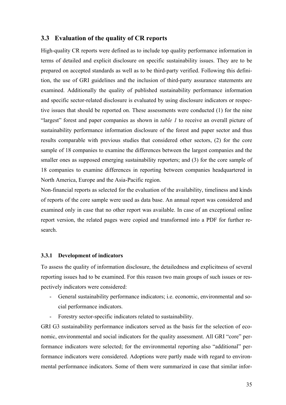### **3.3 Evaluation of the quality of CR reports**

High-quality CR reports were defined as to include top quality performance information in terms of detailed and explicit disclosure on specific sustainability issues. They are to be prepared on accepted standards as well as to be third-party verified. Following this definition, the use of GRI guidelines and the inclusion of third-party assurance statements are examined. Additionally the quality of published sustainability performance information and specific sector-related disclosure is evaluated by using disclosure indicators or respective issues that should be reported on. These assessments were conducted (1) for the nine "largest" forest and paper companies as shown in *table 1* to receive an overall picture of sustainability performance information disclosure of the forest and paper sector and thus results comparable with previous studies that considered other sectors, (2) for the core sample of 18 companies to examine the differences between the largest companies and the smaller ones as supposed emerging sustainability reporters; and (3) for the core sample of 18 companies to examine differences in reporting between companies headquartered in North America, Europe and the Asia-Pacific region.

Non-financial reports as selected for the evaluation of the availability, timeliness and kinds of reports of the core sample were used as data base. An annual report was considered and examined only in case that no other report was available. In case of an exceptional online report version, the related pages were copied and transformed into a PDF for further research.

#### **3.3.1 Development of indicators**

To assess the quality of information disclosure, the detailedness and explicitness of several reporting issues had to be examined. For this reason two main groups of such issues or respectively indicators were considered:

- General sustainability performance indicators; i.e. economic, environmental and social performance indicators.
- Forestry sector-specific indicators related to sustainability.

GRI G3 sustainability performance indicators served as the basis for the selection of economic, environmental and social indicators for the quality assessment. All GRI "core" performance indicators were selected; for the environmental reporting also "additional" performance indicators were considered. Adoptions were partly made with regard to environmental performance indicators. Some of them were summarized in case that similar infor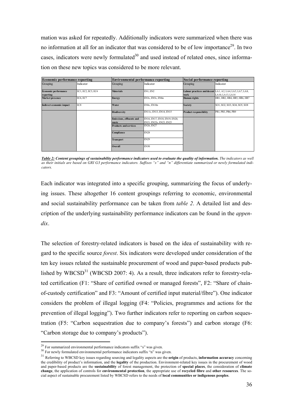mation was asked for repeatedly. Additionally indicators were summarized when there was no information at all for an indicator that was considered to be of low importance<sup>29</sup>. In two cases, indicators were newly formulated $30$  and used instead of related ones, since information on these new topics was considered to be more relevant.

| <b>Economic performance reporting</b>    |                    | <b>Environmental performance reporting</b> |                                                          | Social performance reporting  |                                                                              |  |  |
|------------------------------------------|--------------------|--------------------------------------------|----------------------------------------------------------|-------------------------------|------------------------------------------------------------------------------|--|--|
| Grouping                                 | Indicator          | Grouping                                   | Indicator                                                | Grouping                      | Indicator                                                                    |  |  |
| <b>Economic performance</b><br>reporting | EC1, EC2, EC3, EC4 | <b>Materials</b>                           | EN1, EN2                                                 | work                          | Labour practices and decent LA1, A2, LA4, LA5, LA7, LA8,<br>LA10, LA13, LA14 |  |  |
| Market presence                          | EC6, EC7           | <b>Energy</b>                              | EN3s, EN5s, EN6n                                         | Human rights                  | HR1, HR2, HR4, HR5, HR6, HR7                                                 |  |  |
| Indirect economic impact                 | EC8                | Water                                      | EN8s, EN10n                                              | <b>Society</b>                | SO1, SO2, SO3, SO4, SO5, SO8                                                 |  |  |
|                                          |                    | <b>Biodiversity</b>                        | EN11s, EN13, EN14, EN15                                  | <b>Product responsibility</b> | PR1, PR3, PR6, PR9                                                           |  |  |
|                                          |                    | <b>Emissions, effluents and</b><br>waste   | EN16, EN17, EN18, EN19, EN20,<br>EN21, EN22s, EN23, EN25 |                               |                                                                              |  |  |
|                                          |                    | <b>Products and services</b>               | EN26, EN27                                               |                               |                                                                              |  |  |
|                                          |                    | Compliance                                 | <b>EN28</b>                                              |                               |                                                                              |  |  |
|                                          |                    | <b>Transport</b>                           | <b>EN29</b>                                              |                               |                                                                              |  |  |
|                                          |                    | Overall                                    | <b>EN30</b>                                              |                               |                                                                              |  |  |

*Table 2: Content groupings of sustainability performance indicators used to evaluate the quality of information. The indicators as well as their initials are based on GRI G3 performance indicators. Suffixes "s" and "n" differentiate summarized or newly formulated indicators.* 

Each indicator was integrated into a specific grouping, summarizing the focus of underlying issues. These altogether 16 content groupings referring to economic, environmental and social sustainability performance can be taken from *table 2*. A detailed list and description of the underlying sustainability performance indicators can be found in the *appendix*.

The selection of forestry-related indicators is based on the idea of sustainability with regard to the specific source *forest*. Six indicators were developed under consideration of the ten key issues related the sustainable procurement of wood and paper-based products published by WBCSD<sup>31</sup> (WBCSD 2007: 4). As a result, three indicators refer to forestry-related certification (F1: "Share of certified owned or managed forests", F2: "Share of chainof-custody certification" and F3: "Amount of certified input material/fibre"). One indicator considers the problem of illegal logging (F4: "Policies, programmes and actions for the prevention of illegal logging"). Two further indicators refer to reporting on carbon sequestration (F5: "Carbon sequestration due to company's forests") and carbon storage (F6: "Carbon storage due to company's products").

 $\overline{a}$ 

<sup>&</sup>lt;sup>29</sup> For summarized environmental performance indicators suffix "s" was given.<br><sup>30</sup> For newly formulated environmental performance indicators suffix "n" was given.

<sup>31</sup> Referring to WBCSD key issues regarding sourcing and legality aspects are the **origin** of products, **information accuracy** concerning the credibility of product's information, and the **legality** of the production. Environment-related key issues in the procurement of wood and paper-based products are the **sustainability** of forest management, the protection of **special places**, the consideration of **climate change**, the application of controls for **environmental protection**, the appropriate use of **recycled fibre** and **other resources**. The social aspect of sustainable procurement listed by WBCSD refers to the needs of **local communities or indigenous peoples**.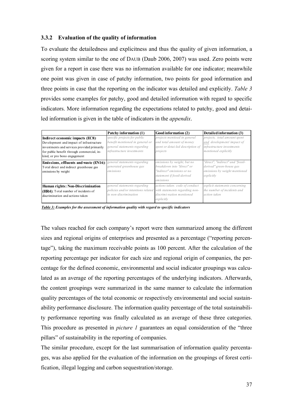# **3.3.2 Evaluation of the quality of information**

To evaluate the detailedness and explicitness and thus the quality of given information, a scoring system similar to the one of DAUB (Daub 2006, 2007) was used. Zero points were given for a report in case there was no information available for one indicator; meanwhile one point was given in case of patchy information, two points for good information and three points in case that the reporting on the indicator was detailed and explicitly. *Table 3* provides some examples for patchy, good and detailed information with regard to specific indicators. More information regarding the expectations related to patchy, good and detailed information is given in the table of indicators in the *appendix*.

|                                                                                                                                                                                                           | Patchy information (1)                                                                                                        | Good information (2)                                                                                                                | Detailed information (3)                                                                                        |
|-----------------------------------------------------------------------------------------------------------------------------------------------------------------------------------------------------------|-------------------------------------------------------------------------------------------------------------------------------|-------------------------------------------------------------------------------------------------------------------------------------|-----------------------------------------------------------------------------------------------------------------|
| Indirect economic impacts (EC8):<br>Development and impact of infrastructure<br>investments and services provided primarily<br>for public benefit through commercial, in-<br>kind, or pro bono engagement | specific projects for public<br>benefit mentioned in general or<br>general statements regarding<br>infrastructure investments | projects mentioed in general<br>and total amount of money<br>spent or detai-led description of<br>projects                          | projects, total amount spent<br>and development/impact of<br>infrastructure investments<br>mentioned explicitly |
| Emissions, effluents and waste (EN16):<br>Total direct and indirect greenhouse gas<br>emissions by weight                                                                                                 | general statements regarding<br>generated greenhouse gas<br>emissions                                                         | emissions by weight, but no<br>breakdown into "direct" or<br>"indirect" emissions or no<br>statement if fossil-derived<br>emissions | "direct", "indirect" and "fossil-<br>derived" green-house gas<br>emissions by weight mentioned<br>explicity     |
| Human rights: Non-Discrimination<br>(HR4): Total number of incidents of<br>discrimination and actions taken                                                                                               | general statements regarding<br>policies and/or intentions related<br>to non-discrimination                                   | actions taken: code of conduct<br>with statements regarding non-<br>discrimi-nation mentioned<br>explicity                          | explicit statements concerning<br>the number of incidents and<br>action taken                                   |

*Table 3: Examples for the assessment of information quality with regard to specific indicators*

The values reached for each company's report were then summarized among the different sizes and regional origins of enterprises and presented as a percentage ("reporting percentage"), taking the maximum receivable points as 100 percent. After the calculation of the reporting percentage per indicator for each size and regional origin of companies, the percentage for the defined economic, environmental and social indicator groupings was calculated as an average of the reporting percentages of the underlying indicators. Afterwards, the content groupings were summarized in the same manner to calculate the information quality percentages of the total economic or respectively environmental and social sustainability performance disclosure. The information quality percentage of the total sustainability performance reporting was finally calculated as an average of these three categories. This procedure as presented in *picture 1* guarantees an equal consideration of the "three pillars" of sustainability in the reporting of companies.

The similar procedure, except for the last summarisation of information quality percentages, was also applied for the evaluation of the information on the groupings of forest certification, illegal logging and carbon sequestration/storage.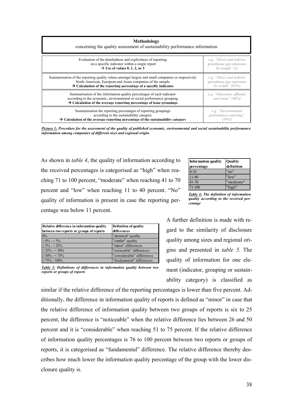| Methodology<br>concerning the quality assessment of sustainability performance information                                                                                                                                            |                                                   |  |  |  |  |  |
|---------------------------------------------------------------------------------------------------------------------------------------------------------------------------------------------------------------------------------------|---------------------------------------------------|--|--|--|--|--|
| Evaluation of the detailedness and explicitness of reporting                                                                                                                                                                          | e.g. "Direct and indirect"                        |  |  |  |  |  |
| on a specific indicator within a single report                                                                                                                                                                                        | greenhouse gas emissions                          |  |  |  |  |  |
| $\rightarrow$ Use of values 0, 1, 2, or 3                                                                                                                                                                                             | by weight" $(2)$                                  |  |  |  |  |  |
| Summarisation of the reporting quality values amongst largest and small companies or respectively                                                                                                                                     | e.g. "Direct and indirect"                        |  |  |  |  |  |
| North American, European and Asian companies of the sample                                                                                                                                                                            | greenhouse gas emissions                          |  |  |  |  |  |
| $\rightarrow$ Calculation of the reporting percentage of a specific indicator                                                                                                                                                         | by weight" $(62\%)$                               |  |  |  |  |  |
| Summarisation of the information quality percentages of each indicator<br>according to the economic, environmental or social performance grouping<br>$\rightarrow$ Calculation of the average reporting percentage of issue groupings | e.g. "Emissions, effluents<br>and waste" $(46\%)$ |  |  |  |  |  |
| Summarisation the reporting percentages of reporting groupings                                                                                                                                                                        | e.g. "Environmental"                              |  |  |  |  |  |
| according to the sustainability category                                                                                                                                                                                              | <i>performance reporting</i> "                    |  |  |  |  |  |
| $\rightarrow$ Calculation of the average reporting percentage of the sustainability category                                                                                                                                          | (36%)                                             |  |  |  |  |  |

*Picture 1: Procedure for the assessment of the quality of published economic, environmental and social sustainability performance information among companies of different sizes and regional origin.* 

As shown in *table 4*, the quality of information according to the received percentages is categorised as "high" when reaching 71 to 100 percent, "moderate" when reaching 41 to 70 percent and "low" when reaching 11 to 40 percent. "No" quality of information is present in case the reporting percentage was below 11 percent.

| <b>Information quality</b><br>percentage | <b>Quality</b><br>definition |
|------------------------------------------|------------------------------|
| $0 - 10$                                 | "no"                         |
| $11-40$                                  | "low"                        |
| 41-70                                    | "moderate"                   |
| 71-100                                   | "high"                       |

*Table 4: The definition of information quality according to the received percentage* 

| Relative difference in information quality | <b>Definition of quality</b> |
|--------------------------------------------|------------------------------|
| between two reports or groups of reports   | differences                  |
| 0%                                         | "identical" quality          |
| $> 0\% - 5\%$                              | "similar" quality            |
| $> 5\% - 25\%$                             | "minor" differences          |
| $>$ 25% - < 50%                            | "noticeable" differences     |
| $> 50\% - 50\%$                            | "considerable" differences   |
| $\geq 75\%$ - 100%                         | "fundamental" differences    |

*Table 5: Definitions of differences in information quality between two reports or groups of reports*

A further definition is made with regard to the similarity of disclosure quality among sizes and regional origins and presented in *table 5*. The quality of information for one element (indicator, grouping or sustainability category) is classified as

similar if the relative difference of the reporting percentages is lower than five percent. Additionally, the difference in information quality of reports is defined as "minor" in case that the relative difference of information quality between two groups of reports is six to 25 percent, the difference is "noticeable" when the relative difference lies between 26 and 50 percent and it is "considerable" when reaching 51 to 75 percent. If the relative difference of information quality percentages is 76 to 100 percent between two reports or groups of reports, it is categorised as "fundamental" difference. The relative difference thereby describes how much lower the information quality percentage of the group with the lower disclosure quality is.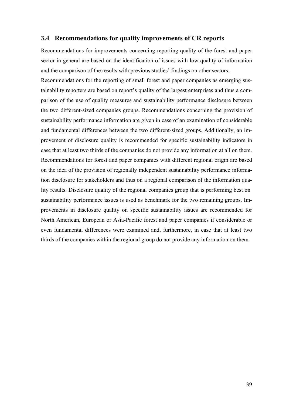# **3.4 Recommendations for quality improvements of CR reports**

Recommendations for improvements concerning reporting quality of the forest and paper sector in general are based on the identification of issues with low quality of information and the comparison of the results with previous studies' findings on other sectors.

Recommendations for the reporting of small forest and paper companies as emerging sustainability reporters are based on report's quality of the largest enterprises and thus a comparison of the use of quality measures and sustainability performance disclosure between the two different-sized companies groups. Recommendations concerning the provision of sustainability performance information are given in case of an examination of considerable and fundamental differences between the two different-sized groups. Additionally, an improvement of disclosure quality is recommended for specific sustainability indicators in case that at least two thirds of the companies do not provide any information at all on them. Recommendations for forest and paper companies with different regional origin are based on the idea of the provision of regionally independent sustainability performance information disclosure for stakeholders and thus on a regional comparison of the information quality results. Disclosure quality of the regional companies group that is performing best on sustainability performance issues is used as benchmark for the two remaining groups. Improvements in disclosure quality on specific sustainability issues are recommended for North American, European or Asia-Pacific forest and paper companies if considerable or even fundamental differences were examined and, furthermore, in case that at least two thirds of the companies within the regional group do not provide any information on them.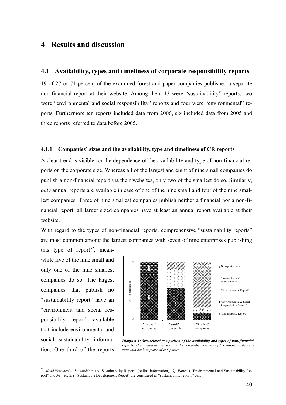# **4 Results and discussion**

# **4.1 Availability, types and timeliness of corporate responsibility reports**

19 of 27 or 71 percent of the examined forest and paper companies published a separate non-financial report at their website. Among them 13 were "sustainability" reports, two were "environmental and social responsibility" reports and four were "environmental" reports. Furthermore ten reports included data from 2006, six included data from 2005 and three reports referred to data before 2005.

#### **4.1.1 Companies' sizes and the availability, type and timeliness of CR reports**

A clear trend is visible for the dependence of the availability and type of non-financial reports on the corporate size. Whereas all of the largest and eight of nine small companies do publish a non-financial report via their websites, only two of the smallest do so. Similarly, *only* annual reports are available in case of one of the nine small and four of the nine smallest companies. Three of nine smallest companies publish neither a financial nor a non-financial report; all larger sized companies have at least an annual report available at their website.

With regard to the types of non-financial reports, comprehensive "sustainability reports" are most common among the largest companies with seven of nine enterprises publishing this type of report<sup>32</sup>, mean-

while five of the nine small and only one of the nine smallest companies do so. The largest companies that publish no "sustainability report" have an "environment and social responsibility report" available that include environmental and social sustainability information. One third of the reports

 $\overline{a}$ 



*Diagram 1: Size-related comparison of the availability and types of non-financial reports. The availability as well as the comprehensiveness of CR reports is decreasing with declining size of companies.* 

<sup>&</sup>lt;sup>32</sup> MeadWestvaco's "Stewardship and Sustainability Report" (online information), *Oji Paper*'s "Environmental and Sustainability Report" and *New Page*'s "Sustainable Development Report" are considered as "sustainability reports" only.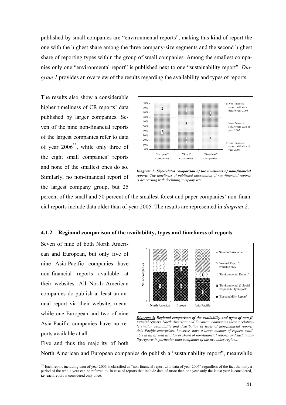published by small companies are "environmental reports", making this kind of report the one with the highest share among the three company-size segments and the second highest share of reporting types within the group of small companies. Among the smallest companies only one "environmental report" is published next to one "sustainability report". *Diagram 1* provides an overview of the results regarding the availability and types of reports.

The results also show a considerable higher timeliness of CR reports' data published by larger companies. Seven of the nine non-financial reports of the largest companies refer to data of year  $2006^{33}$ , while only three of the eight small companies' reports and none of the smallest ones do so. Similarly, no non-financial report of the largest company group, but 25



*Diagram 2: Size-related comparison of the timeliness of non-financial reports. The timeliness of published information of non-financial reports is decreasing with declining company size.* 

percent of the small and 50 percent of the smallest forest and paper companies' non-financial reports include data older than of year 2005. The results are represented in *diagram 2*.

#### **4.1.2 Regional comparison of the availability, types and timeliness of reports**

Seven of nine of both North American and European, but only five of nine Asia-Pacific companies have non-financial reports available at their websites. All North American companies do publish at least an annual report via their website, meanwhile one European and two of nine Asia-Pacific companies have no reports available at all.

Five and thus the majority of both

 $\overline{a}$ 



*Diagram 3: Regional comparison of the availability and types of non-financial reports. North American and European companies show a relatively similar availability and distribution of types of non-financial reports. Asia-Pacific enterprises, however, have a lower number of reports available at all as well as a lower share of non-financial reports and sustainability reports in particular than companies of the two other regions.* 

North American and European companies do publish a "sustainability report", meanwhile

<sup>&</sup>lt;sup>33</sup> Each report including data of year 2006 is classified as "non-financial report with data of year 2006" regardless of the fact that only a period of the whole year can be referred to. In case of reports that include data of more than one year only the latest year is considered, i.e. each report is considered only once.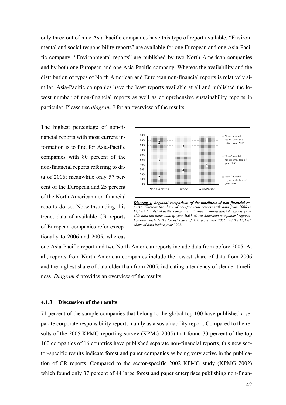only three out of nine Asia-Pacific companies have this type of report available. "Environmental and social responsibility reports" are available for one European and one Asia-Pacific company. "Environmental reports" are published by two North American companies and by both one European and one Asia-Pacific company. Whereas the availability and the distribution of types of North American and European non-financial reports is relatively similar, Asia-Pacific companies have the least reports available at all and published the lowest number of non-financial reports as well as comprehensive sustainability reports in particular. Please use *diagram 3* for an overview of the results.

The highest percentage of non-financial reports with most current information is to find for Asia-Pacific companies with 80 percent of the non-financial reports referring to data of 2006; meanwhile only 57 percent of the European and 25 percent of the North American non-financial reports do so. Notwithstanding this trend, data of available CR reports of European companies refer exceptionally to 2006 and 2005, whereas



*Diagram 4: Regional comparison of the timeliness of non-financial reports. Whereas the share of non-financial reports with data from 2006 is highest for Asia-Pacific companies, European non-financial reports provide data not older than of year 2005. North American companies' reports, however, include the lowest share of data from year 2006 and the highest share of data before year 2005.* 

one Asia-Pacific report and two North American reports include data from before 2005. At all, reports from North American companies include the lowest share of data from 2006 and the highest share of data older than from 2005, indicating a tendency of slender timeliness. *Diagram 4* provides an overview of the results.

#### **4.1.3 Discussion of the results**

71 percent of the sample companies that belong to the global top 100 have published a separate corporate responsibility report, mainly as a sustainability report. Compared to the results of the 2005 KPMG reporting survey (KPMG 2005) that found 33 percent of the top 100 companies of 16 countries have published separate non-financial reports, this new sector-specific results indicate forest and paper companies as being very active in the publication of CR reports. Compared to the sector-specific 2002 KPMG study (KPMG 2002) which found only 37 percent of 44 large forest and paper enterprises publishing non-finan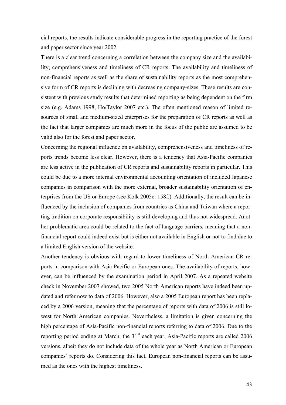cial reports, the results indicate considerable progress in the reporting practice of the forest and paper sector since year 2002.

There is a clear trend concerning a correlation between the company size and the availability, comprehensiveness and timeliness of CR reports. The availability and timeliness of non-financial reports as well as the share of sustainability reports as the most comprehensive form of CR reports is declining with decreasing company-sizes. These results are consistent with previous study results that determined reporting as being dependent on the firm size (e.g. Adams 1998, Ho/Taylor 2007 etc.). The often mentioned reason of limited resources of small and medium-sized enterprises for the preparation of CR reports as well as the fact that larger companies are much more in the focus of the public are assumed to be valid also for the forest and paper sector.

Concerning the regional influence on availability, comprehensiveness and timeliness of reports trends become less clear. However, there is a tendency that Asia-Pacific companies are less active in the publication of CR reports and sustainability reports in particular. This could be due to a more internal environmental accounting orientation of included Japanese companies in comparison with the more external, broader sustainability orientation of enterprises from the US or Europe (see Kolk 2005c: 158f.). Additionally, the result can be influenced by the inclusion of companies from countries as China and Taiwan where a reporting tradition on corporate responsibility is still developing and thus not widespread. Another problematic area could be related to the fact of language barriers, meaning that a nonfinancial report could indeed exist but is either not available in English or not to find due to a limited English version of the website.

Another tendency is obvious with regard to lower timeliness of North American CR reports in comparison with Asia-Pacific or European ones. The availability of reports, however, can be influenced by the examination period in April 2007. As a repeated website check in November 2007 showed, two 2005 North American reports have indeed been updated and refer now to data of 2006. However, also a 2005 European report has been replaced by a 2006 version, meaning that the percentage of reports with data of 2006 is still lowest for North American companies. Nevertheless, a limitation is given concerning the high percentage of Asia-Pacific non-financial reports referring to data of 2006. Due to the reporting period ending at March, the  $31<sup>st</sup>$  each year, Asia-Pacific reports are called 2006 versions, albeit they do not include data of the whole year as North American or European companies' reports do. Considering this fact, European non-financial reports can be assumed as the ones with the highest timeliness.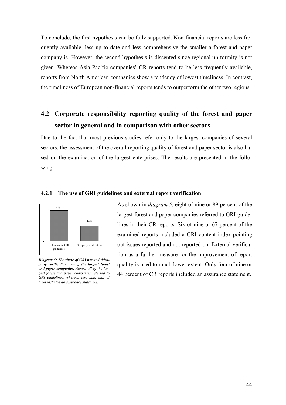To conclude, the first hypothesis can be fully supported. Non-financial reports are less frequently available, less up to date and less comprehensive the smaller a forest and paper company is. However, the second hypothesis is dissented since regional uniformity is not given. Whereas Asia-Pacific companies' CR reports tend to be less frequently available, reports from North American companies show a tendency of lowest timeliness. In contrast, the timeliness of European non-financial reports tends to outperform the other two regions.

# **4.2 Corporate responsibility reporting quality of the forest and paper sector in general and in comparison with other sectors**

Due to the fact that most previous studies refer only to the largest companies of several sectors, the assessment of the overall reporting quality of forest and paper sector is also based on the examination of the largest enterprises. The results are presented in the following.



#### **4.2.1 The use of GRI guidelines and external report verification**

*Diagram 5: The share of GRI use and thirdparty verification among the largest forest and paper companies. Almost all of the largest forest and paper companies referred to GRI guidelines, whereas less than half of them included an assurance statement.* 

As shown in *diagram 5*, eight of nine or 89 percent of the largest forest and paper companies referred to GRI guidelines in their CR reports. Six of nine or 67 percent of the examined reports included a GRI content index pointing out issues reported and not reported on. External verification as a further measure for the improvement of report quality is used to much lower extent. Only four of nine or 44 percent of CR reports included an assurance statement.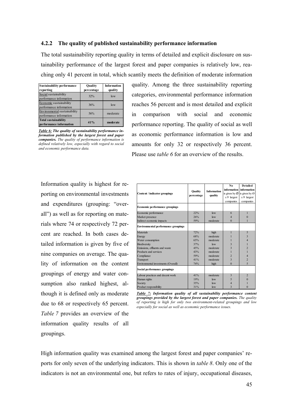#### **4.2.2 The quality of published sustainability performance information**

The total sustainability reporting quality in terms of detailed and explicit disclosure on sustainability performance of the largest forest and paper companies is relatively low, reaching only 41 percent in total, which scantily meets the definition of moderate information

| <b>Sustainability performance</b><br>reporting          | Quality<br>percentage | <b>Information</b><br>quality |
|---------------------------------------------------------|-----------------------|-------------------------------|
| Social sustainability<br>performance information        | 32%                   | low                           |
| Economic sustainability<br>performance information      | 36%                   | low                           |
| Environmental sustainability<br>performance information | 56%                   | moderate                      |
| <b>Total sustainability</b><br>performance information  | 41%                   | moderate                      |

*Table 6: The quality of sustainability performance information published by the largest forest and paper companies. The quality of performance information is defined relatively low, especially with regard to social and economic performance data.* 

quality. Among the three sustainability reporting categories, environmental performance information reaches 56 percent and is most detailed and explicit in comparison with social and economic performance reporting. The quality of social as well as economic performance information is low and amounts for only 32 or respectively 36 percent. Please use *table 6* for an overview of the results.

Information quality is highest for reporting on environmental investments and expenditures (grouping: "overall") as well as for reporting on materials where 74 or respectively 72 percent are reached. In both cases detailed information is given by five of nine companies on average. The quality of information on the content groupings of energy and water consumption also ranked highest, although it is defined only as moderate due to 68 or respectively 65 percent. *Table 7* provides an overview of the information quality results of all groupings.

|                                            |                                      |          | No.                       | <b>Detailed</b>         |
|--------------------------------------------|--------------------------------------|----------|---------------------------|-------------------------|
|                                            | <b>Information</b><br><b>Ouality</b> |          | information               | information             |
| Content / indicator groupings              | percentage                           | quality  | is given by $\varnothing$ | is given by $O$         |
|                                            |                                      |          | $x/9$ largest             | $x/9$ largest           |
|                                            |                                      |          | companies                 | companies               |
| <b>Economic performance groupings</b>      |                                      |          |                           |                         |
| Economic performance                       | 22%                                  | low      | 6                         | 1                       |
| Market presence                            | 26%                                  | low      | $\overline{4}$            | $\bf{0}$                |
| Indirect economic impacts                  | 59%                                  | moderate | $\theta$                  |                         |
| <b>Environmental performance groupings</b> |                                      |          |                           |                         |
| <b>Materials</b>                           | 72%                                  | high     | 1                         | 5                       |
| Energy                                     | 68%                                  | moderate |                           | $\overline{\mathbf{3}}$ |
| Water consumption                          | 65%                                  | moderate |                           | $\overline{4}$          |
| <b>Biodiversity</b>                        | 37%                                  | low      | 3                         |                         |
| Emissions, effluents and waste             | 45%                                  | moderate | $\overline{\mathcal{E}}$  | $\overline{2}$          |
| Products and services                      | 43%                                  | moderate |                           |                         |
| Compliance                                 | 59%                                  | moderate | $\overline{2}$            | $\overline{4}$          |
| Transport                                  | 41%                                  | moderate | $\overline{\mathbf{3}}$   | $\overline{2}$          |
| Environmental investments (Overall)        | 74%                                  | high     | $\theta$                  | 5                       |
| Social performance groupings               |                                      |          |                           |                         |
| Labour practices and decent work           | 41%                                  | moderate | 3                         | $\overline{2}$          |
| Human rights                               | 19%                                  | low      | 5                         | $\theta$                |
| Society                                    | 35%                                  | low      | $\overline{4}$            |                         |
| Product responsibility                     | 31%                                  | low      | 3                         | 0                       |

*Table 7: Information quality of all sustainability performance content groupings provided by the largest forest and paper companies. The quality of reporting is high for only two environment-related groupings and low especially for social as well as economic performance issues.*

High information quality was examined among the largest forest and paper companies' reports for only seven of the underlying indicators. This is shown in *table 8*. Only one of the indicators is not an environmental one, but refers to rates of injury, occupational diseases,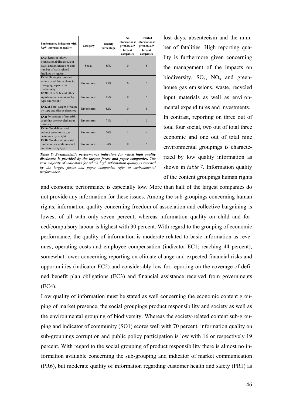| Performance indicators with<br>high information quality                                                                              | Quality<br>Category<br>percentage |     | No.<br>given by $x/9$<br>largest<br>companies | <b>Detailed</b><br>information is information is<br>given by $x/9$<br>largest<br>companies |  |
|--------------------------------------------------------------------------------------------------------------------------------------|-----------------------------------|-----|-----------------------------------------------|--------------------------------------------------------------------------------------------|--|
| LA7: Rates of injury,<br>occupational diseases, lost<br>days, and absenteeism, and<br>number of work-related<br>fatalities by region | Social                            | 85% | $\overline{0}$                                | 5                                                                                          |  |
| EN14: Strategies, current<br>actions, and future plans for<br>managing impacts on<br>biodiversity                                    | Environment                       | 85% | $\Omega$                                      | 5                                                                                          |  |
| EN20: NOx, SOx, and other<br>significant air emissions by<br>type and weight                                                         | Environment                       | 85% | $\theta$                                      | 5                                                                                          |  |
| EN22s: Total weight of waste<br>by type and disposal method                                                                          | Environment                       | 82% | $\Omega$                                      | 5                                                                                          |  |
| EN2: Percentage of materials<br>used that are recycled input<br>materials                                                            | Environment                       | 78% | 1                                             | 5                                                                                          |  |
| <b>EN16</b> : Total direct and<br>indirect greenhouse gas<br>emissions by weight                                                     | Environment                       | 74% | 1                                             | $\overline{4}$                                                                             |  |
| <b>FN30</b> : Total environmental<br>protection expenditures and<br>investments by type                                              | Environment                       | 74% | $\theta$                                      | 5                                                                                          |  |

*Table 8: Sustainability performance indicators for which high quality disclosure is provided by the largest forest and paper companies. The vast majority of indicators for which high information quality is reached by the largest forest and paper companies refer to environmental performance.* 

lost days, absenteeism and the number of fatalities. High reporting quality is furthermore given concerning the management of the impacts on biodiversity,  $SO_x$ ,  $NO_x$  and greenhouse gas emissions, waste, recycled input materials as well as environmental expenditures and investments. In contrast, reporting on three out of

total four social, two out of total three economic and one out of total nine environmental groupings is characterized by low quality information as shown in *table 7.* Information quality of the content groupings human rights

and economic performance is especially low. More than half of the largest companies do not provide any information for these issues. Among the sub-groupings concerning human rights, information quality concerning freedom of association and collective bargaining is lowest of all with only seven percent, whereas information quality on child and forced/compulsory labour is highest with 30 percent. With regard to the grouping of economic performance, the quality of information is moderate related to basic information as revenues, operating costs and employee compensation (indicator EC1; reaching 44 percent), somewhat lower concerning reporting on climate change and expected financial risks and opportunities (indicator EC2) and considerably low for reporting on the coverage of defined benefit plan obligations (EC3) and financial assistance received from governments (EC4).

Low quality of information must be stated as well concerning the economic content grouping of market presence, the social groupings product responsibility and society as well as the environmental grouping of biodiversity. Whereas the society-related content sub-grouping and indicator of community (SO1) scores well with 70 percent, information quality on sub-groupings corruption and public policy participation is low with 16 or respectively 19 percent. With regard to the social grouping of product responsibility there is almost no information available concerning the sub-grouping and indicator of market communication (PR6), but moderate quality of information regarding customer health and safety (PR1) as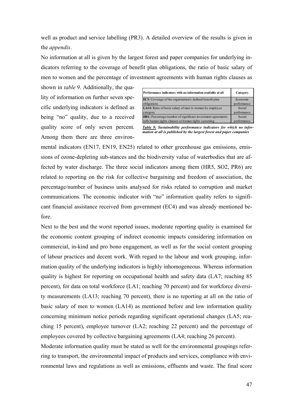well as product and service labelling (PR3). A detailed overview of the results is given in the *appendix*.

No information at all is given by the largest forest and paper companies for underlying indicators referring to the coverage of benefit plan obligations, the ratio of basic salary of men to women and the percentage of investment agreements with human rights clauses as

shown in *table 9*. Additionally, the quality of information on further seven specific underlying indicators is defined as being "no" quality, due to a received quality score of only seven percent. Among them there are three environ-

| Performance indicators with no information available at all      | Category    |
|------------------------------------------------------------------|-------------|
| <b>EC3</b> : Coverage of the organization's defined benefit plan | Economic    |
| obligations                                                      | performance |
| LA14: Ratio of basic salary of men to women by employee          | Social      |
| category                                                         | performance |
| HR1: Percentage/number of significant investment agreements      | Social      |
| with human rights clauses or human rights screening              | performance |

*Table 9: Sustainability performance indicators for which no information at all is published by the largest forest and paper companies*

mental indicators (EN17, EN19, EN25) related to other greenhouse gas emissions, emissions of ozone-depleting sub-stances and the biodiversity value of waterbodies that are affected by water discharge. The three social indicators among them (HR5, SO2, PR6) are related to reporting on the risk for collective bargaining and freedom of association, the percentage/number of business units analysed for risks related to corruption and market communications. The economic indicator with "no" information quality refers to significant financial assistance received from government (EC4) and was already mentioned before.

Next to the best and the worst reported issues, moderate reporting quality is examined for the economic content grouping of indirect economic impacts considering information on commercial, in-kind and pro bono engagement, as well as for the social content grouping of labour practices and decent work. With regard to the labour and work grouping, information quality of the underlying indicators is highly inhomogeneous. Whereas information quality is highest for reporting on occupational health and safety data (LA7; reaching 85 percent), for data on total workforce (LA1; reaching 70 percent) and for workforce diversity measurements (LA13; reaching 70 percent), there is no reporting at all on the ratio of basic salary of men to women (LA14) as mentioned before and low information quality concerning minimum notice periods regarding significant operational changes (LA5; reaching 15 percent), employee turnover (LA2; reaching 22 percent) and the percentage of employees covered by collective bargaining agreements (LA4; reaching 26 percent).

Moderate information quality must be stated as well for the environmental groupings referring to transport, the environmental impact of products and services, compliance with environmental laws and regulations as well as emissions, effluents and waste. The final score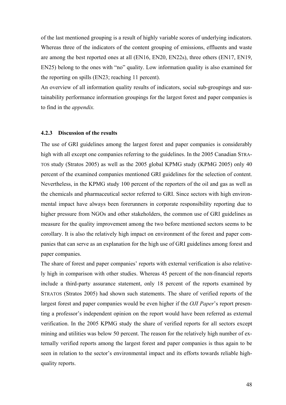of the last mentioned grouping is a result of highly variable scores of underlying indicators. Whereas three of the indicators of the content grouping of emissions, effluents and waste are among the best reported ones at all (EN16, EN20, EN22s), three others (EN17, EN19, EN25) belong to the ones with "no" quality. Low information quality is also examined for the reporting on spills (EN23; reaching 11 percent).

An overview of all information quality results of indicators, social sub-groupings and sustainability performance information groupings for the largest forest and paper companies is to find in the *appendix.*

#### **4.2.3 Discussion of the results**

The use of GRI guidelines among the largest forest and paper companies is considerably high with all except one companies referring to the guidelines. In the 2005 Canadian STRA-TOS study (Stratos 2005) as well as the 2005 global KPMG study (KPMG 2005) only 40 percent of the examined companies mentioned GRI guidelines for the selection of content. Nevertheless, in the KPMG study 100 percent of the reporters of the oil and gas as well as the chemicals and pharmaceutical sector referred to GRI. Since sectors with high environmental impact have always been forerunners in corporate responsibility reporting due to higher pressure from NGOs and other stakeholders, the common use of GRI guidelines as measure for the quality improvement among the two before mentioned sectors seems to be corollary. It is also the relatively high impact on environment of the forest and paper companies that can serve as an explanation for the high use of GRI guidelines among forest and paper companies.

The share of forest and paper companies' reports with external verification is also relatively high in comparison with other studies. Whereas 45 percent of the non-financial reports include a third-party assurance statement, only 18 percent of the reports examined by STRATOS (Stratos 2005) had shown such statements. The share of verified reports of the largest forest and paper companies would be even higher if the *OJI Paper*'s report presenting a professor's independent opinion on the report would have been referred as external verification. In the 2005 KPMG study the share of verified reports for all sectors except mining and utilities was below 50 percent. The reason for the relatively high number of externally verified reports among the largest forest and paper companies is thus again to be seen in relation to the sector's environmental impact and its efforts towards reliable highquality reports.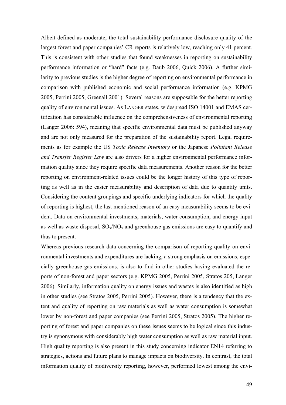Albeit defined as moderate, the total sustainability performance disclosure quality of the largest forest and paper companies' CR reports is relatively low, reaching only 41 percent. This is consistent with other studies that found weaknesses in reporting on sustainability performance information or "hard" facts (e.g. Daub 2006, Quick 2006). A further similarity to previous studies is the higher degree of reporting on environmental performance in comparison with published economic and social performance information (e.g. KPMG 2005, Perrini 2005, Greenall 2001). Several reasons are supposable for the better reporting quality of environmental issues. As LANGER states, widespread ISO 14001 and EMAS certification has considerable influence on the comprehensiveness of environmental reporting (Langer 2006: 594), meaning that specific environmental data must be published anyway and are not only measured for the preparation of the sustainability report. Legal requirements as for example the US *Toxic Release Inventory* or the Japanese *Pollutant Release and Transfer Register Law* are also drivers for a higher environmental performance information quality since they require specific data measurements. Another reason for the better reporting on environment-related issues could be the longer history of this type of reporting as well as in the easier measurability and description of data due to quantity units. Considering the content groupings and specific underlying indicators for which the quality of reporting is highest, the last mentioned reason of an easy measurability seems to be evident. Data on environmental investments, materials, water consumption, and energy input as well as waste disposal,  $SO_x/NO_x$  and greenhouse gas emissions are easy to quantify and thus to present.

Whereas previous research data concerning the comparison of reporting quality on environmental investments and expenditures are lacking, a strong emphasis on emissions, especially greenhouse gas emissions, is also to find in other studies having evaluated the reports of non-forest and paper sectors (e.g. KPMG 2005, Perrini 2005, Stratos 205, Langer 2006). Similarly, information quality on energy issues and wastes is also identified as high in other studies (see Stratos 2005, Perrini 2005). However, there is a tendency that the extent and quality of reporting on raw materials as well as water consumption is somewhat lower by non-forest and paper companies (see Perrini 2005, Stratos 2005). The higher reporting of forest and paper companies on these issues seems to be logical since this industry is synonymous with considerably high water consumption as well as raw material input. High quality reporting is also present in this study concerning indicator EN14 referring to strategies, actions and future plans to manage impacts on biodiversity. In contrast, the total information quality of biodiversity reporting, however, performed lowest among the envi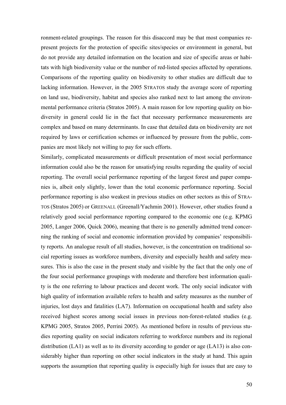ronment-related groupings. The reason for this disaccord may be that most companies represent projects for the protection of specific sites/species or environment in general, but do not provide any detailed information on the location and size of specific areas or habitats with high biodiversity value or the number of red-listed species affected by operations. Comparisons of the reporting quality on biodiversity to other studies are difficult due to lacking information. However, in the 2005 STRATOS study the average score of reporting on land use, biodiversity, habitat and species also ranked next to last among the environmental performance criteria (Stratos 2005). A main reason for low reporting quality on biodiversity in general could lie in the fact that necessary performance measurements are complex and based on many determinants. In case that detailed data on biodiversity are not required by laws or certification schemes or influenced by pressure from the public, companies are most likely not willing to pay for such efforts.

Similarly, complicated measurements or difficult presentation of most social performance information could also be the reason for unsatisfying results regarding the quality of social reporting. The overall social performance reporting of the largest forest and paper companies is, albeit only slightly, lower than the total economic performance reporting. Social performance reporting is also weakest in previous studies on other sectors as this of STRA-TOS (Stratos 2005) or GREENALL (Greenall/Yachmin 2001). However, other studies found a relatively good social performance reporting compared to the economic one (e.g. KPMG 2005, Langer 2006, Quick 2006), meaning that there is no generally admitted trend concerning the ranking of social and economic information provided by companies' responsibility reports. An analogue result of all studies, however, is the concentration on traditional social reporting issues as workforce numbers, diversity and especially health and safety measures. This is also the case in the present study and visible by the fact that the only one of the four social performance groupings with moderate and therefore best information quality is the one referring to labour practices and decent work. The only social indicator with high quality of information available refers to health and safety measures as the number of injuries, lost days and fatalities (LA7). Information on occupational health and safety also received highest scores among social issues in previous non-forest-related studies (e.g. KPMG 2005, Stratos 2005, Perrini 2005). As mentioned before in results of previous studies reporting quality on social indicators referring to workforce numbers and its regional distribution (LA1) as well as to its diversity according to gender or age (LA13) is also considerably higher than reporting on other social indicators in the study at hand. This again supports the assumption that reporting quality is especially high for issues that are easy to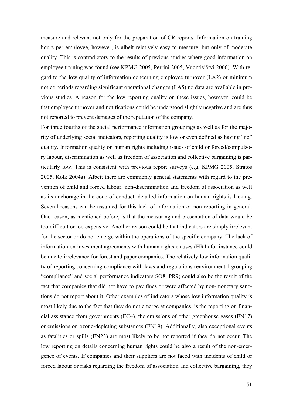measure and relevant not only for the preparation of CR reports. Information on training hours per employee, however, is albeit relatively easy to measure, but only of moderate quality. This is contradictory to the results of previous studies where good information on employee training was found (see KPMG 2005, Perrini 2005, Vuontisjärvi 2006). With regard to the low quality of information concerning employee turnover (LA2) or minimum notice periods regarding significant operational changes (LA5) no data are available in previous studies. A reason for the low reporting quality on these issues, however, could be that employee turnover and notifications could be understood slightly negative and are thus not reported to prevent damages of the reputation of the company.

For three fourths of the social performance information groupings as well as for the majority of underlying social indicators, reporting quality is low or even defined as having "no" quality. Information quality on human rights including issues of child or forced/compulsory labour, discrimination as well as freedom of association and collective bargaining is particularly low. This is consistent with previous report surveys (e.g. KPMG 2005, Stratos 2005, Kolk 2004a). Albeit there are commonly general statements with regard to the prevention of child and forced labour, non-discrimination and freedom of association as well as its anchorage in the code of conduct, detailed information on human rights is lacking. Several reasons can be assumed for this lack of information or non-reporting in general. One reason, as mentioned before, is that the measuring and presentation of data would be too difficult or too expensive. Another reason could be that indicators are simply irrelevant for the sector or do not emerge within the operations of the specific company. The lack of information on investment agreements with human rights clauses (HR1) for instance could be due to irrelevance for forest and paper companies. The relatively low information quality of reporting concerning compliance with laws and regulations (environmental grouping "compliance" and social performance indicators SO8, PR9) could also be the result of the fact that companies that did not have to pay fines or were affected by non-monetary sanctions do not report about it. Other examples of indicators whose low information quality is most likely due to the fact that they do not emerge at companies, is the reporting on financial assistance from governments (EC4), the emissions of other greenhouse gases (EN17) or emissions on ozone-depleting substances (EN19). Additionally, also exceptional events as fatalities or spills (EN23) are most likely to be not reported if they do not occur. The low reporting on details concerning human rights could be also a result of the non-emergence of events. If companies and their suppliers are not faced with incidents of child or forced labour or risks regarding the freedom of association and collective bargaining, they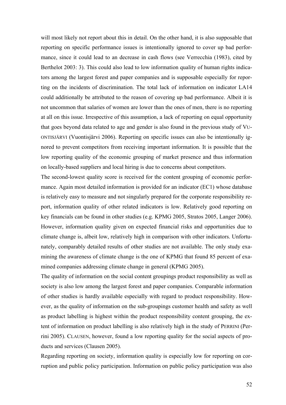will most likely not report about this in detail. On the other hand, it is also supposable that reporting on specific performance issues is intentionally ignored to cover up bad performance, since it could lead to an decrease in cash flows (see Verrecchia (1983), cited by Berthelot 2003: 3). This could also lead to low information quality of human rights indicators among the largest forest and paper companies and is supposable especially for reporting on the incidents of discrimination. The total lack of information on indicator LA14 could additionally be attributed to the reason of covering up bad performance. Albeit it is not uncommon that salaries of women are lower than the ones of men, there is no reporting at all on this issue. Irrespective of this assumption, a lack of reporting on equal opportunity that goes beyond data related to age and gender is also found in the previous study of VU-ONTISJÄRVI (Vuontisjärvi 2006). Reporting on specific issues can also be intentionally ignored to prevent competitors from receiving important information. It is possible that the low reporting quality of the economic grouping of market presence and thus information on locally-based suppliers and local hiring is due to concerns about competitors.

The second-lowest quality score is received for the content grouping of economic performance. Again most detailed information is provided for an indicator (EC1) whose database is relatively easy to measure and not singularly prepared for the corporate responsibility report, information quality of other related indicators is low. Relatively good reporting on key financials can be found in other studies (e.g. KPMG 2005, Stratos 2005, Langer 2006). However, information quality given on expected financial risks and opportunities due to climate change is, albeit low, relatively high in comparison with other indicators. Unfortunately, comparably detailed results of other studies are not available. The only study examining the awareness of climate change is the one of KPMG that found 85 percent of examined companies addressing climate change in general (KPMG 2005).

The quality of information on the social content groupings product responsibility as well as society is also low among the largest forest and paper companies. Comparable information of other studies is hardly available especially with regard to product responsibility. However, as the quality of information on the sub-groupings customer health and safety as well as product labelling is highest within the product responsibility content grouping, the extent of information on product labelling is also relatively high in the study of PERRINI (Perrini 2005). CLAUSEN, however, found a low reporting quality for the social aspects of products and services (Clausen 2005).

Regarding reporting on society, information quality is especially low for reporting on corruption and public policy participation. Information on public policy participation was also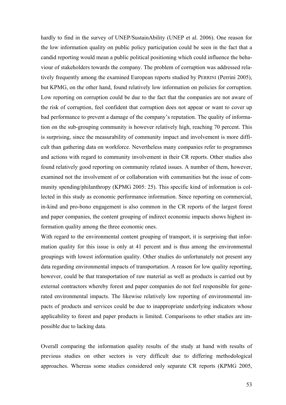hardly to find in the survey of UNEP/SustainAbility (UNEP et al. 2006). One reason for the low information quality on public policy participation could be seen in the fact that a candid reporting would mean a public political positioning which could influence the behaviour of stakeholders towards the company. The problem of corruption was addressed relatively frequently among the examined European reports studied by PERRINI (Perrini 2005), but KPMG, on the other hand, found relatively low information on policies for corruption. Low reporting on corruption could be due to the fact that the companies are not aware of the risk of corruption, feel confident that corruption does not appear or want to cover up bad performance to prevent a damage of the company's reputation. The quality of information on the sub-grouping community is however relatively high, reaching 70 percent. This is surprising, since the measurability of community impact and involvement is more difficult than gathering data on workforce. Nevertheless many companies refer to programmes and actions with regard to community involvement in their CR reports. Other studies also found relatively good reporting on community related issues. A number of them, however, examined not the involvement of or collaboration with communities but the issue of community spending/philanthropy (KPMG 2005: 25). This specific kind of information is collected in this study as economic performance information. Since reporting on commercial, in-kind and pro-bono engagement is also common in the CR reports of the largest forest and paper companies, the content grouping of indirect economic impacts shows highest information quality among the three economic ones.

With regard to the environmental content grouping of transport, it is surprising that information quality for this issue is only at 41 percent and is thus among the environmental groupings with lowest information quality. Other studies do unfortunately not present any data regarding environmental impacts of transportation. A reason for low quality reporting, however, could be that transportation of raw material as well as products is carried out by external contractors whereby forest and paper companies do not feel responsible for generated environmental impacts. The likewise relatively low reporting of environmental impacts of products and services could be due to inappropriate underlying indicators whose applicability to forest and paper products is limited. Comparisons to other studies are impossible due to lacking data.

Overall comparing the information quality results of the study at hand with results of previous studies on other sectors is very difficult due to differing methodological approaches. Whereas some studies considered only separate CR reports (KPMG 2005,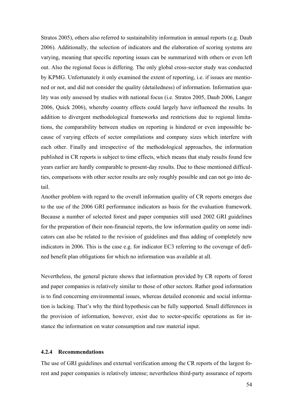Stratos 2005), others also referred to sustainability information in annual reports (e.g. Daub 2006). Additionally, the selection of indicators and the elaboration of scoring systems are varying, meaning that specific reporting issues can be summarized with others or even left out. Also the regional focus is differing. The only global cross-sector study was conducted by KPMG. Unfortunately it only examined the extent of reporting, i.e. if issues are mentioned or not, and did not consider the quality (detailedness) of information. Information quality was only assessed by studies with national focus (i.e. Stratos 2005, Daub 2006, Langer 2006, Quick 2006), whereby country effects could largely have influenced the results. In addition to divergent methodological frameworks and restrictions due to regional limitations, the comparability between studies on reporting is hindered or even impossible because of varying effects of sector compilations and company sizes which interfere with each other. Finally and irrespective of the methodological approaches, the information published in CR reports is subject to time effects, which means that study results found few years earlier are hardly comparable to present-day results. Due to these mentioned difficulties, comparisons with other sector results are only roughly possible and can not go into detail.

Another problem with regard to the overall information quality of CR reports emerges due to the use of the 2006 GRI performance indicators as basis for the evaluation framework. Because a number of selected forest and paper companies still used 2002 GRI guidelines for the preparation of their non-financial reports, the low information quality on some indicators can also be related to the revision of guidelines and thus adding of completely new indicators in 2006. This is the case e.g. for indicator EC3 referring to the coverage of defined benefit plan obligations for which no information was available at all.

Nevertheless, the general picture shows that information provided by CR reports of forest and paper companies is relatively similar to those of other sectors. Rather good information is to find concerning environmental issues, whereas detailed economic and social information is lacking. That's why the third hypothesis can be fully supported. Small differences in the provision of information, however, exist due to sector-specific operations as for instance the information on water consumption and raw material input.

#### **4.2.4 Recommendations**

The use of GRI guidelines and external verification among the CR reports of the largest forest and paper companies is relatively intense; nevertheless third-party assurance of reports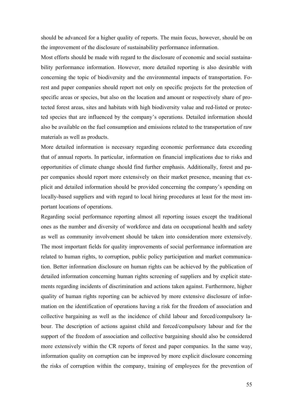should be advanced for a higher quality of reports. The main focus, however, should be on the improvement of the disclosure of sustainability performance information.

Most efforts should be made with regard to the disclosure of economic and social sustainability performance information. However, more detailed reporting is also desirable with concerning the topic of biodiversity and the environmental impacts of transportation. Forest and paper companies should report not only on specific projects for the protection of specific areas or species, but also on the location and amount or respectively share of protected forest areas, sites and habitats with high biodiversity value and red-listed or protected species that are influenced by the company's operations. Detailed information should also be available on the fuel consumption and emissions related to the transportation of raw materials as well as products.

More detailed information is necessary regarding economic performance data exceeding that of annual reports. In particular, information on financial implications due to risks and opportunities of climate change should find further emphasis. Additionally, forest and paper companies should report more extensively on their market presence, meaning that explicit and detailed information should be provided concerning the company's spending on locally-based suppliers and with regard to local hiring procedures at least for the most important locations of operations.

Regarding social performance reporting almost all reporting issues except the traditional ones as the number and diversity of workforce and data on occupational health and safety as well as community involvement should be taken into consideration more extensively. The most important fields for quality improvements of social performance information are related to human rights, to corruption, public policy participation and market communication. Better information disclosure on human rights can be achieved by the publication of detailed information concerning human rights screening of suppliers and by explicit statements regarding incidents of discrimination and actions taken against. Furthermore, higher quality of human rights reporting can be achieved by more extensive disclosure of information on the identification of operations having a risk for the freedom of association and collective bargaining as well as the incidence of child labour and forced/compulsory labour. The description of actions against child and forced/compulsory labour and for the support of the freedom of association and collective bargaining should also be considered more extensively within the CR reports of forest and paper companies. In the same way, information quality on corruption can be improved by more explicit disclosure concerning the risks of corruption within the company, training of employees for the prevention of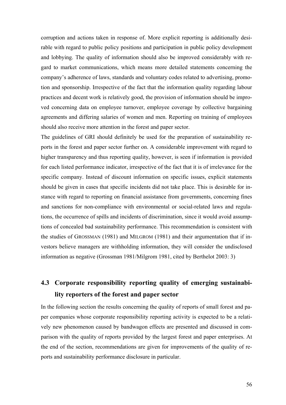corruption and actions taken in response of. More explicit reporting is additionally desirable with regard to public policy positions and participation in public policy development and lobbying. The quality of information should also be improved considerably with regard to market communications, which means more detailed statements concerning the company's adherence of laws, standards and voluntary codes related to advertising, promotion and sponsorship. Irrespective of the fact that the information quality regarding labour practices and decent work is relatively good, the provision of information should be improved concerning data on employee turnover, employee coverage by collective bargaining agreements and differing salaries of women and men. Reporting on training of employees should also receive more attention in the forest and paper sector.

The guidelines of GRI should definitely be used for the preparation of sustainability reports in the forest and paper sector further on. A considerable improvement with regard to higher transparency and thus reporting quality, however, is seen if information is provided for each listed performance indicator, irrespective of the fact that it is of irrelevance for the specific company. Instead of discount information on specific issues, explicit statements should be given in cases that specific incidents did not take place. This is desirable for instance with regard to reporting on financial assistance from governments, concerning fines and sanctions for non-compliance with environmental or social-related laws and regulations, the occurrence of spills and incidents of discrimination, since it would avoid assumptions of concealed bad sustainability performance. This recommendation is consistent with the studies of GROSSMAN (1981) and MILGROM (1981) and their argumentation that if investors believe managers are withholding information, they will consider the undisclosed information as negative (Grossman 1981/Milgrom 1981, cited by Berthelot 2003: 3)

# **4.3 Corporate responsibility reporting quality of emerging sustainability reporters of the forest and paper sector**

In the following section the results concerning the quality of reports of small forest and paper companies whose corporate responsibility reporting activity is expected to be a relatively new phenomenon caused by bandwagon effects are presented and discussed in comparison with the quality of reports provided by the largest forest and paper enterprises. At the end of the section, recommendations are given for improvements of the quality of reports and sustainability performance disclosure in particular.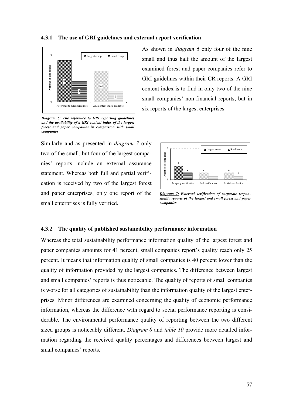#### **4.3.1 The use of GRI guidelines and external report verification**



*Diagram 6: The reference to GRI reporting guidelines and the availability of a GRI content index of the largest forest and paper companies in comparison with small companies*

Similarly and as presented in *diagram 7* only two of the small, but four of the largest companies' reports include an external assurance statement. Whereas both full and partial verification is received by two of the largest forest and paper enterprises, only one report of the small enterprises is fully verified.

As shown in *diagram 6* only four of the nine small and thus half the amount of the largest examined forest and paper companies refer to GRI guidelines within their CR reports. A GRI content index is to find in only two of the nine small companies' non-financial reports, but in six reports of the largest enterprises.



*Diagram 7: External verification of corporate responsibility reports of the largest and small forest and paper companies*

### **4.3.2 The quality of published sustainability performance information**

Whereas the total sustainability performance information quality of the largest forest and paper companies amounts for 41 percent, small companies report's quality reach only 25 percent. It means that information quality of small companies is 40 percent lower than the quality of information provided by the largest companies. The difference between largest and small companies' reports is thus noticeable. The quality of reports of small companies is worse for all categories of sustainability than the information quality of the largest enterprises. Minor differences are examined concerning the quality of economic performance information, whereas the difference with regard to social performance reporting is considerable. The environmental performance quality of reporting between the two different sized groups is noticeably different. *Diagram 8* and *table 10* provide more detailed information regarding the received quality percentages and differences between largest and small companies' reports.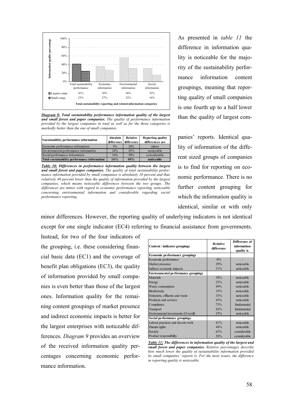

*Diagram 8: Total sustainability performance information quality of the largest and small forest and paper companies. The quality of performance information provided by the largest companies in total as well as for the three categories is markedly better than the one of small companies.* 

| Sustainability performance information       | Absolute | Relative<br>difference difference | <b>Reporting quality</b><br>differences are |
|----------------------------------------------|----------|-----------------------------------|---------------------------------------------|
| Economic performance information             | 9%       | 24%                               | minor                                       |
| Environmental performance information        | 24%      | 43%                               | noticeable                                  |
| Social performance information               | 16%      | 50%                               | considerable                                |
| Total sustainability performance information | 16%      | 40%                               | noticeable                                  |

*Table 10: Differences in performance information quality between the largest and small forest and paper companies. The quality of total sustainability performance information provided by small companies is absolutely 16 percent and thus relatively 40 percent lower than the quality of information provided by the largest companies, which means noticeable differences between the two groups. The differences are minor with regard to economic performance reporting, noticeable concerning environmental information and considerable regarding social performance reporting.* 

As presented in *table 11* the difference in information quality is noticeable for the majority of the sustainability performance information content groupings, meaning that reporting quality of small companies is one fourth up to a half lower than the quality of largest com-

panies' reports. Identical quality of information of the different sized groups of companies is to find for reporting on economic performance. There is no further content grouping for which the information quality is identical, similar or with only

minor differences. However, the reporting quality of underlying indicators is not identical except for one single indicator (EC4) referring to financial assistance from governments.

Instead, for two of the four indicators of the grouping, i.e. these considering financial basic data (EC1) and the coverage of benefit plan obligations (EC3), the quality of information provided by small companies is even better than those of the largest ones. Information quality for the remaining content groupings of market presence and indirect economic impacts is better for the largest enterprises with noticeable differences. *Diagram 9* provides an overview of the received information quality percentages concerning economic performance information.

| Content / indicator groupings              | <b>Relative</b><br>difference | Difference of<br>information<br>quality is |
|--------------------------------------------|-------------------------------|--------------------------------------------|
| <b>Economic performance groupings</b>      |                               |                                            |
| Economic performance                       | $0\%$                         |                                            |
| Market presence                            | 29%                           | noticeable                                 |
| Indirect economic impacts                  | 31%                           | noticeable                                 |
| <b>Environmental performance groupings</b> |                               |                                            |
| Materials                                  | 38%                           | noticeable                                 |
| Energy                                     | 25%                           | noticeable                                 |
| Water consumption                          | 49%                           | noticeable                                 |
| <b>Biodiversity</b>                        | 35%                           | noticeable                                 |
| Emissions, effluents and waste             | 33%                           | noticeable                                 |
| Products and services                      | 43%                           | noticeable                                 |
| Compliance                                 | 75%                           | fundamental                                |
| Transport                                  | 82%                           | fundamental                                |
| Environmental investments (Overall)        | 25%                           | noticeable                                 |
| Social performance groupings               |                               |                                            |
| Labour practices and decent work           | 41%                           | noticeable                                 |
| Human rights                               | 44%                           | noticeable                                 |
| Society                                    | 65%                           | considerable                               |
| Product responsibility                     | 50%                           | considerable                               |

*Table 11: The differences in information quality of the largest and small forest and paper companies. Relative percentages describe how much lower the quality of sustainability information provided by small companies' reports is. For the most issues, the difference in reporting quality is noticeable.*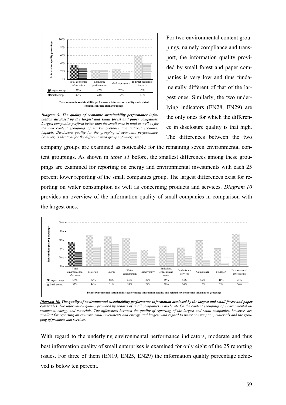

*Diagram 9: The quality of economic sustainability performance information disclosed by the largest and small forest and paper companies. Largest companies perform better than the small ones in total as well as for the two content groupings of market presence and indirect economic impacts. Disclosure quality for the grouping of economic performance, however, is identical for the different sized groups of enterprises.*

For two environmental content groupings, namely compliance and transport, the information quality provided by small forest and paper companies is very low and thus fundamentally different of that of the largest ones. Similarly, the two underlying indicators (EN28, EN29) are the only ones for which the difference in disclosure quality is that high. The differences between the two

company groups are examined as noticeable for the remaining seven environmental content groupings. As shown in *table 11* before, the smallest differences among these groupings are examined for reporting on energy and environmental investments with each 25 percent lower reporting of the small companies group. The largest differences exist for reporting on water consumption as well as concerning products and services. *Diagram 10* provides an overview of the information quality of small companies in comparison with the largest ones.



*Diagram 10: The quality of environmental sustainability performance information disclosed by the largest and small forest and paper companies. The information quality provided by reports of small companies is moderate for the content groupings of environmental investments, energy and materials. The differences between the quality of reporting of the largest and small companies, however, are smallest for reporting on environmental investments and energy, and largest with regard to water consumption, materials and the grouping of products and services.*

With regard to the underlying environmental performance indicators, moderate and thus best information quality of small enterprises is examined for only eight of the 25 reporting issues. For three of them (EN19, EN25, EN29) the information quality percentage achieved is below ten percent.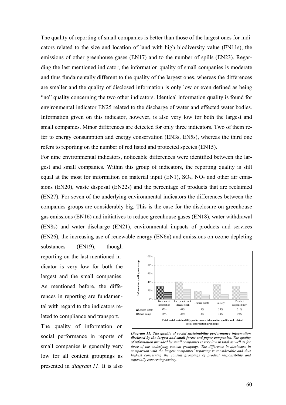The quality of reporting of small companies is better than those of the largest ones for indicators related to the size and location of land with high biodiversity value (EN11s), the emissions of other greenhouse gases (EN17) and to the number of spills (EN23). Regarding the last mentioned indicator, the information quality of small companies is moderate and thus fundamentally different to the quality of the largest ones, whereas the differences are smaller and the quality of disclosed information is only low or even defined as being "no" quality concerning the two other indicators. Identical information quality is found for environmental indicator EN25 related to the discharge of water and effected water bodies. Information given on this indicator, however, is also very low for both the largest and small companies. Minor differences are detected for only three indicators. Two of them refer to energy consumption and energy conservation (EN3s, EN5s), whereas the third one refers to reporting on the number of red listed and protected species (EN15).

For nine environmental indicators, noticeable differences were identified between the largest and small companies. Within this group of indicators, the reporting quality is still equal at the most for information on material input (EN1),  $SO_x$ ,  $NO_x$  and other air emissions (EN20), waste disposal (EN22s) and the percentage of products that are reclaimed (EN27). For seven of the underlying environmental indicators the differences between the companies groups are considerably big. This is the case for the disclosure on greenhouse gas emissions (EN16) and initiatives to reduce greenhouse gases (EN18), water withdrawal (EN8s) and water discharge (EN21), environmental impacts of products and services (EN26), the increasing use of renewable energy (EN6n) and emissions on ozone-depleting

substances (EN19), though reporting on the last mentioned indicator is very low for both the largest and the small companies. As mentioned before, the differences in reporting are fundamental with regard to the indicators related to compliance and transport.

The quality of information on social performance in reports of small companies is generally very low for all content groupings as presented in *diagram 11*. It is also



*Diagram 11: The quality of social sustainability performance information disclosed by the largest and small forest and paper companies. The quality of information provided by small companies is very low in total as well as for three of the underlying content groupings. The difference in disclosure in comparison with the largest companies' reporting is considerable and thus highest concerning the content groupings of product responsibility and especially concerning society.*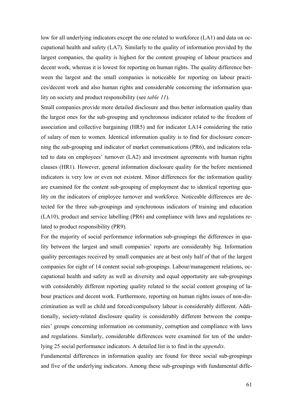low for all underlying indicators except the one related to workforce (LA1) and data on occupational health and safety (LA7). Similarly to the quality of information provided by the largest companies, the quality is highest for the content grouping of labour practices and decent work, whereas it is lowest for reporting on human rights. The quality difference between the largest and the small companies is noticeable for reporting on labour practices/decent work and also human rights and considerable concerning the information quality on society and product responsibility (see *table 11*).

Small companies provide more detailed disclosure and thus better information quality than the largest ones for the sub-grouping and synchronous indicator related to the freedom of association and collective bargaining (HR5) and for indicator LA14 considering the ratio of salary of men to women. Identical information quality is to find for disclosure concerning the sub-grouping and indicator of market communications (PR6), and indicators related to data on employees' turnover (LA2) and investment agreements with human rights clauses (HR1). However, general information disclosure quality for the before mentioned indicators is very low or even not existent. Minor differences for the information quality are examined for the content sub-grouping of employment due to identical reporting quality on the indicators of employee turnover and workforce. Noticeable differences are detected for the three sub-groupings and synchronous indicators of training and education (LA10), product and service labelling (PR6) and compliance with laws and regulations related to product responsibility (PR9).

For the majority of social performance information sub-groupings the differences in quality between the largest and small companies' reports are considerably big. Information quality percentages received by small companies are at best only half of that of the largest companies for eight of 14 content social sub-groupings. Labour/management relations, occupational health and safety as well as diversity and equal opportunity are sub-groupings with considerably different reporting quality related to the social content grouping of labour practices and decent work. Furthermore, reporting on human rights issues of non-discrimination as well as child and forced/compulsory labour is considerably different. Additionally, society-related disclosure quality is considerably different between the companies' groups concerning information on community, corruption and compliance with laws and regulations. Similarly, considerable differences were examined for ten of the underlying 25 social performance indicators. A detailed list is to find in the *appendix*.

Fundamental differences in information quality are found for three social sub-groupings and five of the underlying indicators. Among these sub-groupings with fundamental diffe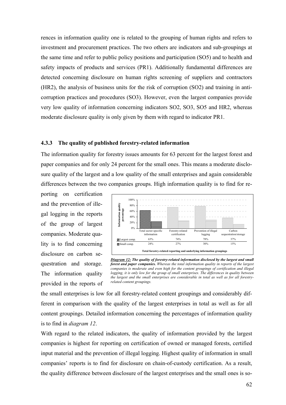rences in information quality one is related to the grouping of human rights and refers to investment and procurement practices. The two others are indicators and sub-groupings at the same time and refer to public policy positions and participation (SO5) and to health and safety impacts of products and services (PR1). Additionally fundamental differences are detected concerning disclosure on human rights screening of suppliers and contractors (HR2), the analysis of business units for the risk of corruption (SO2) and training in anticorruption practices and procedures (SO3). However, even the largest companies provide very low quality of information concerning indicators SO2, SO3, SO5 and HR2, whereas moderate disclosure quality is only given by them with regard to indicator PR1.

#### **4.3.3 The quality of published forestry-related information**

The information quality for forestry issues amounts for 63 percent for the largest forest and paper companies and for only 24 percent for the small ones. This means a moderate disclosure quality of the largest and a low quality of the small enterprises and again considerable differences between the two companies groups. High information quality is to find for re-

porting on certification and the prevention of illegal logging in the reports of the group of largest companies. Moderate quality is to find concerning disclosure on carbon sequestration and storage. The information quality provided in the reports of



*Diagram 12: The quality of forestry-related information disclosed by the largest and small forest and paper companies. Whereas the total information quality in reports of the largest companies is moderate and even high for the content groupings of certification and illegal logging, it is only low for the group of small enterprises. The differences in quality between the largest and the small enterprises are considerable in total as well as for all forestryrelated content groupings.* 

the small enterprises is low for all forestry-related content groupings and considerably different in comparison with the quality of the largest enterprises in total as well as for all content groupings. Detailed information concerning the percentages of information quality is to find in *diagram 12*.

With regard to the related indicators, the quality of information provided by the largest companies is highest for reporting on certification of owned or managed forests, certified input material and the prevention of illegal logging. Highest quality of information in small companies' reports is to find for disclosure on chain-of-custody certification. As a result, the quality difference between disclosure of the largest enterprises and the small ones is so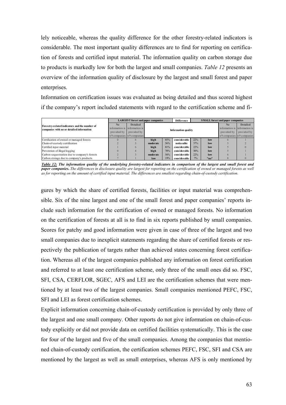lely noticeable, whereas the quality difference for the other forestry-related indicators is considerable. The most important quality differences are to find for reporting on certification of forests and certified input material. The information quality on carbon storage due to products is markedly low for both the largest and small companies. *Table 12* presents an overview of the information quality of disclosure by the largest and small forest and paper enterprises.

Information on certification issues was evaluated as being detailed and thus scored highest if the company's report included statements with regard to the certification scheme and fi-

|                                               | <b>LARGEST</b> forest and paper companies |                                 |          | <b>Difference</b>          | <b>SMALL</b> forest and paper companies |     |             |                                 |                 |
|-----------------------------------------------|-------------------------------------------|---------------------------------|----------|----------------------------|-----------------------------------------|-----|-------------|---------------------------------|-----------------|
| Forestry-related indicators and the number of | N <sub>0</sub>                            | <b>Detailed</b>                 |          |                            |                                         |     |             | N <sub>0</sub>                  | <b>Detailed</b> |
| companies with no or detailed information     |                                           | information is information is   |          | <b>Information quality</b> |                                         |     |             | information is information is   |                 |
|                                               | provided by                               | provided by                     |          |                            |                                         |     | provided by | provided by                     |                 |
|                                               |                                           | $x/9$ companies $x/9$ companies |          |                            |                                         |     |             | $x/9$ companies $x/9$ companies |                 |
| Certification of owned or managed forests     |                                           |                                 | high     | 85%                        | considerable                            | 22% | low         |                                 |                 |
| Chain-of-custody certification                |                                           |                                 | moderate | 56%                        | noticeable                              | 37% | low         |                                 |                 |
| Certified input material                      |                                           |                                 | high     | 81%                        | considerable                            | 22% | low         |                                 |                 |
| Prevention of illegal logging                 |                                           |                                 | high     | 78%                        | considerable                            | 30% | low         |                                 |                 |
| Carbon sequestration due to company's forests |                                           |                                 | moderate | 56%                        | considerable                            | 22% | low         |                                 |                 |
| Carbon storage due to company's products      |                                           |                                 | low      | 19%                        | considerable                            | 7%  | "no"        |                                 |                 |

*Table 12: The information quality of the underlying forestry-related indicators in comparison of the largest and small forest and paper companies***.** *The differences in disclosure quality are largest for reporting on the certification of owned or managed forests as well as for reporting on the amount of certified input material. The differences are smallest regarding chain-of-custody certification.* 

gures by which the share of certified forests, facilities or input material was comprehensible. Six of the nine largest and one of the small forest and paper companies' reports include such information for the certification of owned or managed forests. No information on the certification of forests at all is to find in six reports published by small companies. Scores for patchy and good information were given in case of three of the largest and two small companies due to inexplicit statements regarding the share of certified forests or respectively the publication of targets rather than achieved states concerning forest certification. Whereas all of the largest companies published any information on forest certification and referred to at least one certification scheme, only three of the small ones did so. FSC, SFI, CSA, CERFLOR, SGEC, AFS and LEI are the certification schemes that were mentioned by at least two of the largest companies. Small companies mentioned PEFC, FSC, SFI and LEI as forest certification schemes.

Explicit information concerning chain-of-custody certification is provided by only three of the largest and one small company. Other reports do not give information on chain-of-custody explicitly or did not provide data on certified facilities systematically. This is the case for four of the largest and five of the small companies. Among the companies that mentioned chain-of-custody certification, the certification schemes PEFC, FSC, SFI and CSA are mentioned by the largest as well as small enterprises, whereas AFS is only mentioned by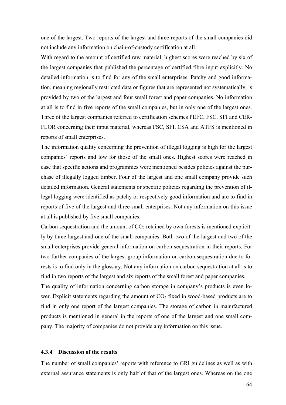one of the largest. Two reports of the largest and three reports of the small companies did not include any information on chain-of-custody certification at all.

With regard to the amount of certified raw material, highest scores were reached by six of the largest companies that published the percentage of certified fibre input explicitly. No detailed information is to find for any of the small enterprises. Patchy and good information, meaning regionally restricted data or figures that are represented not systematically, is provided by two of the largest and four small forest and paper companies. No information at all is to find in five reports of the small companies, but in only one of the largest ones. Three of the largest companies referred to certification schemes PEFC, FSC, SFI and CER-FLOR concerning their input material, whereas FSC, SFI, CSA and ATFS is mentioned in reports of small enterprises.

The information quality concerning the prevention of illegal logging is high for the largest companies' reports and low for those of the small ones. Highest scores were reached in case that specific actions and programmes were mentioned besides policies against the purchase of illegally logged timber. Four of the largest and one small company provide such detailed information. General statements or specific policies regarding the prevention of illegal logging were identified as patchy or respectively good information and are to find in reports of five of the largest and three small enterprises. Not any information on this issue at all is published by five small companies.

Carbon sequestration and the amount of  $CO<sub>2</sub>$  retained by own forests is mentioned explicitly by three largest and one of the small companies. Both two of the largest and two of the small enterprises provide general information on carbon sequestration in their reports. For two further companies of the largest group information on carbon sequestration due to forests is to find only in the glossary. Not any information on carbon sequestration at all is to find in two reports of the largest and six reports of the small forest and paper companies.

The quality of information concerning carbon storage in company's products is even lower. Explicit statements regarding the amount of  $CO<sub>2</sub>$  fixed in wood-based products are to find in only one report of the largest companies. The storage of carbon in manufactured products is mentioned in general in the reports of one of the largest and one small company. The majority of companies do not provide any information on this issue.

#### **4.3.4 Discussion of the results**

The number of small companies' reports with reference to GRI guidelines as well as with external assurance statements is only half of that of the largest ones. Whereas on the one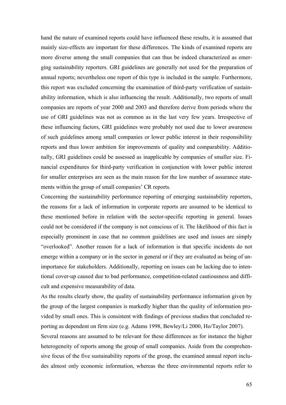hand the nature of examined reports could have influenced these results, it is assumed that mainly size-effects are important for these differences. The kinds of examined reports are more diverse among the small companies that can thus be indeed characterized as emerging sustainability reporters. GRI guidelines are generally not used for the preparation of annual reports; nevertheless one report of this type is included in the sample. Furthermore, this report was excluded concerning the examination of third-party verification of sustainability information, which is also influencing the result. Additionally, two reports of small companies are reports of year 2000 and 2003 and therefore derive from periods where the use of GRI guidelines was not as common as in the last very few years. Irrespective of these influencing factors, GRI guidelines were probably not used due to lower awareness of such guidelines among small companies or lower public interest in their responsibility reports and thus lower ambition for improvements of quality and comparability. Additionally, GRI guidelines could be assessed as inapplicable by companies of smaller size. Financial expenditures for third-party verification in conjunction with lower public interest for smaller enterprises are seen as the main reason for the low number of assurance statements within the group of small companies' CR reports.

Concerning the sustainability performance reporting of emerging sustainability reporters, the reasons for a lack of information in corporate reports are assumed to be identical to these mentioned before in relation with the sector-specific reporting in general. Issues could not be considered if the company is not conscious of it. The likelihood of this fact is especially prominent in case that no common guidelines are used and issues are simply "overlooked". Another reason for a lack of information is that specific incidents do not emerge within a company or in the sector in general or if they are evaluated as being of unimportance for stakeholders. Additionally, reporting on issues can be lacking due to intentional cover-up caused due to bad performance, competition-related cautiousness and difficult and expensive measurability of data.

As the results clearly show, the quality of sustainability performance information given by the group of the largest companies is markedly higher than the quality of information provided by small ones. This is consistent with findings of previous studies that concluded reporting as dependent on firm size (e.g. Adams 1998, Bewley/Li 2000, Ho/Taylor 2007).

Several reasons are assumed to be relevant for these differences as for instance the higher heterogeneity of reports among the group of small companies. Aside from the comprehensive focus of the five sustainability reports of the group, the examined annual report includes almost only economic information, whereas the three environmental reports refer to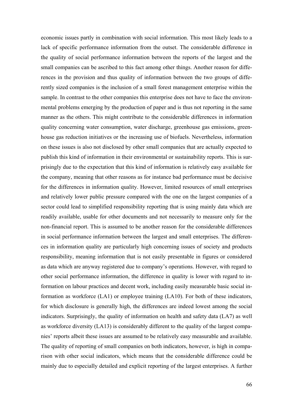economic issues partly in combination with social information. This most likely leads to a lack of specific performance information from the outset. The considerable difference in the quality of social performance information between the reports of the largest and the small companies can be ascribed to this fact among other things. Another reason for differences in the provision and thus quality of information between the two groups of differently sized companies is the inclusion of a small forest management enterprise within the sample. In contrast to the other companies this enterprise does not have to face the environmental problems emerging by the production of paper and is thus not reporting in the same manner as the others. This might contribute to the considerable differences in information quality concerning water consumption, water discharge, greenhouse gas emissions, greenhouse gas reduction initiatives or the increasing use of biofuels. Nevertheless, information on these issues is also not disclosed by other small companies that are actually expected to publish this kind of information in their environmental or sustainability reports. This is surprisingly due to the expectation that this kind of information is relatively easy available for the company, meaning that other reasons as for instance bad performance must be decisive for the differences in information quality. However, limited resources of small enterprises and relatively lower public pressure compared with the one on the largest companies of a sector could lead to simplified responsibility reporting that is using mainly data which are readily available, usable for other documents and not necessarily to measure only for the non-financial report. This is assumed to be another reason for the considerable differences in social performance information between the largest and small enterprises. The differences in information quality are particularly high concerning issues of society and products responsibility, meaning information that is not easily presentable in figures or considered as data which are anyway registered due to company's operations. However, with regard to other social performance information, the difference in quality is lower with regard to information on labour practices and decent work, including easily measurable basic social information as workforce (LA1) or employee training (LA10). For both of these indicators, for which disclosure is generally high, the differences are indeed lowest among the social indicators. Surprisingly, the quality of information on health and safety data (LA7) as well as workforce diversity (LA13) is considerably different to the quality of the largest companies' reports albeit these issues are assumed to be relatively easy measurable and available. The quality of reporting of small companies on both indicators, however, is high in comparison with other social indicators, which means that the considerable difference could be mainly due to especially detailed and explicit reporting of the largest enterprises. A further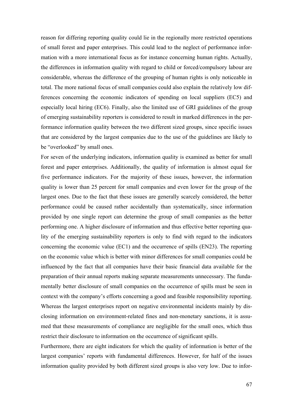reason for differing reporting quality could lie in the regionally more restricted operations of small forest and paper enterprises. This could lead to the neglect of performance information with a more international focus as for instance concerning human rights. Actually, the differences in information quality with regard to child or forced/compulsory labour are considerable, whereas the difference of the grouping of human rights is only noticeable in total. The more national focus of small companies could also explain the relatively low differences concerning the economic indicators of spending on local suppliers (EC5) and especially local hiring (EC6). Finally, also the limited use of GRI guidelines of the group of emerging sustainability reporters is considered to result in marked differences in the performance information quality between the two different sized groups, since specific issues that are considered by the largest companies due to the use of the guidelines are likely to be "overlooked" by small ones.

For seven of the underlying indicators, information quality is examined as better for small forest and paper enterprises. Additionally, the quality of information is almost equal for five performance indicators. For the majority of these issues, however, the information quality is lower than 25 percent for small companies and even lower for the group of the largest ones. Due to the fact that these issues are generally scarcely considered, the better performance could be caused rather accidentally than systematically, since information provided by one single report can determine the group of small companies as the better performing one. A higher disclosure of information and thus effective better reporting quality of the emerging sustainability reporters is only to find with regard to the indicators concerning the economic value (EC1) and the occurrence of spills (EN23). The reporting on the economic value which is better with minor differences for small companies could be influenced by the fact that all companies have their basic financial data available for the preparation of their annual reports making separate measurements unnecessary. The fundamentally better disclosure of small companies on the occurrence of spills must be seen in context with the company's efforts concerning a good and feasible responsibility reporting. Whereas the largest enterprises report on negative environmental incidents mainly by disclosing information on environment-related fines and non-monetary sanctions, it is assumed that these measurements of compliance are negligible for the small ones, which thus restrict their disclosure to information on the occurrence of significant spills.

Furthermore, there are eight indicators for which the quality of information is better of the largest companies' reports with fundamental differences. However, for half of the issues information quality provided by both different sized groups is also very low. Due to infor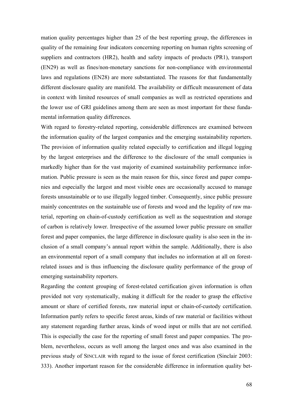mation quality percentages higher than 25 of the best reporting group, the differences in quality of the remaining four indicators concerning reporting on human rights screening of suppliers and contractors (HR2), health and safety impacts of products (PR1), transport (EN29) as well as fines/non-monetary sanctions for non-compliance with environmental laws and regulations (EN28) are more substantiated. The reasons for that fundamentally different disclosure quality are manifold. The availability or difficult measurement of data in context with limited resources of small companies as well as restricted operations and the lower use of GRI guidelines among them are seen as most important for these fundamental information quality differences.

With regard to forestry-related reporting, considerable differences are examined between the information quality of the largest companies and the emerging sustainability reporters. The provision of information quality related especially to certification and illegal logging by the largest enterprises and the difference to the disclosure of the small companies is markedly higher than for the vast majority of examined sustainability performance information. Public pressure is seen as the main reason for this, since forest and paper companies and especially the largest and most visible ones are occasionally accused to manage forests unsustainable or to use illegally logged timber. Consequently, since public pressure mainly concentrates on the sustainable use of forests and wood and the legality of raw material, reporting on chain-of-custody certification as well as the sequestration and storage of carbon is relatively lower. Irrespective of the assumed lower public pressure on smaller forest and paper companies, the large difference in disclosure quality is also seen in the inclusion of a small company's annual report within the sample. Additionally, there is also an environmental report of a small company that includes no information at all on forestrelated issues and is thus influencing the disclosure quality performance of the group of emerging sustainability reporters.

Regarding the content grouping of forest-related certification given information is often provided not very systematically, making it difficult for the reader to grasp the effective amount or share of certified forests, raw material input or chain-of-custody certification. Information partly refers to specific forest areas, kinds of raw material or facilities without any statement regarding further areas, kinds of wood input or mills that are not certified. This is especially the case for the reporting of small forest and paper companies. The problem, nevertheless, occurs as well among the largest ones and was also examined in the previous study of SINCLAIR with regard to the issue of forest certification (Sinclair 2003: 333). Another important reason for the considerable difference in information quality bet-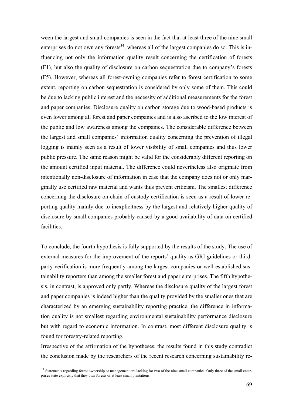ween the largest and small companies is seen in the fact that at least three of the nine small enterprises do not own any forests<sup>34</sup>, whereas all of the largest companies do so. This is influencing not only the information quality result concerning the certification of forests (F1), but also the quality of disclosure on carbon sequestration due to company's forests (F5). However, whereas all forest-owning companies refer to forest certification to some extent, reporting on carbon sequestration is considered by only some of them. This could be due to lacking public interest and the necessity of additional measurements for the forest and paper companies. Disclosure quality on carbon storage due to wood-based products is even lower among all forest and paper companies and is also ascribed to the low interest of the public and low awareness among the companies. The considerable difference between the largest and small companies' information quality concerning the prevention of illegal logging is mainly seen as a result of lower visibility of small companies and thus lower public pressure. The same reason might be valid for the considerably different reporting on the amount certified input material. The difference could nevertheless also originate from intentionally non-disclosure of information in case that the company does not or only marginally use certified raw material and wants thus prevent criticism. The smallest difference concerning the disclosure on chain-of-custody certification is seen as a result of lower reporting quality mainly due to inexplicitness by the largest and relatively higher quality of disclosure by small companies probably caused by a good availability of data on certified facilities.

To conclude, the fourth hypothesis is fully supported by the results of the study. The use of external measures for the improvement of the reports' quality as GRI guidelines or thirdparty verification is more frequently among the largest companies or well-established sustainability reporters than among the smaller forest and paper enterprises. The fifth hypothesis, in contrast, is approved only partly. Whereas the disclosure quality of the largest forest and paper companies is indeed higher than the quality provided by the smaller ones that are characterized by an emerging sustainability reporting practice, the difference in information quality is not smallest regarding environmental sustainability performance disclosure but with regard to economic information. In contrast, most different disclosure quality is found for forestry-related reporting.

Irrespective of the affirmation of the hypotheses, the results found in this study contradict the conclusion made by the researchers of the recent research concerning sustainability re-

 $\overline{a}$ 

<sup>&</sup>lt;sup>34</sup> Statements regarding forest ownership or management are lacking for two of the nine small companies. Only three of the small enterprises state explicitly that they own forests or at least small plantations.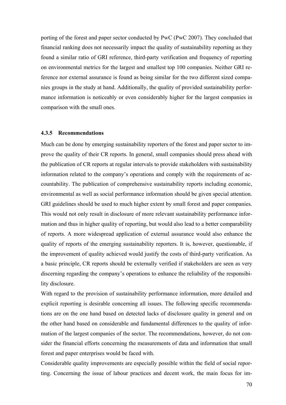porting of the forest and paper sector conducted by PwC (PwC 2007). They concluded that financial ranking does not necessarily impact the quality of sustainability reporting as they found a similar ratio of GRI reference, third-party verification and frequency of reporting on environmental metrics for the largest and smallest top 100 companies. Neither GRI reference nor external assurance is found as being similar for the two different sized companies groups in the study at hand. Additionally, the quality of provided sustainability performance information is noticeably or even considerably higher for the largest companies in comparison with the small ones.

#### **4.3.5 Recommendations**

Much can be done by emerging sustainability reporters of the forest and paper sector to improve the quality of their CR reports. In general, small companies should press ahead with the publication of CR reports at regular intervals to provide stakeholders with sustainability information related to the company's operations and comply with the requirements of accountability. The publication of comprehensive sustainability reports including economic, environmental as well as social performance information should be given special attention. GRI guidelines should be used to much higher extent by small forest and paper companies. This would not only result in disclosure of more relevant sustainability performance information and thus in higher quality of reporting, but would also lead to a better comparability of reports. A more widespread application of external assurance would also enhance the quality of reports of the emerging sustainability reporters. It is, however, questionable, if the improvement of quality achieved would justify the costs of third-party verification. As a basic principle, CR reports should be externally verified if stakeholders are seen as very discerning regarding the company's operations to enhance the reliability of the responsibility disclosure.

With regard to the provision of sustainability performance information, more detailed and explicit reporting is desirable concerning all issues. The following specific recommendations are on the one hand based on detected lacks of disclosure quality in general and on the other hand based on considerable and fundamental differences to the quality of information of the largest companies of the sector. The recommendations, however, do not consider the financial efforts concerning the measurements of data and information that small forest and paper enterprises would be faced with.

Considerable quality improvements are especially possible within the field of social reporting. Concerning the issue of labour practices and decent work, the main focus for im-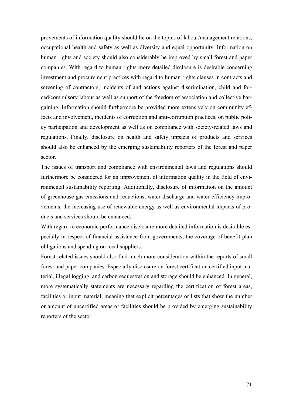provements of information quality should lie on the topics of labour/management relations, occupational health and safety as well as diversity and equal opportunity. Information on human rights and society should also considerably be improved by small forest and paper companies. With regard to human rights more detailed disclosure is desirable concerning investment and procurement practices with regard to human rights clauses in contracts and screening of contractors, incidents of and actions against discrimination, child and forced/compulsory labour as well as support of the freedom of association and collective bargaining. Information should furthermore be provided more extensively on community effects and involvement, incidents of corruption and anti-corruption practices, on public policy participation and development as well as on compliance with society-related laws and regulations. Finally, disclosure on health and safety impacts of products and services should also be enhanced by the emerging sustainability reporters of the forest and paper sector.

The issues of transport and compliance with environmental laws and regulations should furthermore be considered for an improvement of information quality in the field of environmental sustainability reporting. Additionally, disclosure of information on the amount of greenhouse gas emissions and reductions, water discharge and water efficiency improvements, the increasing use of renewable energy as well as environmental impacts of products and services should be enhanced.

With regard to economic performance disclosure more detailed information is desirable especially in respect of financial assistance from governments, the coverage of benefit plan obligations and spending on local suppliers.

Forest-related issues should also find much more consideration within the reports of small forest and paper companies. Especially disclosure on forest certification certified input material, illegal logging, and carbon sequestration and storage should be enhanced. In general, more systematically statements are necessary regarding the certification of forest areas, facilities or input material, meaning that explicit percentages or lists that show the number or amount of uncertified areas or facilities should be provided by emerging sustainability reporters of the sector.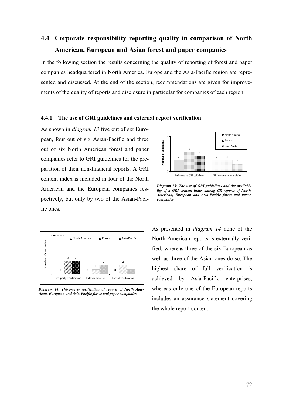# **4.4 Corporate responsibility reporting quality in comparison of North American, European and Asian forest and paper companies**

In the following section the results concerning the quality of reporting of forest and paper companies headquartered in North America, Europe and the Asia-Pacific region are represented and discussed. At the end of the section, recommendations are given for improvements of the quality of reports and disclosure in particular for companies of each region.

#### **4.4.1 The use of GRI guidelines and external report verification**

As shown in *diagram 13* five out of six European, four out of six Asian-Pacific and three out of six North American forest and paper companies refer to GRI guidelines for the preparation of their non-financial reports. A GRI content index is included in four of the North American and the European companies respectively, but only by two of the Asian-Pacific ones.



*Diagram 14: Third-party verification of reports of North American, European and Asia-Pacific forest and paper companies* 



*Diagram 13: The use of GRI guidelines and the availability of a GRI content index among CR reports of North American, European and Asia-Pacific forest and paper companies* 

As presented in *diagram 14* none of the North American reports is externally verified, whereas three of the six European as well as three of the Asian ones do so. The highest share of full verification is achieved by Asia-Pacific enterprises, whereas only one of the European reports includes an assurance statement covering the whole report content.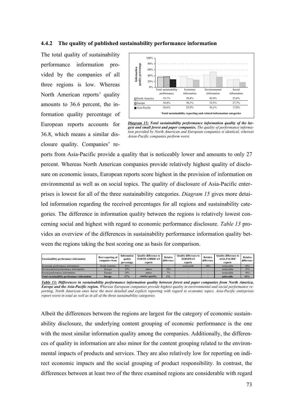#### **4.4.2 The quality of published sustainability performance information**

The total quality of sustainability performance information provided by the companies of all three regions is low. Whereas North American reports' quality amounts to 36.6 percent, the information quality percentage of European reports accounts for 36.8, which means a similar disclosure quality. Companies' re-



*Diagram 15: Total sustainability performance information quality of the largest and small forest and paper companies. The quality of performance information provided by North American and European companies is identical, whereas Asian-Pacific companies perform worst.*

ports from Asia-Pacific provide a quality that is noticeably lower and amounts to only 27 percent. Whereas North American companies provide relatively highest quality of disclosure on economic issues, European reports score highest in the provision of information on environmental as well as on social topics. The quality of disclosure of Asia-Pacific enterprises is lowest for all of the three sustainability categories. *Diagram 15* gives more detailed information regarding the received percentages for all regions and sustainability categories. The difference in information quality between the regions is relatively lowest concerning social and highest with regard to economic performance disclosure. *Table 13* provides an overview of the differences in sustainability performance information quality between the regions taking the best scoring one as basis for comparison.

| Sustainability performance information       | Best reporting of<br>companies from | Information<br>quality<br>percentage | <b>Ouality difference to</b><br><b>NORTH AMERICAN</b><br>reports | Relative<br>difference | <b>Ouality difference to</b><br><b>EUROPEAN</b><br>reports | Relative<br>difference | <b>Ouality difference to</b><br><b>ASIA-PACIFIC</b><br>reports | <b>Relative</b><br>difference |
|----------------------------------------------|-------------------------------------|--------------------------------------|------------------------------------------------------------------|------------------------|------------------------------------------------------------|------------------------|----------------------------------------------------------------|-------------------------------|
| Economic performance information             | North America                       | 41%                                  |                                                                  |                        | noticeable                                                 | 36%                    | noticeable                                                     | 43%                           |
| Environmental performance information        | Europe                              | 52%                                  | minor                                                            | 18%                    |                                                            |                        | noticeable                                                     | 31%                           |
| Social performance information               | Europe                              | 28%                                  | minor                                                            | 7%                     |                                                            |                        | noticeable                                                     | 36%                           |
| Total sustainability performance information | <b>Europe</b>                       | 37%                                  | similar quality                                                  | 1%                     |                                                            |                        | noticeable                                                     | 36%                           |

*Table 13: Differences in sustainability performance information quality between forest and paper companies from North America, Europe and the Asia-Pacific region. Whereas European companies provide highest quality in environmental and social performance reporting, North American ones have the most detailed and explicit reporting with regard to economic topics. Asia-Pacific enterprises report worst in total as well as in all of the three sustainability categories.* 

Albeit the differences between the regions are largest for the category of economic sustainability disclosure, the underlying content grouping of economic performance is the one with the most similar information quality among the companies. Additionally, the differences of quality in information are also minor for the content grouping related to the environmental impacts of products and services. They are also relatively low for reporting on indirect economic impacts and the social grouping of product responsibility. In contrast, the differences between at least two of the three examined regions are considerable with regard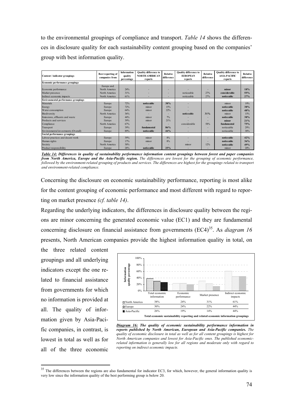to the environmental groupings of compliance and transport. *Table 14* shows the differences in disclosure quality for each sustainability content grouping based on the companies' group with best information quality.

| Content / indicator groupings              | <b>Best reporting of</b><br>companies from | <b>Information</b><br>quality<br>percentage | <b>Quality difference to</b><br><b>NORTH AMERICAN</b><br>reports | Relative<br>difference | <b>Quality difference to</b><br><b>EUROPEAN</b><br>reports | Relative<br>difference | <b>Quality difference to</b><br><b>ASIA-PACIFIC</b><br>reports | Relative<br>difference |
|--------------------------------------------|--------------------------------------------|---------------------------------------------|------------------------------------------------------------------|------------------------|------------------------------------------------------------|------------------------|----------------------------------------------------------------|------------------------|
| Economic performance groupings             |                                            |                                             |                                                                  |                        |                                                            |                        |                                                                |                        |
|                                            | Europe and                                 |                                             |                                                                  |                        |                                                            |                        |                                                                |                        |
| Economic performance                       | North America                              | 24%                                         |                                                                  |                        |                                                            |                        | minor                                                          | 18%                    |
| Market presence                            | North America                              | 31%                                         |                                                                  |                        | noticeable                                                 | 27%                    | considerable                                                   | 55%                    |
| Indirect economic impacts                  | North America                              | 61%                                         |                                                                  |                        | noticeable                                                 | 27%                    | noticeable                                                     | 27%                    |
| <b>Environmental performance groupings</b> |                                            |                                             |                                                                  |                        |                                                            |                        |                                                                |                        |
| Materials                                  | Europe                                     | 72%                                         | noticeable                                                       | 38%                    |                                                            |                        | minor                                                          | 19%                    |
| Energy                                     | Europe                                     | 72%                                         | minor                                                            | 15%                    |                                                            |                        | noticeable                                                     | 38%                    |
| Water consumption                          | Europe                                     | 64%                                         | minor                                                            | 22%                    |                                                            |                        | noticeable                                                     | 48%                    |
| <b>Biodiversity</b>                        | North America                              | 36%                                         |                                                                  |                        | noticeable                                                 | 31%                    | minor                                                          | 15%                    |
| Emissions, effluents and waste             | Europe                                     | 44%                                         | minor                                                            | 7%                     |                                                            |                        | noticeable                                                     | 38%                    |
| Products and services                      | Europe                                     | 39%                                         | minor                                                            | 21%                    |                                                            |                        | minor                                                          | 21%                    |
| Compliance                                 | North America                              | 67%                                         |                                                                  |                        | considerable                                               | 58%                    | fundamental                                                    | 75%                    |
| Transport                                  | Europe                                     | 39%                                         | fundamental                                                      | 86%                    |                                                            |                        | noticeable                                                     | 29%                    |
| Environmental investments (Overall)        | Europe                                     | 89%                                         | noticeable                                                       | 44%                    |                                                            | ۰                      | noticeable                                                     | 38%                    |
| Social performance groupings               |                                            |                                             |                                                                  |                        |                                                            |                        |                                                                |                        |
| Labour practices and decent work           | Europe                                     | 39%                                         | minor                                                            | 8%                     |                                                            |                        | noticeable                                                     | 42%                    |
| Human rights                               | Europe                                     | 17%                                         | minor                                                            | 8%                     |                                                            |                        | noticeable                                                     | 36%                    |
| Society                                    | North America                              | 30%                                         |                                                                  |                        | minor                                                      | 12%                    | noticeable                                                     | 49%                    |
| Product responsibility                     | Europe                                     | 28%                                         | noticeable                                                       | 25%                    |                                                            |                        | minor                                                          | 20%                    |

*Table 14: Differences in quality of sustainability performance information content groupings between forest and paper companies from North America, Europe and the Asia-Pacific region. The differences are lowest for the grouping of economic performance, followed by the environment-related grouping of products and services. The differences are highest for the groupings related to transport and environment-related compliance.* 

Concerning the disclosure on economic sustainability performance, reporting is most alike for the content grouping of economic performance and most different with regard to reporting on market presence *(cf. table 14)*.

Regarding the underlying indicators, the differences in disclosure quality between the regions are minor concerning the generated economic value (EC1) and they are fundamental concerning disclosure on financial assistance from governments  $(EC4)^{35}$ . As *diagram 16* presents, North American companies provide the highest information quality in total, on

the three related content groupings and all underlying indicators except the one related to financial assistance from governments for which no information is provided at all. The quality of information given by Asia-Pacific companies, in contrast, is lowest in total as well as for all of the three economic

 $\overline{a}$ 



*Diagram 16: The quality of economic sustainability performance information in reports published by North American, European and Asia-Pacific companies. The quality of economic disclosure in total as well as for all content groupings is highest for North American companies and lowest for Asia-Pacific ones. The published economicrelated information is generally low for all regions and moderate only with regard to reporting on indirect economic impacts.* 

<sup>&</sup>lt;sup>35</sup> The differences between the regions are also fundamental for indicator EC3, for which, however, the general information quality is very low since the information quality of the best performing group is below 20.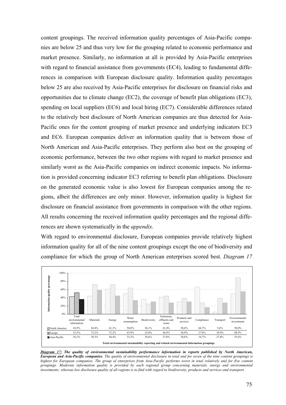content groupings. The received information quality percentages of Asia-Pacific companies are below 25 and thus very low for the grouping related to economic performance and market presence. Similarly, no information at all is provided by Asia-Pacific enterprises with regard to financial assistance from governments (EC4), leading to fundamental differences in comparison with European disclosure quality. Information quality percentages below 25 are also received by Asia-Pacific enterprises for disclosure on financial risks and opportunities due to climate change (EC2), the coverage of benefit plan obligations (EC3), spending on local suppliers (EC6) and local hiring (EC7). Considerable differences related to the relatively best disclosure of North American companies are thus detected for Asia-Pacific ones for the content grouping of market presence and underlying indicators EC3 and EC6. European companies deliver an information quality that is between those of North American and Asia-Pacific enterprises. They perform also best on the grouping of economic performance, between the two other regions with regard to market presence and similarly worst as the Asia-Pacific companies on indirect economic impacts. No information is provided concerning indicator EC3 referring to benefit plan obligations. Disclosure on the generated economic value is also lowest for European companies among the regions, albeit the differences are only minor. However, information quality is highest for disclosure on financial assistance from governments in comparison with the other regions. All results concerning the received information quality percentages and the regional differences are shown systematically in the *appendix*.

With regard to environmental disclosure, European companies provide relatively highest information quality for all of the nine content groupings except the one of biodiversity and compliance for which the group of North American enterprises scored best. *Diagram 17*



*Diagram 17: The quality of environmental sustainability performance information in reports published by North American, European and Asia-Pacific companies. The quality of environmental disclosure in total and for seven of the nine content groupings is highest for European companies. The group of enterprises from Asia-Pacific performs worst in total relatively and for five content groupings. Moderate information quality is provided by each regional group concerning materials, energy and environmental investments; whereas low disclosure quality of all regions is to find with regard to biodiversity, products and services and transport.*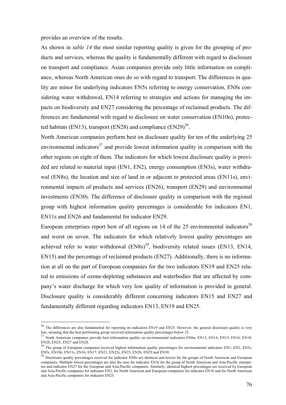provides an overview of the results.

 $\overline{a}$ 

As shown in *table 14* the most similar reporting quality is given for the grouping of products and services, whereas the quality is fundamentally different with regard to disclosure on transport and compliance. Asian companies provide only little information on compliance, whereas North American ones do so with regard to transport. The differences in quality are minor for underlying indicators EN5s referring to energy conservation, EN8s considering water withdrawal, EN14 referring to strategies and actions for managing the impacts on biodiversity and EN27 considering the percentage of reclaimed products. The differences are fundamental with regard to disclosure on water conservation (EN10n), protected habitats (EN13), transport (EN28) and compliance (EN29) $^{36}$ .

North American companies perform best on disclosure quality for ten of the underlying 25 environmental indicators<sup>37</sup> and provide lowest information quality in comparison with the other regions on eight of them. The indicators for which lowest disclosure quality is provided are related to material input (EN1, EN2), energy consumption (EN3s), water withdrawal (EN8s), the location and size of land in or adjacent to protected areas (EN11s), environmental impacts of products and services (EN26), transport (EN29) and environmental investments (EN30). The difference of disclosure quality in comparison with the regional group with highest information quality percentages is considerable for indicators EN1, EN11s and EN26 and fundamental for indicator EN29.

European enterprises report best of all regions on 14 of the 25 environmental indicators<sup>38</sup> and worst on seven. The indicators for which relatively lowest quality percentages are achieved refer to water withdrawal  $(EN8s)^{39}$ , biodiversity related issues  $(EN13, EN14,$ EN15) and the percentage of reclaimed products (EN27). Additionally, there is no information at all on the part of European companies for the two indicators EN19 and EN25 related to emissions of ozone-depleting substances and waterbodies that are affected by company's water discharge for which very low quality of information is provided in general. Disclosure quality is considerably different concerning indicators EN15 and EN27 and fundamentally different regarding indicators EN13, EN19 and EN25.

<sup>&</sup>lt;sup>36</sup> The differences are also fundamental for reporting on indicators EN19 and EN25. However, the general disclosure quality is very low, meaning that the best performing group received information quality percentages below 25.<br>37 North American companies provide best information quality on environmental indicators EN6n, EN13, EN14, EN15, EN16, EN18,

EN20, EN25, EN27 and EN28.<br><sup>38</sup> The group of European companies received highest information quality percentages for environmental indicators EN1, EN2, EN3s,

EN5s, EN10n, EN11s, EN16, EN17, EN21, EN22s, EN23, EN26, EN29 and EN30.

<sup>&</sup>lt;sup>39</sup> Disclosure quality percentages received for indicator EN8s are identical and lowest for the groups of North American and European companies. Multiple lowest percentages are also the case for indicator EN3s for the group of North American and Asia-Pacific enterprises and indicator EN27 for the European and Asia-Pacific companies. Similarly, identical highest percentages are received by European and Asia-Pacific companies for indicator EN2, for North American and European companies for indicator EN16 and for North American and Asia-Pacific companies for indicator EN25.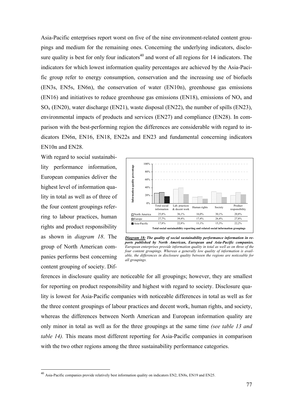Asia-Pacific enterprises report worst on five of the nine environment-related content groupings and medium for the remaining ones. Concerning the underlying indicators, disclosure quality is best for only four indicators<sup>40</sup> and worst of all regions for 14 indicators. The indicators for which lowest information quality percentages are achieved by the Asia-Pacific group refer to energy consumption, conservation and the increasing use of biofuels (EN3s, EN5s, EN6n), the conservation of water (EN10n), greenhouse gas emissions (EN16) and initiatives to reduce greenhouse gas emissions (EN18), emissions of  $NO<sub>x</sub>$  and  $SO<sub>x</sub>$  (EN20), water discharge (EN21), waste disposal (EN22), the number of spills (EN23), environmental impacts of products and services (EN27) and compliance (EN28). In comparison with the best-performing region the differences are considerable with regard to indicators EN6n, EN16, EN18, EN22s and EN23 and fundamental concerning indicators EN10n and EN28.

With regard to social sustainability performance information, European companies deliver the highest level of information quality in total as well as of three of the four content groupings referring to labour practices, human rights and product responsibility as shown in *diagram 18*. The group of North American companies performs best concerning content grouping of society. Dif-

 $\overline{a}$ 



*Diagram 18: The quality of social sustainability performance information in reports published by North American, European and Asia-Pacific companies. European enterprises provide information quality in total as well as on three of the four content groupings. Whereas a generally low quality of information is available, the differences in disclosure quality between the regions are noticeable for all groupings.*

ferences in disclosure quality are noticeable for all groupings; however, they are smallest for reporting on product responsibility and highest with regard to society. Disclosure quality is lowest for Asia-Pacific companies with noticeable differences in total as well as for the three content groupings of labour practices and decent work, human rights, and society, whereas the differences between North American and European information quality are only minor in total as well as for the three groupings at the same time *(see table 13 and table 14).* This means most different reporting for Asia-Pacific companies in comparison with the two other regions among the three sustainability performance categories.

<sup>&</sup>lt;sup>40</sup> Asia-Pacific companies provide relatively best information quality on indicators EN2, EN8s, EN19 and EN25.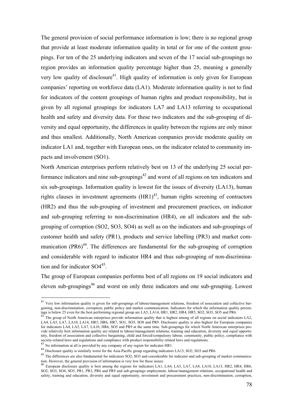The general provision of social performance information is low; there is no regional group that provide at least moderate information quality in total or for one of the content groupings. For ten of the 25 underlying indicators and seven of the 17 social sub-groupings no region provides an information quality percentage higher than 25, meaning a generally very low quality of disclosure<sup>41</sup>. High quality of information is only given for European companies' reporting on workforce data (LA1). Moderate information quality is not to find for indicators of the content groupings of human rights and product responsibility, but is given by all regional groupings for indicators LA7 and LA13 referring to occupational health and safety and diversity data. For these two indicators and the sub-grouping of diversity and equal opportunity, the differences in quality between the regions are only minor and thus smallest. Additionally, North American companies provide moderate quality on indicator LA1 and, together with European ones, on the indicator related to community impacts and involvement (SO1).

North American enterprises perform relatively best on 13 of the underlying 25 social performance indicators and nine sub-groupings<sup>42</sup> and worst of all regions on ten indicators and six sub-groupings. Information quality is lowest for the issues of diversity (LA13), human rights clauses in investment agreements  $(HR1)^{43}$ , human rights screening of contractors (HR2) and thus the sub-grouping of investment and procurement practices, on indicator and sub-grouping referring to non-discrimination (HR4), on all indicators and the subgrouping of corruption (SO2, SO3, SO4) as well as on the indicators and sub-groupings of customer health and safety (PR1), products and service labelling (PR3) and market communication  $(PR6)^{44}$ . The differences are fundamental for the sub-grouping of corruption and considerable with regard to indicator HR4 and thus sub-grouping of non-discrimination and for indicator SO445.

The group of European companies performs best of all regions on 19 social indicators and eleven sub-groupings<sup>46</sup> and worst on only three indicators and one sub-grouping. Lowest

 $\overline{a}$ 

<sup>&</sup>lt;sup>41</sup> Very low information quality is given for sub-groupings of labour/management relations, freedom of association and collective bargaining, non-discrimination, corruption, public policy and market communication. Indicators for which the information quality percentage is below 25 even for the best performing regional group are LA5, LA14, HR1, HR2, HR4, HR5, SO2, SO3, SO5 and PR6.<br><sup>42</sup> The group of North American enterprises provide information quality that is highest among of all r

LA4, LA5, LA7, LA10, LA14, HR5, HR6, HR7, SO1, SO5, SO8 and PR9. Disclosure quality is also highest for European companies for indicators LA4, LA5, LA7, LA10, HR6, SO5 and PR9 at the same time. Sub-groupings for which North American enterprises provide relatively best information quality are related to labour/management relations, training and education, diversity and equal opportunity, freedom of association and collective bargaining, child and forced/compulsory labour, community, public policy, compliance with society-related laws and regulations and compliance with product responsibility related laws and regulations.<br><sup>43</sup> No information at all is provided by any company of any region for indicator HR1.

<sup>44&</sup>lt;br>This process are also fundamental for indicators SO2, SO3 and considerable for indicators LA13, SO2, SO3 and PR6.<br><sup>45</sup> The differences are also fundamental for indicators SO2, SO3 and considerable for indicator and subtion. However, the general provision of information is very low for these issues.<br>
<sup>46</sup> European disclosure quality is best among the regions for indicators LA1, LA4, LA5, LA7, LA8, LA10, LA13, HR2, HR4, HR6,

SO2, SO3, SO4, SO5, PR1, PR3, PR6 and PR9 and sub-groupings employment, labour/management relations, occupational health and safety, training and education, diversity and equal opportunity, investment and procurement practices, non-discrimination, corruption,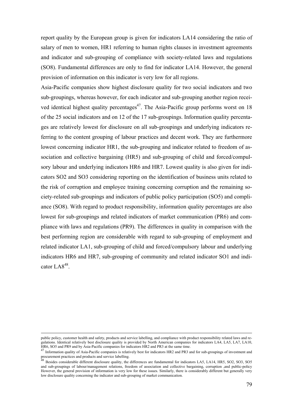report quality by the European group is given for indicators LA14 considering the ratio of salary of men to women, HR1 referring to human rights clauses in investment agreements and indicator and sub-grouping of compliance with society-related laws and regulations (SO8). Fundamental differences are only to find for indicator LA14. However, the general provision of information on this indicator is very low for all regions.

Asia-Pacific companies show highest disclosure quality for two social indicators and two sub-groupings, whereas however, for each indicator and sub-grouping another region received identical highest quality percentages<sup>47</sup>. The Asia-Pacific group performs worst on 18 of the 25 social indicators and on 12 of the 17 sub-groupings. Information quality percentages are relatively lowest for disclosure on all sub-groupings and underlying indicators referring to the content grouping of labour practices and decent work. They are furthermore lowest concerning indicator HR1, the sub-grouping and indicator related to freedom of association and collective bargaining (HR5) and sub-grouping of child and forced/compulsory labour and underlying indicators HR6 and HR7. Lowest quality is also given for indicators SO2 and SO3 considering reporting on the identification of business units related to the risk of corruption and employee training concerning corruption and the remaining society-related sub-groupings and indicators of public policy participation (SO5) and compliance (SO8). With regard to product responsibility, information quality percentages are also lowest for sub-groupings and related indicators of market communication (PR6) and compliance with laws and regulations (PR9). The differences in quality in comparison with the best performing region are considerable with regard to sub-grouping of employment and related indicator LA1, sub-grouping of child and forced/compulsory labour and underlying indicators HR6 and HR7, sub-grouping of community and related indicator SO1 and indicator LA $8^{48}$ .

public policy, customer health and safety, products and service labelling, and compliance with product responsibility related laws and regulations. Identical relatively best disclosure quality is provided by North American companies for indicators LA4, LA5, LA7, LA10,

HR6, SO5 and PR9 and by Asia-Pacific companies for indicators HR2 and PR3 at the same time.<br> $^{47}$  Information quality of Asia-Pacific companies is relatively best for indicators HR2 and PR3 and for sub-groupings of inves procurement practices and products and service labelling.<br><sup>48</sup> Besides considerable different disclosure quality, the differences are fundamental for indicators LA5, LA14, HR5, SO2, SO3, SO5

and sub-groupings of labour/management relations, freedom of association and collective bargaining, corruption ,and public-policy However, the general provision of information is very low for these issues. Similarly, there is considerably different but generally very low disclosure quality concerning the indicator and sub-grouping of market communication.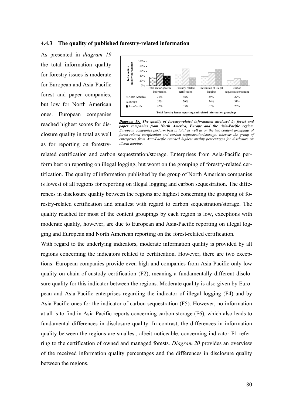#### **4.4.3 The quality of published forestry-related information**

As presented in *diagram 19* the total information quality for forestry issues is moderate for European and Asia-Pacific forest and paper companies, but low for North American ones. European companies reached highest scores for disclosure quality in total as well as for reporting on forestry-



*Diagram 19: The quality of forestry-related information disclosed by forest and paper companies from North America, Europe and the Asia-Pacific region. European companies perform best in total as well as on the two content groupings of forest-related certification and carbon sequestration/storage, whereas the group of enterprises from Asia-Pacific reached highest quality percentages for disclosure on illegal logging.*

related certification and carbon sequestration/storage. Enterprises from Asia-Pacific perform best on reporting on illegal logging, but worst on the grouping of forestry-related certification. The quality of information published by the group of North American companies is lowest of all regions for reporting on illegal logging and carbon sequestration. The differences in disclosure quality between the regions are highest concerning the grouping of forestry-related certification and smallest with regard to carbon sequestration/storage. The quality reached for most of the content groupings by each region is low, exceptions with moderate quality, however, are due to European and Asia-Pacific reporting on illegal logging and European and North American reporting on the forest-related certification.

With regard to the underlying indicators, moderate information quality is provided by all regions concerning the indicators related to certification. However, there are two exceptions: European companies provide even high and companies from Asia-Pacific only low quality on chain-of-custody certification (F2), meaning a fundamentally different disclosure quality for this indicator between the regions. Moderate quality is also given by European and Asia-Pacific enterprises regarding the indicator of illegal logging (F4) and by Asia-Pacific ones for the indicator of carbon sequestration (F5). However, no information at all is to find in Asia-Pacific reports concerning carbon storage (F6), which also leads to fundamental differences in disclosure quality. In contrast, the differences in information quality between the regions are smallest, albeit noticeable, concerning indicator F1 referring to the certification of owned and managed forests. *Diagram 20* provides an overview of the received information quality percentages and the differences in disclosure quality between the regions.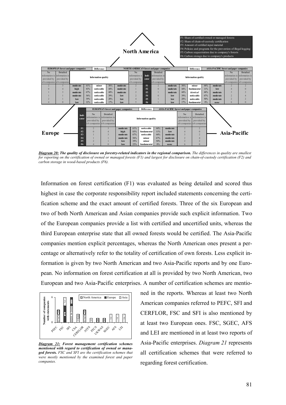

*Diagram 20: The quality of disclosure on forestry-related indicators in the regional comparison. The differences in quality are smallest for reporting on the certification of owned or managed forests (F1) and largest for disclosure on chain-of-custody certification (F2) and carbon storage in wood-based products (F6).* 

Information on forest certification (F1) was evaluated as being detailed and scored thus highest in case the corporate responsibility report included statements concerning the certification scheme and the exact amount of certified forests. Three of the six European and two of both North American and Asian companies provide such explicit information. Two of the European companies provide a list with certified and uncertified units, whereas the third European enterprise state that all owned forests would be certified. The Asia-Pacific companies mention explicit percentages, whereas the North American ones present a percentage or alternatively refer to the totality of certification of own forests. Less explicit information is given by two North American and two Asia-Pacific reports and by one European. No information on forest certification at all is provided by two North American, two European and two Asia-Pacific enterprises. A number of certification schemes are mentio-



*Diagram 21: Forest management certification schemes mentioned with regard to certification of owned or managed forests. FSC and SFI are the certification schemes that were mostly mentioned by the examined forest and paper companies.* 

ned in the reports. Whereas at least two North American companies referred to PEFC, SFI and CERFLOR, FSC and SFI is also mentioned by at least two European ones. FSC, SGEC, AFS and LEI are mentioned in at least two reports of Asia-Pacific enterprises. *Diagram 21* represents all certification schemes that were referred to regarding forest certification.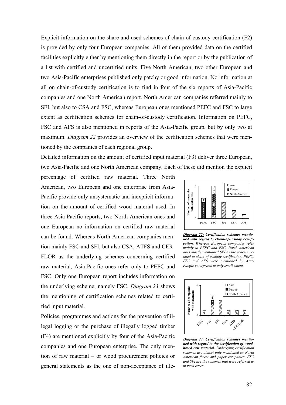Explicit information on the share and used schemes of chain-of-custody certification (F2) is provided by only four European companies. All of them provided data on the certified facilities explicitly either by mentioning them directly in the report or by the publication of a list with certified and uncertified units. Five North American, two other European and two Asia-Pacific enterprises published only patchy or good information. No information at all on chain-of-custody certification is to find in four of the six reports of Asia-Pacific companies and one North American report. North American companies referred mainly to SFI, but also to CSA and FSC, whereas European ones mentioned PEFC and FSC to large extent as certification schemes for chain-of-custody certification. Information on PEFC, FSC and AFS is also mentioned in reports of the Asia-Pacific group, but by only two at maximum. *Diagram 22* provides an overview of the certification schemes that were mentioned by the companies of each regional group.

Detailed information on the amount of certified input material (F3) deliver three European, two Asia-Pacific and one North American company. Each of these did mention the explicit

percentage of certified raw material. Three North American, two European and one enterprise from Asia-Pacific provide only unsystematic and inexplicit information on the amount of certified wood material used. In three Asia-Pacific reports, two North American ones and one European no information on certified raw material can be found. Whereas North American companies mention mainly FSC and SFI, but also CSA, ATFS and CER-FLOR as the underlying schemes concerning certified raw material, Asia-Pacific ones refer only to PEFC and FSC. Only one European report includes information on the underlying scheme, namely FSC. *Diagram 23* shows the mentioning of certification schemes related to certified input material.

Policies, programmes and actions for the prevention of illegal logging or the purchase of illegally logged timber (F4) are mentioned explicitly by four of the Asia-Pacific companies and one European enterprise. The only mention of raw material – or wood procurement policies or general statements as the one of non-acceptance of ille-



*Diagram 22: Certification schemes mentioned with regard to chain-of-custody certification. Whereas European companies refer mainly to PEFC and FSC, North American ones mostly mentioned SFI as the scheme related to chain-of-custody certification. PEFC, FSC and AFS were mentioned by Asia-Pacific enterprises to only small extent.* 



*Diagram 23: Certification schemes mentioned with regard to the certification of woodbased raw material. Underlying certification schemes are almost only mentioned by North American forest and paper companies. FSC and SFI are the schemes that were referred to in most cases.*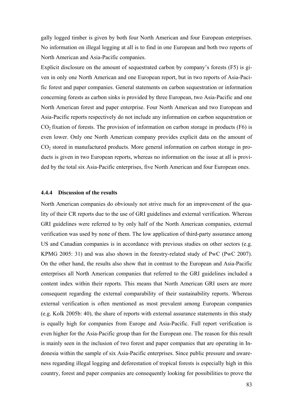gally logged timber is given by both four North American and four European enterprises. No information on illegal logging at all is to find in one European and both two reports of North American and Asia-Pacific companies.

Explicit disclosure on the amount of sequestrated carbon by company's forests (F5) is given in only one North American and one European report, but in two reports of Asia-Pacific forest and paper companies. General statements on carbon sequestration or information concerning forests as carbon sinks is provided by three European, two Asia-Pacific and one North American forest and paper enterprise. Four North American and two European and Asia-Pacific reports respectively do not include any information on carbon sequestration or  $CO<sub>2</sub>$  fixation of forests. The provision of information on carbon storage in products (F6) is even lower. Only one North American company provides explicit data on the amount of CO2 stored in manufactured products. More general information on carbon storage in products is given in two European reports, whereas no information on the issue at all is provided by the total six Asia-Pacific enterprises, five North American and four European ones.

#### **4.4.4 Discussion of the results**

North American companies do obviously not strive much for an improvement of the quality of their CR reports due to the use of GRI guidelines and external verification. Whereas GRI guidelines were referred to by only half of the North American companies, external verification was used by none of them. The low application of third-party assurance among US and Canadian companies is in accordance with previous studies on other sectors (e.g. KPMG 2005: 31) and was also shown in the forestry-related study of PwC (PwC 2007). On the other hand, the results also show that in contrast to the European and Asia-Pacific enterprises all North American companies that referred to the GRI guidelines included a content index within their reports. This means that North American GRI users are more consequent regarding the external comparability of their sustainability reports. Whereas external verification is often mentioned as most prevalent among European companies (e.g. Kolk 2005b: 40), the share of reports with external assurance statements in this study is equally high for companies from Europe and Asia-Pacific. Full report verification is even higher for the Asia-Pacific group than for the European one. The reason for this result is mainly seen in the inclusion of two forest and paper companies that are operating in Indonesia within the sample of six Asia-Pacific enterprises. Since public pressure and awareness regarding illegal logging and deforestation of tropical forests is especially high in this country, forest and paper companies are consequently looking for possibilities to prove the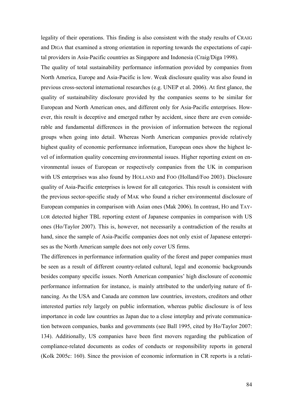legality of their operations. This finding is also consistent with the study results of CRAIG and DIGA that examined a strong orientation in reporting towards the expectations of capital providers in Asia-Pacific countries as Singapore and Indonesia (Craig/Diga 1998).

The quality of total sustainability performance information provided by companies from North America, Europe and Asia-Pacific is low. Weak disclosure quality was also found in previous cross-sectoral international researches (e.g. UNEP et al. 2006). At first glance, the quality of sustainability disclosure provided by the companies seems to be similar for European and North American ones, and different only for Asia-Pacific enterprises. However, this result is deceptive and emerged rather by accident, since there are even considerable and fundamental differences in the provision of information between the regional groups when going into detail. Whereas North American companies provide relatively highest quality of economic performance information, European ones show the highest level of information quality concerning environmental issues. Higher reporting extent on environmental issues of European or respectively companies from the UK in comparison with US enterprises was also found by HOLLAND and FOO (Holland/Foo 2003). Disclosure quality of Asia-Pacific enterprises is lowest for all categories. This result is consistent with the previous sector-specific study of MAK who found a richer environmental disclosure of European companies in comparison with Asian ones (Mak 2006). In contrast, HO and TAY-LOR detected higher TBL reporting extent of Japanese companies in comparison with US ones (Ho/Taylor 2007). This is, however, not necessarily a contradiction of the results at hand, since the sample of Asia-Pacific companies does not only exist of Japanese enterprises as the North American sample does not only cover US firms.

The differences in performance information quality of the forest and paper companies must be seen as a result of different country-related cultural, legal and economic backgrounds besides company specific issues. North American companies' high disclosure of economic performance information for instance, is mainly attributed to the underlying nature of financing. As the USA and Canada are common law countries, investors, creditors and other interested parties rely largely on public information, whereas public disclosure is of less importance in code law countries as Japan due to a close interplay and private communication between companies, banks and governments (see Ball 1995, cited by Ho/Taylor 2007: 134). Additionally, US companies have been first movers regarding the publication of compliance-related documents as codes of conducts or responsibility reports in general (Kolk 2005c: 160). Since the provision of economic information in CR reports is a relati-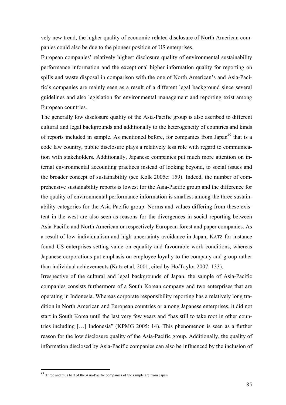vely new trend, the higher quality of economic-related disclosure of North American companies could also be due to the pioneer position of US enterprises.

European companies' relatively highest disclosure quality of environmental sustainability performance information and the exceptional higher information quality for reporting on spills and waste disposal in comparison with the one of North American's and Asia-Pacific's companies are mainly seen as a result of a different legal background since several guidelines and also legislation for environmental management and reporting exist among European countries.

The generally low disclosure quality of the Asia-Pacific group is also ascribed to different cultural and legal backgrounds and additionally to the heterogeneity of countries and kinds of reports included in sample. As mentioned before, for companies from Japan<sup>49</sup> that is a code law country, public disclosure plays a relatively less role with regard to communication with stakeholders. Additionally, Japanese companies put much more attention on internal environmental accounting practices instead of looking beyond, to social issues and the broader concept of sustainability (see Kolk 2005c: 159). Indeed, the number of comprehensive sustainability reports is lowest for the Asia-Pacific group and the difference for the quality of environmental performance information is smallest among the three sustainability categories for the Asia-Pacific group. Norms and values differing from these existent in the west are also seen as reasons for the divergences in social reporting between Asia-Pacific and North American or respectively European forest and paper companies. As a result of low individualism and high uncertainty avoidance in Japan, KATZ for instance found US enterprises setting value on equality and favourable work conditions, whereas Japanese corporations put emphasis on employee loyalty to the company and group rather than individual achievements (Katz et al. 2001, cited by Ho/Taylor 2007: 133).

Irrespective of the cultural and legal backgrounds of Japan, the sample of Asia-Pacific companies consists furthermore of a South Korean company and two enterprises that are operating in Indonesia. Whereas corporate responsibility reporting has a relatively long tradition in North American and European countries or among Japanese enterprises, it did not start in South Korea until the last very few years and "has still to take root in other countries including […] Indonesia" (KPMG 2005: 14). This phenomenon is seen as a further reason for the low disclosure quality of the Asia-Pacific group. Additionally, the quality of information disclosed by Asia-Pacific companies can also be influenced by the inclusion of

 $\overline{a}$ 

<sup>49</sup> Three and thus half of the Asia-Pacific companies of the sample are from Japan.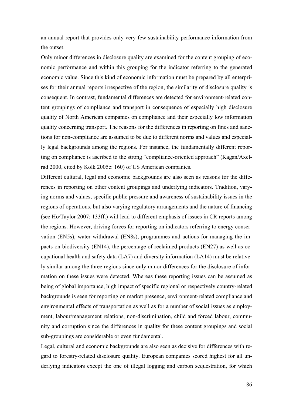an annual report that provides only very few sustainability performance information from the outset.

Only minor differences in disclosure quality are examined for the content grouping of economic performance and within this grouping for the indicator referring to the generated economic value. Since this kind of economic information must be prepared by all enterprises for their annual reports irrespective of the region, the similarity of disclosure quality is consequent. In contrast, fundamental differences are detected for environment-related content groupings of compliance and transport in consequence of especially high disclosure quality of North American companies on compliance and their especially low information quality concerning transport. The reasons for the differences in reporting on fines and sanctions for non-compliance are assumed to be due to different norms and values and especially legal backgrounds among the regions. For instance, the fundamentally different reporting on compliance is ascribed to the strong "compliance-oriented approach" (Kagan/Axelrad 2000, cited by Kolk 2005c: 160) of US American companies.

Different cultural, legal and economic backgrounds are also seen as reasons for the differences in reporting on other content groupings and underlying indicators. Tradition, varying norms and values, specific public pressure and awareness of sustainability issues in the regions of operations, but also varying regulatory arrangements and the nature of financing (see Ho/Taylor 2007: 133ff.) will lead to different emphasis of issues in CR reports among the regions. However, driving forces for reporting on indicators referring to energy conservation (EN5s), water withdrawal (EN8s), programmes and actions for managing the impacts on biodiversity (EN14), the percentage of reclaimed products (EN27) as well as occupational health and safety data (LA7) and diversity information (LA14) must be relatively similar among the three regions since only minor differences for the disclosure of information on these issues were detected. Whereas these reporting issues can be assumed as being of global importance, high impact of specific regional or respectively country-related backgrounds is seen for reporting on market presence, environment-related compliance and environmental effects of transportation as well as for a number of social issues as employment, labour/management relations, non-discrimination, child and forced labour, community and corruption since the differences in quality for these content groupings and social sub-groupings are considerable or even fundamental.

Legal, cultural and economic backgrounds are also seen as decisive for differences with regard to forestry-related disclosure quality. European companies scored highest for all underlying indicators except the one of illegal logging and carbon sequestration, for which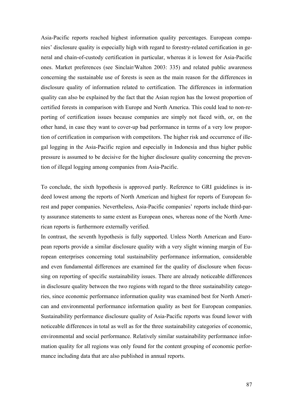Asia-Pacific reports reached highest information quality percentages. European companies' disclosure quality is especially high with regard to forestry-related certification in general and chain-of-custody certification in particular, whereas it is lowest for Asia-Pacific ones. Market preferences (see Sinclair/Walton 2003: 335) and related public awareness concerning the sustainable use of forests is seen as the main reason for the differences in disclosure quality of information related to certification. The differences in information quality can also be explained by the fact that the Asian region has the lowest proportion of certified forests in comparison with Europe and North America. This could lead to non-reporting of certification issues because companies are simply not faced with, or, on the other hand, in case they want to cover-up bad performance in terms of a very low proportion of certification in comparison with competitors. The higher risk and occurrence of illegal logging in the Asia-Pacific region and especially in Indonesia and thus higher public pressure is assumed to be decisive for the higher disclosure quality concerning the prevention of illegal logging among companies from Asia-Pacific.

To conclude, the sixth hypothesis is approved partly. Reference to GRI guidelines is indeed lowest among the reports of North American and highest for reports of European forest and paper companies. Nevertheless, Asia-Pacific companies' reports include third-party assurance statements to same extent as European ones, whereas none of the North American reports is furthermore externally verified.

In contrast, the seventh hypothesis is fully supported. Unless North American and European reports provide a similar disclosure quality with a very slight winning margin of European enterprises concerning total sustainability performance information, considerable and even fundamental differences are examined for the quality of disclosure when focussing on reporting of specific sustainability issues. There are already noticeable differences in disclosure quality between the two regions with regard to the three sustainability categories, since economic performance information quality was examined best for North American and environmental performance information quality as best for European companies. Sustainability performance disclosure quality of Asia-Pacific reports was found lower with noticeable differences in total as well as for the three sustainability categories of economic, environmental and social performance. Relatively similar sustainability performance information quality for all regions was only found for the content grouping of economic performance including data that are also published in annual reports.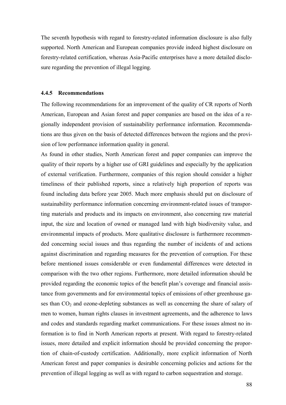The seventh hypothesis with regard to forestry-related information disclosure is also fully supported. North American and European companies provide indeed highest disclosure on forestry-related certification, whereas Asia-Pacific enterprises have a more detailed disclosure regarding the prevention of illegal logging.

#### **4.4.5 Recommendations**

The following recommendations for an improvement of the quality of CR reports of North American, European and Asian forest and paper companies are based on the idea of a regionally independent provision of sustainability performance information. Recommendations are thus given on the basis of detected differences between the regions and the provision of low performance information quality in general.

As found in other studies, North American forest and paper companies can improve the quality of their reports by a higher use of GRI guidelines and especially by the application of external verification. Furthermore, companies of this region should consider a higher timeliness of their published reports, since a relatively high proportion of reports was found including data before year 2005. Much more emphasis should put on disclosure of sustainability performance information concerning environment-related issues of transporting materials and products and its impacts on environment, also concerning raw material input, the size and location of owned or managed land with high biodiversity value, and environmental impacts of products. More qualitative disclosure is furthermore recommended concerning social issues and thus regarding the number of incidents of and actions against discrimination and regarding measures for the prevention of corruption. For these before mentioned issues considerable or even fundamental differences were detected in comparison with the two other regions. Furthermore, more detailed information should be provided regarding the economic topics of the benefit plan's coverage and financial assistance from governments and for environmental topics of emissions of other greenhouse gases than  $CO<sub>2</sub>$  and ozone-depleting substances as well as concerning the share of salary of men to women, human rights clauses in investment agreements, and the adherence to laws and codes and standards regarding market communications. For these issues almost no information is to find in North American reports at present. With regard to forestry-related issues, more detailed and explicit information should be provided concerning the proportion of chain-of-custody certification. Additionally, more explicit information of North American forest and paper companies is desirable concerning policies and actions for the prevention of illegal logging as well as with regard to carbon sequestration and storage.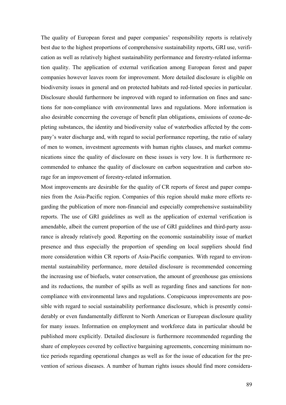The quality of European forest and paper companies' responsibility reports is relatively best due to the highest proportions of comprehensive sustainability reports, GRI use, verification as well as relatively highest sustainability performance and forestry-related information quality. The application of external verification among European forest and paper companies however leaves room for improvement. More detailed disclosure is eligible on biodiversity issues in general and on protected habitats and red-listed species in particular. Disclosure should furthermore be improved with regard to information on fines and sanctions for non-compliance with environmental laws and regulations. More information is also desirable concerning the coverage of benefit plan obligations, emissions of ozone-depleting substances, the identity and biodiversity value of waterbodies affected by the company's water discharge and, with regard to social performance reporting, the ratio of salary of men to women, investment agreements with human rights clauses, and market communications since the quality of disclosure on these issues is very low. It is furthermore recommended to enhance the quality of disclosure on carbon sequestration and carbon storage for an improvement of forestry-related information.

Most improvements are desirable for the quality of CR reports of forest and paper companies from the Asia-Pacific region. Companies of this region should make more efforts regarding the publication of more non-financial and especially comprehensive sustainability reports. The use of GRI guidelines as well as the application of external verification is amendable, albeit the current proportion of the use of GRI guidelines and third-party assurance is already relatively good. Reporting on the economic sustainability issue of market presence and thus especially the proportion of spending on local suppliers should find more consideration within CR reports of Asia-Pacific companies. With regard to environmental sustainability performance, more detailed disclosure is recommended concerning the increasing use of biofuels, water conservation, the amount of greenhouse gas emissions and its reductions, the number of spills as well as regarding fines and sanctions for noncompliance with environmental laws and regulations. Conspicuous improvements are possible with regard to social sustainability performance disclosure, which is presently considerably or even fundamentally different to North American or European disclosure quality for many issues. Information on employment and workforce data in particular should be published more explicitly. Detailed disclosure is furthermore recommended regarding the share of employees covered by collective bargaining agreements, concerning minimum notice periods regarding operational changes as well as for the issue of education for the prevention of serious diseases. A number of human rights issues should find more considera-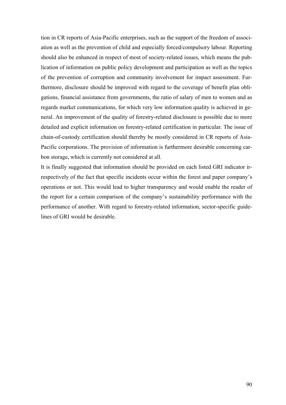tion in CR reports of Asia-Pacific enterprises, such as the support of the freedom of association as well as the prevention of child and especially forced/compulsory labour. Reporting should also be enhanced in respect of most of society-related issues, which means the publication of information on public policy development and participation as well as the topics of the prevention of corruption and community involvement for impact assessment. Furthermore, disclosure should be improved with regard to the coverage of benefit plan obligations, financial assistance from governments, the ratio of salary of men to women and as regards market communications, for which very low information quality is achieved in general. An improvement of the quality of forestry-related disclosure is possible due to more detailed and explicit information on forestry-related certification in particular. The issue of chain-of-custody certification should thereby be mostly considered in CR reports of Asia-Pacific corporations. The provision of information is furthermore desirable concerning carbon storage, which is currently not considered at all.

It is finally suggested that information should be provided on each listed GRI indicator irrespectively of the fact that specific incidents occur within the forest and paper company's operations or not. This would lead to higher transparency and would enable the reader of the report for a certain comparison of the company's sustainability performance with the performance of another. With regard to forestry-related information, sector-specific guidelines of GRI would be desirable.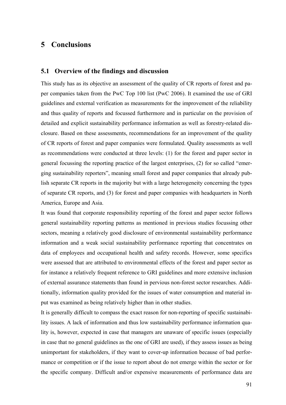## **5 Conclusions**

### **5.1 Overview of the findings and discussion**

This study has as its objective an assessment of the quality of CR reports of forest and paper companies taken from the PwC Top 100 list (PwC 2006). It examined the use of GRI guidelines and external verification as measurements for the improvement of the reliability and thus quality of reports and focussed furthermore and in particular on the provision of detailed and explicit sustainability performance information as well as forestry-related disclosure. Based on these assessments, recommendations for an improvement of the quality of CR reports of forest and paper companies were formulated. Quality assessments as well as recommendations were conducted at three levels: (1) for the forest and paper sector in general focussing the reporting practice of the largest enterprises, (2) for so called "emerging sustainability reporters", meaning small forest and paper companies that already publish separate CR reports in the majority but with a large heterogeneity concerning the types of separate CR reports, and (3) for forest and paper companies with headquarters in North America, Europe and Asia.

It was found that corporate responsibility reporting of the forest and paper sector follows general sustainability reporting patterns as mentioned in previous studies focussing other sectors, meaning a relatively good disclosure of environmental sustainability performance information and a weak social sustainability performance reporting that concentrates on data of employees and occupational health and safety records. However, some specifics were assessed that are attributed to environmental effects of the forest and paper sector as for instance a relatively frequent reference to GRI guidelines and more extensive inclusion of external assurance statements than found in pervious non-forest sector researches. Additionally, information quality provided for the issues of water consumption and material input was examined as being relatively higher than in other studies.

It is generally difficult to compass the exact reason for non-reporting of specific sustainability issues. A lack of information and thus low sustainability performance information quality is, however, expected in case that managers are unaware of specific issues (especially in case that no general guidelines as the one of GRI are used), if they assess issues as being unimportant for stakeholders, if they want to cover-up information because of bad performance or competition or if the issue to report about do not emerge within the sector or for the specific company. Difficult and/or expensive measurements of performance data are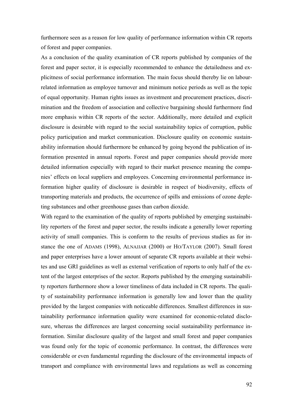furthermore seen as a reason for low quality of performance information within CR reports of forest and paper companies.

As a conclusion of the quality examination of CR reports published by companies of the forest and paper sector, it is especially recommended to enhance the detailedness and explicitness of social performance information. The main focus should thereby lie on labourrelated information as employee turnover and minimum notice periods as well as the topic of equal opportunity. Human rights issues as investment and procurement practices, discrimination and the freedom of association and collective bargaining should furthermore find more emphasis within CR reports of the sector. Additionally, more detailed and explicit disclosure is desirable with regard to the social sustainability topics of corruption, public policy participation and market communication. Disclosure quality on economic sustainability information should furthermore be enhanced by going beyond the publication of information presented in annual reports. Forest and paper companies should provide more detailed information especially with regard to their market presence meaning the companies' effects on local suppliers and employees. Concerning environmental performance information higher quality of disclosure is desirable in respect of biodiversity, effects of transporting materials and products, the occurrence of spills and emissions of ozone depleting substances and other greenhouse gases than carbon dioxide.

With regard to the examination of the quality of reports published by emerging sustainability reporters of the forest and paper sector, the results indicate a generally lower reporting activity of small companies. This is conform to the results of previous studies as for instance the one of ADAMS (1998), ALNAJJAR (2000) or HO/TAYLOR (2007). Small forest and paper enterprises have a lower amount of separate CR reports available at their websites and use GRI guidelines as well as external verification of reports to only half of the extent of the largest enterprises of the sector. Reports published by the emerging sustainability reporters furthermore show a lower timeliness of data included in CR reports. The quality of sustainability performance information is generally low and lower than the quality provided by the largest companies with noticeable differences. Smallest differences in sustainability performance information quality were examined for economic-related disclosure, whereas the differences are largest concerning social sustainability performance information. Similar disclosure quality of the largest and small forest and paper companies was found only for the topic of economic performance. In contrast, the differences were considerable or even fundamental regarding the disclosure of the environmental impacts of transport and compliance with environmental laws and regulations as well as concerning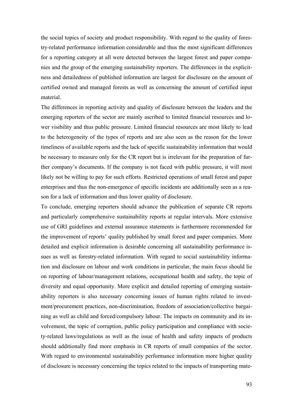the social topics of society and product responsibility. With regard to the quality of forestry-related performance information considerable and thus the most significant differences for a reporting category at all were detected between the largest forest and paper companies and the group of the emerging sustainability reporters. The differences in the explicitness and detailedness of published information are largest for disclosure on the amount of certified owned and managed forests as well as concerning the amount of certified input material.

The differences in reporting activity and quality of disclosure between the leaders and the emerging reporters of the sector are mainly ascribed to limited financial resources and lower visibility and thus public pressure. Limited financial resources are most likely to lead to the heterogeneity of the types of reports and are also seen as the reason for the lower timeliness of available reports and the lack of specific sustainability information that would be necessary to measure only for the CR report but is irrelevant for the preparation of further company's documents. If the company is not faced with public pressure, it will most likely not be willing to pay for such efforts. Restricted operations of small forest and paper enterprises and thus the non-emergence of specific incidents are additionally seen as a reason for a lack of information and thus lower quality of disclosure.

To conclude, emerging reporters should advance the publication of separate CR reports and particularly comprehensive sustainability reports at regular intervals. More extensive use of GRI guidelines and external assurance statements is furthermore recommended for the improvement of reports' quality published by small forest and paper companies. More detailed and explicit information is desirable concerning all sustainability performance issues as well as forestry-related information. With regard to social sustainability information and disclosure on labour and work conditions in particular, the main focus should lie on reporting of labour/management relations, occupational health and safety, the topic of diversity and equal opportunity. More explicit and detailed reporting of emerging sustainability reporters is also necessary concerning issues of human rights related to investment/procurement practices, non-discrimination, freedom of association/collective bargaining as well as child and forced/compulsory labour. The impacts on community and its involvement, the topic of corruption, public policy participation and compliance with society-related laws/regulations as well as the issue of health and safety impacts of products should additionally find more emphasis in CR reports of small companies of the sector. With regard to environmental sustainability performance information more higher quality of disclosure is necessary concerning the topics related to the impacts of transporting mate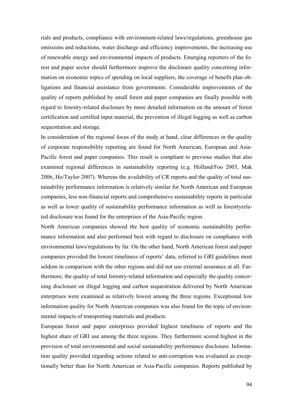rials and products, compliance with environment-related laws/regulations, greenhouse gas emissions and reductions, water discharge and efficiency improvements, the increasing use of renewable energy and environmental impacts of products. Emerging reporters of the forest and paper sector should furthermore improve the disclosure quality concerning information on economic topics of spending on local suppliers, the coverage of benefit plan obligations and financial assistance from governments. Considerable improvements of the quality of reports published by small forest and paper companies are finally possible with regard to forestry-related disclosure by more detailed information on the amount of forest certification and certified input material, the prevention of illegal logging as well as carbon sequestration and storage.

In consideration of the regional focus of the study at hand, clear differences in the quality of corporate responsibility reporting are found for North American, European and Asia-Pacific forest and paper companies. This result is compliant to previous studies that also examined regional differences in sustainability reporting (e.g. Holland/Foo 2003, Mak 2006, Ho/Taylor 2007). Whereas the availability of CR reports and the quality of total sustainability performance information is relatively similar for North American and European companies, less non-financial reports and comprehensive sustainability reports in particular as well as lower quality of sustainability performance information as well as forestryrelated disclosure was found for the enterprises of the Asia-Pacific region.

North American companies showed the best quality of economic sustainability performance information and also performed best with regard to disclosure on compliance with environmental laws/regulations by far. On the other hand, North American forest and paper companies provided the lowest timeliness of reports' data, referred to GRI guidelines most seldom in comparison with the other regions and did not use external assurance at all. Furthermore, the quality of total forestry-related information and especially the quality concerning disclosure on illegal logging and carbon sequestration delivered by North American enterprises were examined as relatively lowest among the three regions. Exceptional low information quality for North American companies was also found for the topic of environmental impacts of transporting materials and products.

European forest and paper enterprises provided highest timeliness of reports and the highest share of GRI use among the three regions. They furthermore scored highest in the provision of total environmental and social sustainability performance disclosure. Information quality provided regarding actions related to anti-corruption was evaluated as exceptionally better than for North American or Asia-Pacific companies. Reports published by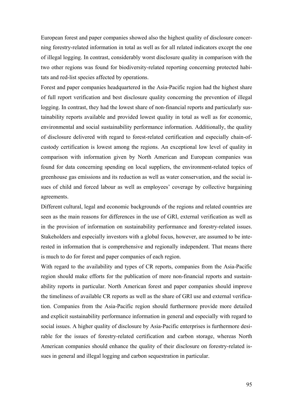European forest and paper companies showed also the highest quality of disclosure concerning forestry-related information in total as well as for all related indicators except the one of illegal logging. In contrast, considerably worst disclosure quality in comparison with the two other regions was found for biodiversity-related reporting concerning protected habitats and red-list species affected by operations.

Forest and paper companies headquartered in the Asia-Pacific region had the highest share of full report verification and best disclosure quality concerning the prevention of illegal logging. In contrast, they had the lowest share of non-financial reports and particularly sustainability reports available and provided lowest quality in total as well as for economic, environmental and social sustainability performance information. Additionally, the quality of disclosure delivered with regard to forest-related certification and especially chain-ofcustody certification is lowest among the regions. An exceptional low level of quality in comparison with information given by North American and European companies was found for data concerning spending on local suppliers, the environment-related topics of greenhouse gas emissions and its reduction as well as water conservation, and the social issues of child and forced labour as well as employees' coverage by collective bargaining agreements.

Different cultural, legal and economic backgrounds of the regions and related countries are seen as the main reasons for differences in the use of GRI, external verification as well as in the provision of information on sustainability performance and forestry-related issues. Stakeholders and especially investors with a global focus, however, are assumed to be interested in information that is comprehensive and regionally independent. That means there is much to do for forest and paper companies of each region.

With regard to the availability and types of CR reports, companies from the Asia-Pacific region should make efforts for the publication of more non-financial reports and sustainability reports in particular. North American forest and paper companies should improve the timeliness of available CR reports as well as the share of GRI use and external verification. Companies from the Asia-Pacific region should furthermore provide more detailed and explicit sustainability performance information in general and especially with regard to social issues. A higher quality of disclosure by Asia-Pacific enterprises is furthermore desirable for the issues of forestry-related certification and carbon storage, whereas North American companies should enhance the quality of their disclosure on forestry-related issues in general and illegal logging and carbon sequestration in particular.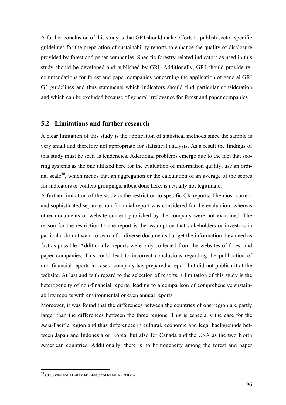A further conclusion of this study is that GRI should make efforts to publish sector-specific guidelines for the preparation of sustainability reports to enhance the quality of disclosure provided by forest and paper companies. Specific forestry-related indicators as used in this study should be developed and published by GRI. Additionally, GRI should provide recommendations for forest and paper companies concerning the application of general GRI G3 guidelines and thus statements which indicators should find particular consideration and which can be excluded because of general irrelevance for forest and paper companies.

### **5.2 Limitations and further research**

A clear limitation of this study is the application of statistical methods since the sample is very small and therefore not appropriate for statistical analysis. As a result the findings of this study must be seen as tendencies. Additional problems emerge due to the fact that scoring systems as the one utilized here for the evaluation of information quality, use an ordinal scale<sup>50</sup>, which means that an aggregation or the calculation of an average of the scores for indicators or content groupings, albeit done here, is actually not legitimate.

A further limitation of the study is the restriction to specific CR reports. The most current and sophisticated separate non-financial report was considered for the evaluation, whereas other documents or website content published by the company were not examined. The reason for the restriction to one report is the assumption that stakeholders or investors in particular do not want to search for diverse documents but get the information they need as fast as possible. Additionally, reports were only collected from the websites of forest and paper companies. This could lead to incorrect conclusions regarding the publication of non-financial reports in case a company has prepared a report but did not publish it at the website. At last and with regard to the selection of reports, a limitation of this study is the heterogeneity of non-financial reports, leading to a comparison of comprehensive sustainability reports with environmental or even annual reports.

Moreover, it was found that the differences between the countries of one region are partly larger than the differences between the three regions. This is especially the case for the Asia-Pacific region and thus differences in cultural, economic and legal backgrounds between Japan and Indonesia or Korea, but also for Canada and the USA as the two North American countries. Additionally, there is no homogeneity among the forest and paper

 $\overline{a}$ 

<sup>50</sup> Cf.: JONES and ALABASTER 1999, cited by MILNE 2003: 4.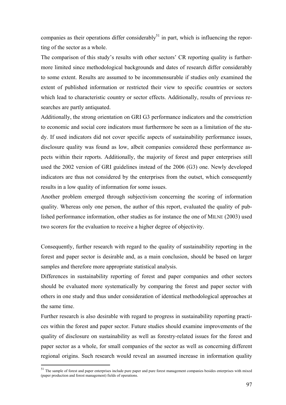companies as their operations differ considerably<sup>51</sup> in part, which is influencing the reporting of the sector as a whole.

The comparison of this study's results with other sectors' CR reporting quality is furthermore limited since methodological backgrounds and dates of research differ considerably to some extent. Results are assumed to be incommensurable if studies only examined the extent of published information or restricted their view to specific countries or sectors which lead to characteristic country or sector effects. Additionally, results of previous researches are partly antiquated.

Additionally, the strong orientation on GRI G3 performance indicators and the constriction to economic and social core indicators must furthermore be seen as a limitation of the study. If used indicators did not cover specific aspects of sustainability performance issues, disclosure quality was found as low, albeit companies considered these performance aspects within their reports. Additionally, the majority of forest and paper enterprises still used the 2002 version of GRI guidelines instead of the 2006 (G3) one. Newly developed indicators are thus not considered by the enterprises from the outset, which consequently results in a low quality of information for some issues.

Another problem emerged through subjectivism concerning the scoring of information quality. Whereas only one person, the author of this report, evaluated the quality of published performance information, other studies as for instance the one of MILNE (2003) used two scorers for the evaluation to receive a higher degree of objectivity.

Consequently, further research with regard to the quality of sustainability reporting in the forest and paper sector is desirable and, as a main conclusion, should be based on larger samples and therefore more appropriate statistical analysis.

Differences in sustainability reporting of forest and paper companies and other sectors should be evaluated more systematically by comparing the forest and paper sector with others in one study and thus under consideration of identical methodological approaches at the same time.

Further research is also desirable with regard to progress in sustainability reporting practices within the forest and paper sector. Future studies should examine improvements of the quality of disclosure on sustainability as well as forestry-related issues for the forest and paper sector as a whole, for small companies of the sector as well as concerning different regional origins. Such research would reveal an assumed increase in information quality

 $\overline{a}$ 

 $51$  The sample of forest and paper enterprises include pure paper and pure forest management companies besides enterprises with mixed (paper production and forest management) fields of operations.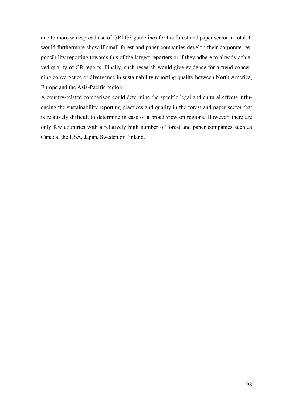due to more widespread use of GRI G3 guidelines for the forest and paper sector in total. It would furthermore show if small forest and paper companies develop their corporate responsibility reporting towards this of the largest reporters or if they adhere to already achieved quality of CR reports. Finally, such research would give evidence for a trend concerning convergence or divergence in sustainability reporting quality between North America, Europe and the Asia-Pacific region.

A country-related comparison could determine the specific legal and cultural effects influencing the sustainability reporting practices and quality in the forest and paper sector that is relatively difficult to determine in case of a broad view on regions. However, there are only few countries with a relatively high number of forest and paper companies such as Canada, the USA, Japan, Sweden or Finland.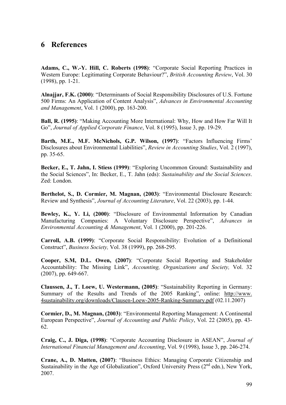# **6 References**

**Adams, C., W.-Y. Hill, C. Roberts (1998)**: "Corporate Social Reporting Practices in Western Europe: Legitimating Corporate Behaviour?", *British Accounting Review*, Vol. 30 (1998), pp. 1-21.

**Alnajjar, F.K. (2000)**: "Determinants of Social Responsibility Disclosures of U.S. Fortune 500 Firms: An Application of Content Analysis", *Advances in Environmental Accounting and Management*, Vol. 1 (2000), pp. 163-200.

**Ball, R. (1995)**: "Making Accounting More International: Why, How and How Far Will It Go", *Journal of Applied Corporate Finance*, Vol. 8 (1995), Issue 3, pp. 19-29.

**Barth, M.E., M.F. McNichols, G.P. Wilson, (1997)**: "Factors Influencing Firms' Disclosures about Environmental Liabilities", *Review in Accounting Studies*, Vol. 2 (1997), pp. 35-65.

**Becker, E., T. Jahn, I. Stiess (1999)**: "Exploring Uncommon Ground: Sustainability and the Social Sciences", In: Becker, E., T. Jahn (eds): *Sustainability and the Social Sciences*. Zed: London.

**Berthelot, S., D. Cormier, M. Magnan, (2003)**: "Environmental Disclosure Research: Review and Synthesis", *Journal of Accounting Literature*, Vol. 22 (2003), pp. 1-44.

**Bewley, K., Y. Li, (2000)**: "Disclosure of Environmental Information by Canadian Manufacturing Companies: A Voluntary Disclosure Perspective", *Advances in Environmental Accounting & Management*, Vol. 1 (2000), pp. 201-226.

**Carroll, A.B. (1999)**: "Corporate Social Responsibility: Evolution of a Definitional Construct", *Business Society,* Vol. 38 (1999), pp. 268-295.

**Cooper, S.M, D.L. Owen, (2007)**: "Corporate Social Reporting and Stakeholder Accountability: The Missing Link", *Accounting, Organizations and Society,* Vol. 32 (2007), pp. 649-667.

**Claussen, J., T. Loew, U. Westermann, (2005)**: "Sustainability Reporting in Germany: Summary of the Results and Trends of the 2005 Ranking", online: http://www. 4sustainability.org/downloads/Clausen-Loew-2005-Ranking-Summary.pdf (02.11.2007)

**Cormier, D., M. Magnan, (2003)**: "Environmental Reporting Management: A Continental European Perspective", *Journal of Accounting and Public Policy*, Vol. 22 (2005), pp. 43- 62.

**Craig, C., J. Diga, (1998)**: "Corporate Accounting Disclosure in ASEAN", *Journal of International Financial Management and Accounting*, Vol. 9 (1998), Issue 3, pp. 246-274.

**Crane, A., D. Matten, (2007)**: "Business Ethics: Managing Corporate Citizenship and Sustainability in the Age of Globalization", Oxford University Press  $(2^{nd}$  edn.), New York, 2007.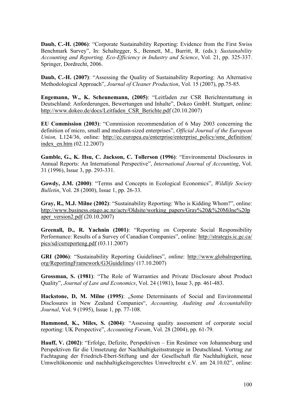**Daub, C.-H. (2006)**: "Corporate Sustainability Reporting: Evidence from the First Swiss Benchmark Survey", In: Schaltegger, S., Bennett, M., Burritt, R. (eds.): *Sustainability Accounting and Reporting. Eco-Efficiency in Industry and Science*, Vol. 21, pp. 325-337. Springer, Dordrecht, 2006.

**Daub, C.-H. (2007)**: "Assessing the Quality of Sustainability Reporting: An Alternative Methodological Approach", *Journal of Cleaner Production*, Vol. 15 (2007), pp.75-85.

**Engemann, W., K. Scheunemann, (2005)**: "Leitfaden zur CSR Berichterstattung in Deutschland: Anforderungen, Bewertungen und Inhalte", Dokeo GmbH. Stuttgart, online: http://www.dokeo.de/docs/Leitfaden\_CSR\_Berichte.pdf (20.10.2007)

**EU Commission (2003)**: "Commission recommendation of 6 May 2003 concerning the definition of micro, small and medium-sized enterprises", *Official Journal of the European Union, L124/36, online: http://ec.europea.eu/enterprise/enterprise policy/sme definition/* index\_en.htm (02.12.2007)

**Gamble, G., K. Hsu, C. Jackson, C. Tollerson (1996)**: "Environmental Disclosures in Annual Reports: An International Perspective", *International Journal of Accounting*, Vol. 31 (1996), Issue 3, pp. 293-331.

**Gowdy, J.M. (2000)**: "Terms and Concepts in Ecological Economics", *Wildlife Society Bulletin*, Vol. 28 (2000), Issue 1, pp. 26-33.

**Gray, R., M.J. Milne (2002)**: "Sustainability Reporting: Who is Kidding Whom?", online: http://www.business.otago.ac.nz/acty/Oldsite/working\_papers/Gray%20&%20Milne%20p aper\_version2.pdf  $(20.10.2007)$ 

**Greenall, D., R. Yachnin (2001)**: "Reporting on Corporate Social Responsibility Performance: Results of a Survey of Canadian Companies", online: http://strategis.ic.gc.ca/ pics/sd/csrreporteng.pdf (03.11.2007)

**GRI (2006)**: "Sustainability Reporting Guidelines", online: http://www.globalreporting. org/ReportingFramework/G3Guidelines/ (17.10.2007)

**Grossman, S. (1981)**: "The Role of Warranties and Private Disclosure about Product Quality", *Journal of Law and Economics*, Vol. 24 (1981), Issue 3, pp. 461-483.

Hackstone, D, M. Milne (1995): "Some Determinants of Social and Environmental Disclosures in New Zealand Companies", *Accounting, Auditing and Accountability Journal*, Vol. 9 (1995), Issue 1, pp. 77-108.

**Hammond, K., Miles, S. (2004)**: "Assessing quality assessment of corporate social reporting: UK Perspective", *Accounting Forum*, Vol. 28 (2004), pp. 61-79.

**Hauff, V. (2002)**: "Erfolge, Defizite, Perspektiven – Ein Resümee von Johannesburg und Perspektiven für die Umsetzung der Nachhaltigkeitsstrategie in Deutschland. Vortrag zur Fachtagung der Friedrich-Ebert-Stiftung und der Gesellschaft für Nachhaltigkeit, neue Umweltökonomie und nachhaltigkeitsgerechtes Umweltrecht e.V. am 24.10.02", online: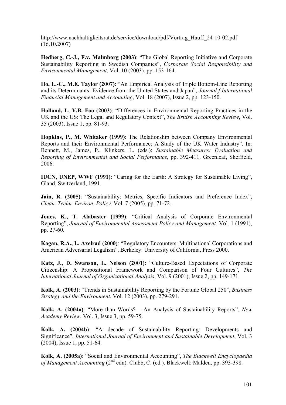http://www.nachhaltigkeitsrat.de/service/download/pdf/Vortrag\_Hauff\_24-10-02.pdf (16.10.2007)

**Hedberg, C.-J., F.v. Malmborg (2003)**: "The Global Reporting Initiative and Corporate Sustainability Reporting in Swedish Companies", *Corporate Social Responsibility and Environmental Management*, Vol. 10 (2003), pp. 153-164.

**Ho, L.-C., M.E. Taylor (2007)**: "An Empirical Analysis of Triple Bottom-Line Reporting and its Determinants: Evidence from the United States and Japan", *Journal f International Financial Management and Accounting*, Vol. 18 (2007), Issue 2, pp. 123-150.

**Holland, L, Y.B. Foo (2003)**: "Differences in Environmental Reporting Practices in the UK and the US: The Legal and Regulatory Context", *The British Accounting Review*, Vol. 35 (2003), Issue 1, pp. 81-93.

**Hopkins, P., M. Whitaker (1999)**: The Relationship between Company Environmental Reports and their Environmental Performance: A Study of the UK Water Industry". In: Bennett, M., James, P., Klinkers, L. (eds.): *Sustainable Measures: Evaluation and Reporting of Environmental and Social Performance*, pp. 392-411. Greenleaf, Sheffield, 2006.

**IUCN, UNEP, WWF (1991)**: "Caring for the Earth: A Strategy for Sustainable Living", Gland, Switzerland, 1991.

**Jain, R. (2005)**: "Sustainability: Metrics, Specific Indicators and Preference Index", *Clean. Techn. Environ. Policy*. Vol. 7 (2005), pp. 71-72.

**Jones, K., T. Alabaster (1999)**: "Critical Analysis of Corporate Environmental Reporting", *Journal of Environmental Assessment Policy and Management*, Vol. 1 (1991), pp. 27-60.

**Kagan, R.A., L. Axelrad (2000)**: "Regulatory Encounters: Multinational Corporations and American Adversarial Legalism", Berkeley: University of California, Press 2000.

**Katz, J., D. Swanson, L. Nelson (2001)**: "Culture-Based Expectations of Corporate Citizenship: A Propositional Framework and Comparison of Four Cultures", *The International Journal of Organizational Analysis*, Vol. 9 (2001), Issue 2, pp. 149-171.

**Kolk, A. (2003)**: "Trends in Sustainability Reporting by the Fortune Global 250", *Business Strategy and the Environment*. Vol. 12 (2003), pp. 279-291.

**Kolk, A. (2004a)**: "More than Words? – An Analysis of Sustainability Reports", *New Academy Review*, Vol. 3, Issue 3, pp. 59-75.

**Kolk, A. (2004b)**: "A decade of Sustainability Reporting: Developments and Significance", *International Journal of Environment and Sustainable Development*, Vol. 3 (2004), Issue 1, pp. 51-64.

**Kolk, A. (2005a)**: "Social and Environmental Accounting", *The Blackwell Encyclopaedia of Management Accounting* (2<sup>nd</sup> edn). Clubb, C. (ed.). Blackwell: Malden, pp. 393-398.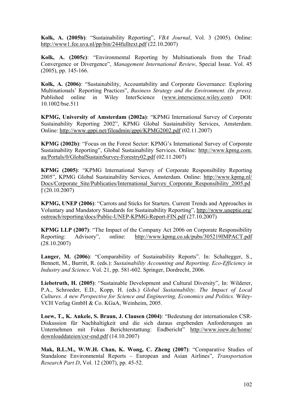**Kolk, A. (2005b)**: "Sustainability Reporting", *VBA Journal*, Vol. 3 (2005). Online: http://www1.fee.uva.nl/pp/bin/244fulltext.pdf (22.10.2007)

**Kolk, A. (2005c)**: "Environmental Reporting by Multinationals from the Triad: Convergence or Divergence", *Management International Review*, Special Issue. Vol. 45 (2005), pp. 145-166.

**Kolk, A. (2006)**: "Sustainability, Accountability and Corporate Governance: Exploring Multinationals' Reporting Practices", *Business Strategy and the Environment. (In press).*  Published online in Wiley InterScience (www.interscience.wiley.com) DOI: 10.1002/bse.511

**KPMG, University of Amsterdam (2002a)**: "KPMG International Survey of Corporate Sustainability Reporting 2002", KPMG Global Sustainability Services, Amsterdam. Online: http://www.gppi.net/fileadmin/gppi/KPMG2002.pdf (02.11.2007)

**KPMG (2002b)**: "Focus on the Forest Sector: KPMG's International Survey of Corporate Sustainability Reporting", Global Sustainability Services. Online: http://www.kpmg.com. au/Portals/0/GlobalSustainSurvey-Forestry02.pdf (02.11.2007)

**KPMG (2005)**: "KPMG International Survey of Corporate Responsibility Reporting 2005", KPMG Global Sustainability Services, Amsterdam. Online: http://www.kpmg.nl/ Docs/Corporate\_Site/Publicaties/International\_Survey\_Corporate\_Responsibility\_2005.pd f (20.10.2007)

**KPMG, UNEP (2006)**: "Carrots and Sticks for Starters. Current Trends and Approaches in Voluntary and Mandatory Standards for Sustainability Reporting", http://www.uneptie.org/ outreach/reporting/docs/Public-UNEP-KPMG-Report-FIN.pdf (27.10.2007)

**KPMG LLP (2007)**: "The Impact of the Company Act 2006 on Corporate Responsibility Reporting: Advisory", online: http://www.kpmg.co.uk/pubs/305219IMPACT.pdf (28.10.2007)

**Langer, M. (2006)**: "Comparability of Sustainability Reports". In: Schaltegger, S., Bennett, M., Burritt, R. (eds.): *Sustainability Accounting and Reporting*. *Eco-Efficiency in Industry and Science*. Vol. 21, pp. 581-602. Springer, Dordrecht, 2006.

**Liebetruth, H. (2005)**: "Sustainable Development and Cultural Diversity", In: Wilderer, P.A., Schroeder, E.D., Kopp, H. (eds.) *Global Sustainability. The Impact of Local Cultures. A new Perspective for Science and Engineering, Economics and Politics.* Wiley-VCH Verlag GmbH & Co. KGaA, Weinheim, 2005.

**Loew, T., K. Ankele, S. Braun, J. Clausen (2004)**: "Bedeutung der internationalen CSR-Diskussion für Nachhaltigkeit und die sich daraus ergebenden Anforderungen an Unternehmen mit Fokus Berichterstattung: Endbericht" http://www.ioew.de/home/ downloaddateien/csr-end.pdf (14.10.2007)

**Mak, B.L.M., W.W.H. Chan, K. Wong, C. Zheng (2007)**: "Comparative Studies of Standalone Environmental Reports – European and Asian Airlines", *Transportation Research Part D*, Vol. 12 (2007), pp. 45-52.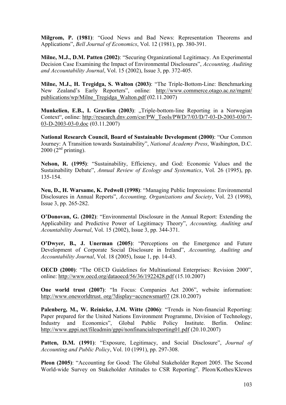**Milgrom, P. (1981)**: "Good News and Bad News: Representation Theorems and Applications", *Bell Journal of Economics*, Vol. 12 (1981), pp. 380-391.

**Milne, M.J., D.M. Patten (2002)**: "Securing Organizational Legitimacy. An Experimental Decision Case Examining the Impact of Environmental Disclosures", *Accounting, Auditing and Accountability Journal*, Vol. 15 (2002), Issue 3, pp. 372-405.

**Milne, M.J., H. Tregidga, S. Walton (2003)**: "The Triple-Bottom-Line: Benchmarking New Zealand's Early Reporters", online: http://www.commerce.otago.ac.nz/mgmt/ publications/wp/Milne\_Tregidga\_Walton.pdf (02.11.2007)

**Munkelien, E.B., I. Gravlien (2003)**: "Triple-bottom-line Reporting in a Norwegian Context", online: http://research.dnv.com/csr/PW\_Tools/PWD/7/03/D/7-03-D-2003-030/7- 03-D-2003-03-0.doc (03.11.2007)

**National Research Council, Board of Sustainable Development (2000)**: "Our Common Journey: A Transition towards Sustainability", *National Academy Press*, Washington, D.C.  $2000$  ( $2<sup>nd</sup>$  printing).

**Nelson, R. (1995)**: "Sustainability, Efficiency, and God: Economic Values and the Sustainability Debate", *Annual Review of Ecology and Systematics*, Vol. 26 (1995), pp. 135-154.

**Neu, D., H. Warsame, K. Pedwell (1998)**: "Managing Public Impressions: Environmental Disclosures in Annual Reports", *Accounting, Organizations and Society*, Vol. 23 (1998), Issue 3, pp. 265-282.

**O'Donovan, G. (2002)**: "Environmental Disclosure in the Annual Report: Extending the Applicability and Predictive Power of Legitimacy Theory", *Accounting, Auditing and Acountability Journal*, Vol. 15 (2002), Issue 3, pp. 344-371.

**O'Dwyer, B., J. Unerman (2005)**: "Perceptions on the Emergence and Future Development of Corporate Social Disclosure in Ireland", *Accounting, Auditing and Accountability Journal*, Vol. 18 (2005), Issue 1, pp. 14-43.

**OECD (2000)**: "The OECD Guidelines for Multinational Enterprises: Revision 2000", online: http://www.oecd.org/dataoecd/56/36/1922428.pdf (15.10.2007)

**One world trust (2007)**: "In Focus: Companies Act 2006", website information: http://www.oneworldtrust. org/?display=accnewsmar07 (28.10.2007)

**Palenberg, M., W. Reinicke, J.M. Witte (2006)**: "Trends in Non-financial Reporting: Paper prepared for the United Nations Environment Programme, Division of Technology, Industry and Economics", Global Public Policy Institute. Berlin. Online: http://www.gppi.net/fileadmin/gppi/nonfinancialreporting01.pdf (20.10.2007)

**Patten, D.M. (1991)**: "Exposure, Legitimacy, and Social Disclosure", *Journal of Accounting and Public Policy*, Vol. 10 (1991), pp. 297-308.

**Pleon (2005)**: "Accounting for Good: The Global Stakeholder Report 2005. The Second World-wide Survey on Stakeholder Attitudes to CSR Reporting". Pleon/Kothes/Klewes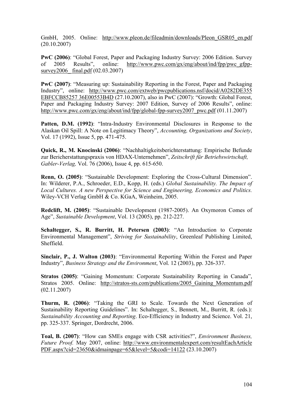GmbH, 2005. Online: http://www.pleon.de/fileadmin/downloads/Pleon\_GSR05\_en.pdf (20.10.2007)

**PwC (2006)**: "Global Forest, Paper and Packaging Industry Survey: 2006 Edition. Survey of 2005 Results", online: http://www.pwc.com/gx/eng/about/ind/fpp/pwc\_gfppsurvey2006 final.pdf (02.03.2007)

**PwC (2007)**: "Measuring up: Sustainability Reporting in the Forest, Paper and Packaging Industry", online: http://www.pwc.com/extweb/pwcpublications.nsf/docid/A0282DE355 EBFCCB85257 36E00553B4D (27.10.2007), also in PwC (2007): "Growth: Global Forest, Paper and Packaging Industry Survey: 2007 Edition, Survey of 2006 Results", online: http://www.pwc.com/gx/eng/about/ind/fpp/global-fpp-survey2007\_pwc.pdf (01.11.2007)

**Patten, D.M. (1992)**: "Intra-Industry Environmental Disclosures in Response to the Alaskan Oil Spill: A Note on Legitimacy Theory", *Accounting, Organizations and Society*, Vol. 17 (1992), Issue 5, pp. 471-475.

**Quick, R., M. Knocinski (2006)**: "Nachhaltigkeitsberichterstattung: Empirische Befunde zur Bericherstattungspraxis von HDAX-Unternehmen", *Zeitschrift für Betriebswirtschaft, Gabler-Verlag,* Vol. 76 (2006), Issue 4, pp. 615-650.

**Renn, O. (2005)**: "Sustainable Development: Exploring the Cross-Cultural Dimension". In: Wilderer, P.A., Schroeder, E.D., Kopp, H. (eds.) *Global Sustainability. The Impact of Local Cultures. A new Perspective for Science and Engineering, Economics and Politics.* Wiley-VCH Verlag GmbH & Co. KGaA, Weinheim, 2005.

**Redclift, M. (2005)**: "Sustainable Development (1987-2005). An Oxymoron Comes of Age", *Sustainable Development*, Vol. 13 (2005), pp. 212-227.

**Schaltegger, S., R. Burritt, H. Petersen (2003)**: "An Introduction to Corporate Environmental Management", *Striving for Sustainability*, Greenleaf Publishing Limited, Sheffield.

**Sinclair, P., J. Walton (2003)**: "Environmental Reporting Within the Forest and Paper Industry", *Business Strategy and the Environment*, Vol. 12 (2003), pp. 326-337.

**Stratos (2005)**: "Gaining Momentum: Corporate Sustainability Reporting in Canada", Stratos 2005. Online: http://stratos-sts.com/publications/2005\_Gaining\_Momentum.pdf (02.11.2007)

**Thurm, R. (2006)**: "Taking the GRI to Scale. Towards the Next Generation of Sustainability Reporting Guidelines". In: Schaltegger, S., Bennett, M., Burritt, R. (eds.): *Sustainability Accounting and Reporting*. Eco-Efficiency in Industry and Science. Vol. 21, pp. 325-337. Springer, Dordrecht, 2006.

**Toal, B. (2007)**: "How can SMEs engage with CSR activities?", *Environment Business, Future Proof.* May 2007, online: http://www.environmentalexpert.com/resultEachArticle PDF.aspx?cid=23650&idmainpage=65&level=5&codi=14122 (23.10.2007)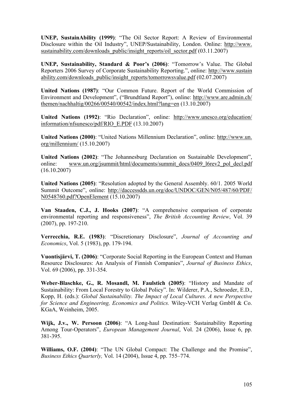**UNEP, SustainAbility (1999)**: "The Oil Sector Report: A Review of Environmental Disclosure within the Oil Industry", UNEP/Sustainability, London. Online: http://www. sustainability.com/downloads\_public/insight\_reports/oil\_sector.pdf (03.11.2007)

**UNEP, Sustainability, Standard & Poor's (2006)**: "Tomorrow's Value. The Global Reporters 2006 Survey of Corporate Sustainability Reporting.", online: http://www.sustain ability.com/downloads\_public/insight\_reports/tomorrowsvalue.pdf (02.07.2007)

**United Nations (1987)**: "Our Common Future. Report of the World Commission of Environment and Development", ("Brundtland Report"), online: http://www.are.admin.ch/ themen/nachhaltig/00266/00540/00542/index.html?lang=en (13.10.2007)

**United Nations (1992)**: "Rio Declaration", online: http://www.unesco.org/education/ information/nfsunesco/pdf/RIO\_E.PDF (13.10.2007)

**United Nations (2000)**: "United Nations Millennium Declaration", online: http://www.un. org/millennium/ (15.10.2007)

**United Nations (2002)**: "The Johannesburg Declaration on Sustainable Development", online: www.un.org/jsummit/html/documents/summit\_docs/0409\_l6rev2\_pol\_decl.pdf (16.10.2007)

**United Nations (2005)**: "Resolution adopted by the General Assembly. 60/1. 2005 World Summit Outcome", online: http://daccessdds.un.org/doc/UNDOC/GEN/N05/487/60/PDF/ N0548760.pdf?OpenElement (15.10.2007)

**Van Staaden, C.J., J. Hooks (2007)**: "A comprehensive comparison of corporate environmental reporting and responsiveness", *The British Accounting Review*, Vol. 39 (2007), pp. 197-210.

**Verrecchia, R.E. (1983)**: "Discretionary Disclosure", *Journal of Accounting and Economics*, Vol. 5 (1983), pp. 179-194.

**Vuontisjärvi, T. (2006)**: "Corporate Social Reporting in the European Context and Human Resource Disclosures: An Analysis of Finnish Companies", *Journal of Business Ethics*, Vol. 69 (2006), pp. 331-354.

**Weber-Blaschke, G., R. Mosandl, M. Faulstich (2005)**: "History and Mandate of Sustainability: From Local Forestry to Global Policy". In: Wilderer, P.A., Schroeder, E.D., Kopp, H. (eds.): *Global Sustainability. The Impact of Local Cultures. A new Perspective for Science and Engineering, Economics and Politics.* Wiley-VCH Verlag GmbH & Co. KGaA, Weinheim, 2005.

**Wijk, J.v., W. Persoon (2006)**: "A Long-haul Destination: Sustainability Reporting Among Tour-Operators", *European Management Journal*, Vol. 24 (2006), Issue 6, pp. 381-395.

**Williams, O.F. (2004)**: "The UN Global Compact: The Challenge and the Promise", *Business Ethics Quarterly,* Vol. 14 (2004), Issue 4, pp. 755–774.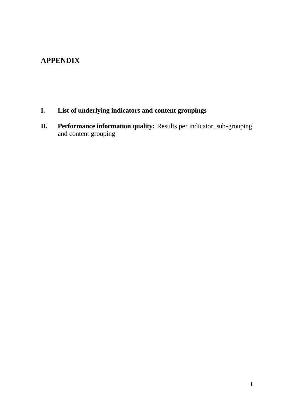## **APPENDIX**

- **I. List of underlying indicators and content groupings**
- **II. Performance information quality:** Results per indicator, sub-grouping and content grouping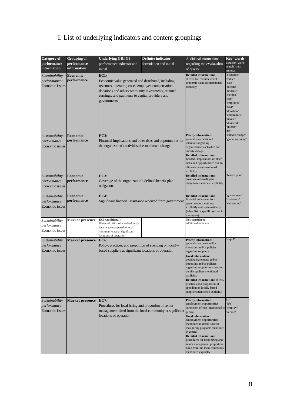## I. List of underlying indicators and content groupings

| <b>Category</b> of<br>performance<br>information  | <b>Grouping of</b><br>performance<br>information | <b>Underlying GRI G3</b><br>performance indicator and<br>initial                                                                                                                                                                             | <b>Definite indicator</b><br>formulation and initial         | Additional information<br>regarding the evaluation<br>of quality                                                                                                                                                                                                                                                                                                                                                   | Kev"words"<br>used for "word<br>search" with<br>Acrobat                                                                                                                                |
|---------------------------------------------------|--------------------------------------------------|----------------------------------------------------------------------------------------------------------------------------------------------------------------------------------------------------------------------------------------------|--------------------------------------------------------------|--------------------------------------------------------------------------------------------------------------------------------------------------------------------------------------------------------------------------------------------------------------------------------------------------------------------------------------------------------------------------------------------------------------------|----------------------------------------------------------------------------------------------------------------------------------------------------------------------------------------|
| Sustainability<br>performance:<br>Economic issues | Economic<br>performance                          | $EC1$ :<br>Economic value generated and distributed, including<br>revenues, operating costs, employee compensation,<br>donations and other community investments, retained<br>earnings, and payments to capital providers and<br>governments |                                                              | <b>Detailed information:</b><br>at least fourparameters of<br>economic value are mentioned<br>explicitly                                                                                                                                                                                                                                                                                                           | 'economic"<br>'value"<br>'sale"<br>'income"<br>'revenue"<br>'earning"<br>'cost"<br>'employee"<br>'salar"<br>'donation"<br>'community"<br>'invest"<br>'dividend"<br>'interest"<br>'tax" |
| Sustainability<br>performance:<br>Economic issues | Economic<br>performance                          | EC2:<br>the organization's activities due to climate change                                                                                                                                                                                  | Financial implications and other risks and opportunities for | <b>Patchy information:</b><br>general statements and<br>intentions regarding<br>organizsation's activities and<br>climate change<br><b>Detailed information:</b><br>financial implications or other<br>risks and opportunities due to<br>climate change mentioned<br>explicitly                                                                                                                                    | 'climate change"<br>'global warming"                                                                                                                                                   |
| Sustainability<br>performance:<br>Economic issues | Economic<br>performance                          | <b>EC3:</b><br>Coverage of the organization's defined benefit plan<br>obligations                                                                                                                                                            |                                                              | <b>Detailed information:</b><br>coverage of benefit plan<br>obigations mentioned explicitly                                                                                                                                                                                                                                                                                                                        | 'benefit plan"                                                                                                                                                                         |
| Sustainability<br>performance:<br>Economic issues | Economic<br>performance                          | EC4:                                                                                                                                                                                                                                         | Significant financial assistance received from government    | <b>Detailed information:</b><br>financial assistance from<br>governments mentioned<br>explicitly and systematically<br>(table, list or specific section in<br>the report)                                                                                                                                                                                                                                          | 'government"<br>'assistance"<br>'subvention"                                                                                                                                           |
| Sustainability<br>performance:<br>Economic issues | <b>Market presence</b>                           | EC5 (additional):<br>Range of ratios of standard entry<br>level wage compared to local<br>minimum wage at significant<br>locations of operation                                                                                              |                                                              | Not considered:<br>additional indicator                                                                                                                                                                                                                                                                                                                                                                            |                                                                                                                                                                                        |
| Sustainability<br>performance:<br>Economic issues | <b>Market presence</b>                           | EC6:<br>Policy, practices, and proportion of spending on locally-<br>based suppliers at significant locations of operation                                                                                                                   |                                                              | <b>Patchy information:</b><br>general statements and/or<br>intentions and/or policies<br>regarding suppliers<br><b>Good information:</b><br>detailed statements and/or<br>intentions and/or policies<br>regarding suppliers or spending<br>on all suppliers mentioned<br>explicitly<br>Detailed information: policy,<br>practices and proportion of<br>spending on locally-based<br>suppliers mentioned explicitly | 'suppl"                                                                                                                                                                                |
| Sustainability<br>performance:<br>Economic issues | <b>Market presence</b>                           | <b>EC7:</b><br>Procedures for local hiring and proportion of senior<br>locations of operation                                                                                                                                                | management hired from the local community at significant     | <b>Patchy information:</b><br>employment opportunities<br>(provision of jobs) mentioned in<br>general<br><b>Good information:</b><br>employment opportunities<br>mentioned in detail; specific<br>local hiring programs mentioned<br>in general<br><b>Detailed information:</b><br>procedures for local hiring and<br>senior management proportion<br>hired from the local community<br>mentioned explicitly       | hir"<br>'job"<br>"employ"<br>'recruit"                                                                                                                                                 |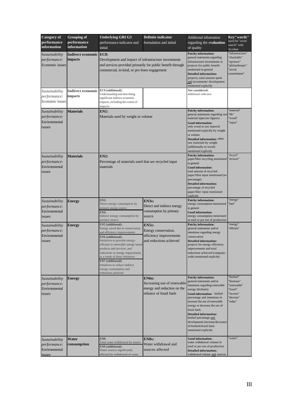| <b>Category</b> of                                               | <b>Grouping of</b>                  | <b>Underlying GRI G3</b>                                                                                                                                                                                                                                                                                                                                                                                 | Definite indicator                                                                                                                                                                                                                                                         | Additional information                                                                                                                                                                                                                                                                                                                                                                                         | Key"words"                                                                             |  |  |
|------------------------------------------------------------------|-------------------------------------|----------------------------------------------------------------------------------------------------------------------------------------------------------------------------------------------------------------------------------------------------------------------------------------------------------------------------------------------------------------------------------------------------------|----------------------------------------------------------------------------------------------------------------------------------------------------------------------------------------------------------------------------------------------------------------------------|----------------------------------------------------------------------------------------------------------------------------------------------------------------------------------------------------------------------------------------------------------------------------------------------------------------------------------------------------------------------------------------------------------------|----------------------------------------------------------------------------------------|--|--|
| performance<br>information                                       | performance<br>information          | performance indicator and<br>initial                                                                                                                                                                                                                                                                                                                                                                     | formulation and initial                                                                                                                                                                                                                                                    | regarding the evaluation<br>of quality                                                                                                                                                                                                                                                                                                                                                                         | used for "word<br>search" with                                                         |  |  |
| Sustainability<br>performance:<br>Economic issues                | Indirect economic<br><i>impacts</i> | EC8:<br>Development and impact of infrastructure investments<br>and services provided primarily for public benefit through<br>commercial, in-kind, or pro bono engagement                                                                                                                                                                                                                                | <b>Patchy information:</b><br>general statements regarding<br>infrastructure investments or<br>projects for public benefit<br>mentioned in general<br><b>Detailed information:</b><br>projects, total amount spent<br>and investments' development<br>mentioned explicitly | Acrobat<br>'infrastructure"<br>'charitable"<br>'sponsor"<br>'philanthropic"<br>social<br>commitment"                                                                                                                                                                                                                                                                                                           |                                                                                        |  |  |
| Sustainability<br>performance:<br>Economic issues                | <b>Indirect economic</b><br>impacts | EC9 (additional):<br>Understanding and describing<br>significant indirect economic<br>impacts, including the extent of<br>impacts                                                                                                                                                                                                                                                                        |                                                                                                                                                                                                                                                                            | Not considered:<br>additional indicator                                                                                                                                                                                                                                                                                                                                                                        |                                                                                        |  |  |
| Sustainability<br>performance:<br>Environmental<br>issues        | <b>Materials</b>                    | <b>EN1:</b><br>Materials used by weight or volume                                                                                                                                                                                                                                                                                                                                                        |                                                                                                                                                                                                                                                                            | <b>Patchy information:</b><br>general statements regarding raw<br>material input (no figures)<br>Good information:<br>only wood as raw material<br>mentioned explicitly by weight<br>or volume<br><b>Detailed information: other</b><br>raw materials by weight<br>(additionally to wood)<br>mentioned explicitly                                                                                              | 'material"<br>"fib"<br>'wood"<br>'input"                                               |  |  |
| Sustainability<br>performance:<br>Environmental<br>issues        | <b>Materials</b>                    | <b>EN2:</b><br>Percentage of materials used that are recycled input<br>materials                                                                                                                                                                                                                                                                                                                         |                                                                                                                                                                                                                                                                            | <b>Patchy information:</b><br>paper/fibre recycling mentioned<br>in general<br>Good information:<br>total amount of recycled<br>paper/fibre input mentioned (no<br>percentage)<br><b>Detailed information:</b><br>percentage of recycled<br>paper/fiber input mentioned<br>explicitly                                                                                                                          | 'recycl"<br>'recover"                                                                  |  |  |
| Sustainability<br><i>performance:</i><br>Environmental<br>issues | <b>Energy</b>                       | <b>EN3:</b><br>Direct energy consumption by<br>primary energy source<br><b>EN4:</b><br>Indirect energy consumption by<br>primary source                                                                                                                                                                                                                                                                  | EN3s:<br>Direct and indirect energy<br>consumption by primary<br>source                                                                                                                                                                                                    | <b>Patchy information:</b><br>energy consumption mentioned<br>in general<br><b>Good information:</b><br>energy consumption mentioned<br>in total or per ton of production                                                                                                                                                                                                                                      | 'energy"<br>'fuel"                                                                     |  |  |
| Sustainability<br>performance:<br>Environmental<br>issues        | <b>Energy</b>                       | <b>EN5</b> (additional):<br>Energy saved due to conservation<br>and efficiency improvements<br>EN6 (additional):<br>Initiatives to provide energy-<br>efficient or renewable energy based<br>products and services, and<br>reductions in energy requirements<br>as a result of these initiatives<br>EN7 (additional):<br>Initiatives to reduce indirect<br>energy consumption and<br>reductions achieved | EN5s:<br>Energy conservation,<br>efficiency improvements<br>and reductions achieved                                                                                                                                                                                        | <b>Patchy information:</b><br>general statements and/or<br>intentions regarding energy<br>conservation<br><b>Detailed information:</b><br>projects for energy efficiency<br>improvements and total<br>reductions achieved (company-<br>wide) mentioned explicitly                                                                                                                                              | 'energy"<br>'efficien"                                                                 |  |  |
| Sustainability<br>performance:<br>Environmental<br>issues        | <b>Energy</b>                       |                                                                                                                                                                                                                                                                                                                                                                                                          | EN6n:<br>Increasing use of renewable<br>energy and reduction on the<br>reliance of fossil fuels                                                                                                                                                                            | <b>Patchy information:</b><br>general statements and/or<br>intentions regarding renewable<br>energy (biofuels)<br>Good information: biofuel<br>percentage and intentions to<br>increase the use of renewable<br>energy or decrease the use of<br>fossil fuels<br><b>Detailed information:</b><br>biofuel percentage and<br>development (increase/decrease)<br>of biofuels/fossil fuels<br>mentioned explicitly | "biofuel"<br>'biomass"<br>'renewable"<br>'fossil"<br>'increas"<br>'decreas"<br>'reduc" |  |  |
| Sustainability<br>performance:<br>Environmental<br>issues        | Water<br>consumption                | <b>EN8:</b><br>Total water withdrawal by source<br>EN9 (additional):<br>Water sources significantly<br>affected by withdrawal of water                                                                                                                                                                                                                                                                   | EN8s:<br>Water withdrawal and<br>sources affected                                                                                                                                                                                                                          | <b>Good information:</b><br>water withdrawal volume in<br>total or per ton of production<br><b>Detailed information:</b><br>withdrawal volume and sources                                                                                                                                                                                                                                                      | 'water"                                                                                |  |  |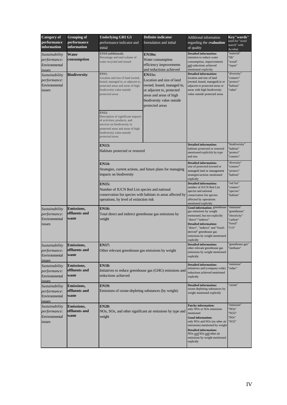| <b>Category</b> of<br>performance<br>information          | <b>Grouping of</b><br>performance<br><i>information</i> | <b>Underlying GRI G3</b><br>performance indicator and<br>initial                                                                                                                                        | <b>Definite indicator</b><br>formulation and initial                                                                                                                              | Additional information<br>regarding the evaluation<br>of quality                                                                                                                                                                                                                                                                                         | Kev"words"<br>used for "word<br>search" with<br>Acrobat                     |
|-----------------------------------------------------------|---------------------------------------------------------|---------------------------------------------------------------------------------------------------------------------------------------------------------------------------------------------------------|-----------------------------------------------------------------------------------------------------------------------------------------------------------------------------------|----------------------------------------------------------------------------------------------------------------------------------------------------------------------------------------------------------------------------------------------------------------------------------------------------------------------------------------------------------|-----------------------------------------------------------------------------|
| Sustainability<br>performance:<br>Environmental<br>issues | Water<br>consumption                                    | EN10 (additional):<br>Percentage and total volume of<br>water recycled and reused                                                                                                                       | <b>EN10n:</b><br>Water consumption<br>efficiency improvements<br>and reductions achieved                                                                                          | <b>Detailed information:</b><br>intention to reduce water<br>consumption, improvements<br>and reductions achieved<br>mentioned explicitly                                                                                                                                                                                                                | 'material"<br>"fib"<br>'wood"<br>'input"                                    |
| Sustainability<br>performance:<br>Environmental<br>issues | <b>Biodiversity</b>                                     | <b>EN11:</b><br>Location and size of land owned,<br>leased, managed in, or adjacent to,<br>protected areas and areas of high<br>biodiversity value outside<br>protected areas                           | <b>EN11s:</b><br>Location and size of land<br>owned, leased, managed in,<br>or adjacent to, protected<br>areas and areas of high<br>biodiversity value outside<br>protected areas | <b>Detailed information:</b><br>location and size of land<br>(owned, leased, managed) in or<br>adjacent to protected areas or<br>areas with high biodiversity<br>value outside protected areas                                                                                                                                                           | 'diversity"<br>'conserv"<br>'protect"<br>'habitat"<br>'value"               |
|                                                           |                                                         | <b>EN12:</b><br>Description of significant impacts<br>of activities, products, and<br>services on biodiversity in<br>protected areas and areas of high<br>biodiversity value outside<br>protected areas |                                                                                                                                                                                   |                                                                                                                                                                                                                                                                                                                                                          |                                                                             |
|                                                           |                                                         | <b>EN13:</b><br>Habitats protected or restored                                                                                                                                                          | <b>Detailed information:</b><br>habitats protected or restored<br>mentioned explicitly by type<br>and size                                                                        | 'biodiversity"<br>'habitat"<br>protect"<br>'conserv"                                                                                                                                                                                                                                                                                                     |                                                                             |
|                                                           |                                                         | <b>EN14:</b><br>Strategies, current actions, and future plans for managing<br>impacts on biodiversity                                                                                                   |                                                                                                                                                                                   | <b>Detailed information:</b><br>size of protected (owned or<br>managed) land or management<br>strategies/actions mentioned<br>explicitly                                                                                                                                                                                                                 | 'diversity"<br>'conserv"<br>'protect"<br>'habitat"                          |
|                                                           |                                                         | <b>EN15:</b><br>Number of IUCN Red List species and national<br>operations, by level of extinction risk                                                                                                 | conservation list species with habitats in areas affected by                                                                                                                      | <b>Detailed information:</b><br>number of IUCN Red List<br>species and national<br>conservation list species<br>affected by operations<br>mentioned explicitly                                                                                                                                                                                           | 'red list"<br>'conserv"<br>'species"<br>'habitat"                           |
| Sustainability<br>performance:<br>Environmental<br>issues | <b>Emissions,</b><br>effluents and<br>waste             | <b>EN16:</b><br>Total direct and indirect greenhouse gas emissions by<br>weight                                                                                                                         |                                                                                                                                                                                   | Good information: greenhouse<br>gas emissions by weight<br>mentioned, but not explicitly<br>"direct"/"indirect"<br><b>Detailed information:</b><br>"direct", "indirect" and "fossil-<br>derived" greenhouse gas<br>emissions by weight mentioned<br>explicitly                                                                                           | 'emission"<br>'greenhouse"<br>'electricity"<br>'carbon"<br>'fossil"<br>'CO" |
| Sustainability<br>performance:<br>Environmental<br>issues | <b>Emissions,</b><br>effluents and<br>waste             | <b>EN17:</b><br>Other relevant greenhouse gas emissions by weight                                                                                                                                       |                                                                                                                                                                                   | <b>Detailed information:</b><br>other relevant greenhouse gas<br>emissions by weight mentioned<br>explicitly                                                                                                                                                                                                                                             | 'greenhouse gas"<br>'methane"                                               |
| Sustainability<br>performance:<br>Environmental<br>issues | <b>Emissions,</b><br>effluents and<br>waste             | <b>EN18:</b><br>reductions achieved                                                                                                                                                                     | Initiatives to reduce greenhouse gas (GHG) emissions and                                                                                                                          | <b>Detailed information:</b><br>initiatives and (company-wide)<br>reductions achieved mentioned<br>explicitly                                                                                                                                                                                                                                            | 'emission"<br>'reduc"                                                       |
| Sustainability<br>performance:<br>Environmental<br>issues | Emissions,<br>effluents and<br>waste                    | <b>EN19:</b><br>Emissions of ozone-depleting substances (by weight)                                                                                                                                     |                                                                                                                                                                                   | <b>Detailed information:</b><br>ozone-depleting substances by<br>weight mentioned explicitly                                                                                                                                                                                                                                                             | 'ozone"                                                                     |
| Sustainability<br>performance:<br>Environmental<br>issues | <b>Emissions,</b><br>effluents and<br>waste             | <b>EN20:</b><br>weight                                                                                                                                                                                  | NOx, SOx, and other significant air emissions by type and                                                                                                                         | <b>Patchy information:</b><br>only NO <sub>x</sub> or SO <sub>x</sub> emissions<br>mentioned<br><b>Good information:</b><br>only NO <sub>x</sub> and SO <sub>x</sub> (no other air<br>emissions) mentioned by weight<br><b>Detailed information:</b><br>NO <sub>x</sub> and SO <sub>x</sub> and other air<br>emissions by weight mentioned<br>explicitly | 'emission"<br>"NOx"<br>'NO2"<br>"SOx"<br>"SO2"                              |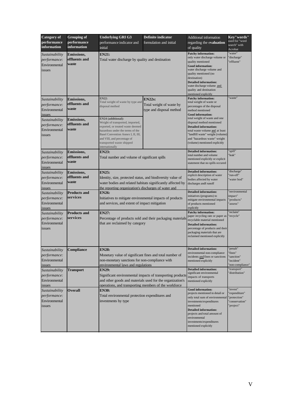| <b>Category of</b>                                        | <b>Grouping of</b>                          | <b>Underlying GRI G3</b><br>Definite indicator                                                                                                        |                                                            | Additional information                                                                                                                                                                                                                                                                                | Key"words"                           |  |  |
|-----------------------------------------------------------|---------------------------------------------|-------------------------------------------------------------------------------------------------------------------------------------------------------|------------------------------------------------------------|-------------------------------------------------------------------------------------------------------------------------------------------------------------------------------------------------------------------------------------------------------------------------------------------------------|--------------------------------------|--|--|
| performance                                               | performance                                 | performance indicator and                                                                                                                             | formulation and initial                                    | regarding the evaluation                                                                                                                                                                                                                                                                              | used for "word<br>search" with       |  |  |
| information                                               | information                                 | initial                                                                                                                                               |                                                            | of quality                                                                                                                                                                                                                                                                                            | Acrobat                              |  |  |
| Sustainability<br>performance:<br>Environmental<br>issues | <b>Emissions,</b><br>effluents and<br>waste | <b>EN21:</b><br>Total water discharge by quality and destination                                                                                      |                                                            | <b>Patchy information:</b><br>only water discharge volume or<br>quality mentioned<br><b>Good information:</b><br>water discharge volume and<br>quality mentioned (no<br>destination)<br><b>Detailed information:</b><br>water discharge volume and<br>quality and destination<br>mentioned explicitly | 'water"<br>'discharge"<br>'effluent" |  |  |
| Sustainability                                            | Emissions,                                  | <b>EN22:</b>                                                                                                                                          | $EN22s$ :                                                  | <b>Patchy information:</b>                                                                                                                                                                                                                                                                            | 'waste"                              |  |  |
| performance:<br>Environmental                             | effluents and<br>waste                      | Total weight of waste by type and<br>disposal method                                                                                                  | Total weight of waste by<br>type and disposal method       | total weight of waste or<br>percentages of the disposal<br>method mentioned<br><b>Good information:</b>                                                                                                                                                                                               |                                      |  |  |
| issues<br>Sustainability                                  | Emissions,                                  | EN24 (additional):<br>Weight of transported, imported,                                                                                                |                                                            | total weight of waste and one<br>disposal method mentioned                                                                                                                                                                                                                                            |                                      |  |  |
| performance:                                              | effluents and                               | exported, or treated waste deemed                                                                                                                     |                                                            | <b>Detailed information:</b>                                                                                                                                                                                                                                                                          |                                      |  |  |
| Environmental<br>issues                                   | waste                                       | hazardous under the terms of the<br>Basel Convention Annex I, II, III,<br>and VIII, and percentage of<br>transported waste shipped<br>internationally |                                                            | total waste volume and at least<br>"landfill waste" weight (volume)<br>and "hazardous waste" weight<br>(volume) mentioned explicitly                                                                                                                                                                  |                                      |  |  |
| Sustainability                                            | <b>Emissions,</b>                           | <b>EN23:</b>                                                                                                                                          |                                                            | <b>Detailed information:</b><br>total number and volume                                                                                                                                                                                                                                               | 'spill"<br>'leak"                    |  |  |
| performance:                                              | effluents and                               | Total number and volume of significant spills                                                                                                         |                                                            | mentioned explicitly or explicit                                                                                                                                                                                                                                                                      |                                      |  |  |
| Environmental<br>issues                                   | waste                                       |                                                                                                                                                       |                                                            | statement that no spills occured                                                                                                                                                                                                                                                                      |                                      |  |  |
| Sustainability                                            | <b>Emissions,</b>                           | <b>EN25:</b>                                                                                                                                          |                                                            | <b>Detailed information:</b><br>explicit description of water                                                                                                                                                                                                                                         | 'discharge"<br>'run-off"             |  |  |
| performance:                                              | effluents and                               | Identity, size, protected status, and biodiversity value of                                                                                           |                                                            | bodies affected by water                                                                                                                                                                                                                                                                              | water bod"                           |  |  |
| Environmental                                             | waste                                       | water bodies and related habitats significantly affected by                                                                                           |                                                            | discharges andf runoff                                                                                                                                                                                                                                                                                |                                      |  |  |
| issues                                                    |                                             | the reporting organization's discharges of water and                                                                                                  |                                                            |                                                                                                                                                                                                                                                                                                       | environmental                        |  |  |
| Sustainability                                            | <b>Products and</b>                         | <b>EN26:</b>                                                                                                                                          |                                                            | <b>Detailed information:</b><br>initiatives (programs) to                                                                                                                                                                                                                                             | impact"                              |  |  |
| performance:<br>Environmental<br>issues                   | services                                    | Initiatives to mitigate environmental impacts of products<br>and services, and extent of impact mitigation                                            |                                                            | mitigate environmental impacts<br>of products mentioned<br>explicitly                                                                                                                                                                                                                                 | 'products"<br>'assess"               |  |  |
| Sustainability                                            | <b>Products and</b>                         | <b>EN27:</b>                                                                                                                                          |                                                            | <b>Patchy information:</b>                                                                                                                                                                                                                                                                            | 'reclaim"                            |  |  |
| performance:<br>Environmental<br>issues                   | services                                    | that are reclaimed by category                                                                                                                        | Percentage of products sold and their packaging materials  | paper recycling rate or paper as<br>recyclable material mentioned<br><b>Detailed information:</b><br>percentage of products and their<br>packaging materials that are<br>reclaimed mentioned explicitly                                                                                               | 'recycle"                            |  |  |
| Sustainability                                            | Compliance                                  | <b>EN28:</b>                                                                                                                                          |                                                            | <b>Detailed information:</b>                                                                                                                                                                                                                                                                          | "penalt"                             |  |  |
| performance:                                              |                                             | Monetary value of significant fines and total number of                                                                                               |                                                            | environmental non-compliance                                                                                                                                                                                                                                                                          | 'fines"                              |  |  |
| Environmental                                             |                                             | non-monetary sanctions for non-compliance with                                                                                                        |                                                            | incidents and fines or sanctions<br>mentioned explicitly                                                                                                                                                                                                                                              | 'sanction"<br>'incident"             |  |  |
| issues                                                    |                                             | environmental laws and regulations                                                                                                                    |                                                            |                                                                                                                                                                                                                                                                                                       | 'non-compliance"                     |  |  |
| Sustainability                                            | <b>Transport</b>                            | <b>EN29:</b>                                                                                                                                          |                                                            | <b>Detailed information:</b>                                                                                                                                                                                                                                                                          | 'transport"                          |  |  |
| performance:                                              |                                             |                                                                                                                                                       | Significant environmental impacts of transporting products | significant environmental<br>impacts of transports                                                                                                                                                                                                                                                    | 'distribution"                       |  |  |
| Environmental                                             |                                             | and other goods and materials used for the organization's                                                                                             |                                                            | mentioned explicitly                                                                                                                                                                                                                                                                                  |                                      |  |  |
| issues                                                    |                                             | operations, and transporting members of the workforce                                                                                                 |                                                            |                                                                                                                                                                                                                                                                                                       |                                      |  |  |
| Sustainability                                            | <b>Overall</b>                              | <b>EN30:</b>                                                                                                                                          |                                                            | <b>Good information:</b><br>projects mentioned in detail or                                                                                                                                                                                                                                           | 'invest"<br>'expenditure"            |  |  |
| performance:                                              |                                             | Total environmental protection expenditures and                                                                                                       |                                                            | only total sum of environmental                                                                                                                                                                                                                                                                       | "protection"                         |  |  |
| Environmental                                             |                                             | investments by type                                                                                                                                   |                                                            | investments/expenditures                                                                                                                                                                                                                                                                              | 'conservation"                       |  |  |
| issues                                                    |                                             | mentioned<br><b>Detailed information:</b><br>projects and total amount of<br>environmental<br>investments/expenditures<br>mentioned explicitly        | 'project"                                                  |                                                                                                                                                                                                                                                                                                       |                                      |  |  |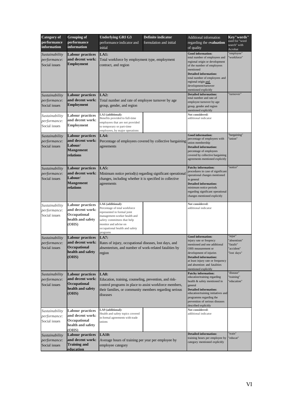| <b>Category of</b>                              | <b>Underlying GRI G3</b><br><b>Grouping of</b><br>Definite indicator                             |                                                                                                                                                                                                                         |                                                            |                                                                                                                                                                                                                                                                                | Key"words"                                                       |  |  |
|-------------------------------------------------|--------------------------------------------------------------------------------------------------|-------------------------------------------------------------------------------------------------------------------------------------------------------------------------------------------------------------------------|------------------------------------------------------------|--------------------------------------------------------------------------------------------------------------------------------------------------------------------------------------------------------------------------------------------------------------------------------|------------------------------------------------------------------|--|--|
| performance<br>information                      | performance<br>information                                                                       | performance indicator and<br>initial                                                                                                                                                                                    | formulation and initial                                    | regarding the evaluation<br>of quality                                                                                                                                                                                                                                         | used for "word<br>search" with<br>Acrobat                        |  |  |
| Sustainability<br>performance:<br>Social issues | <b>Labour practices</b><br>and decent work:<br><b>Employment</b>                                 | <b>LA1:</b><br>Total workforce by employment type, employment<br>contract, and region                                                                                                                                   |                                                            | <b>Good information:</b><br>total number of employees and<br>regional origin or development<br>of the number of employees<br>mentioned<br><b>Detailed information:</b><br>total number of employees and<br>regional origin and<br>development/turnover<br>mentioned explicitly | 'employee"<br>'workforce"                                        |  |  |
| Sustainability<br>performance:<br>Social issues | Labour practices<br>and decent work:<br><b>Employment</b>                                        | LA2:<br>Total number and rate of employee turnover by age<br>group, gender, and region                                                                                                                                  |                                                            | <b>Detailed information:</b><br>total number and rate of<br>employee turnover by age<br>group, gender and region<br>mentioned explicitly                                                                                                                                       | 'turnover"                                                       |  |  |
| Sustainability<br>performance:<br>Social issues | <b>Labour practices</b><br>and decent work:<br><b>Employment</b>                                 | LA3 (additional):<br>Benefits provided to full-time<br>employees that are not provided<br>to temporary or part-time<br>employees, by major operations                                                                   |                                                            | Not considered:<br>additional indicator                                                                                                                                                                                                                                        |                                                                  |  |  |
| Sustainability<br>performance:<br>Social issues | <b>Labour practices</b><br>and decent work:<br>Labour/<br><b>Mangement</b><br>relations          | LA4:<br>agreements                                                                                                                                                                                                      | Percentage of employees covered by collective bargaining   | <b>Good information:</b><br>percentage of employees with<br>union membership<br><b>Detailed information:</b><br>percentage of employees<br>covered by collective bargaining<br>agreements mentioned explicitly                                                                 | 'bargaining"<br>union"                                           |  |  |
| Sustainability<br>performance:<br>Social issues | <b>Labour practices</b><br>and decent work:<br>Labour/<br><b>Mangement</b><br>relations          | LA5:<br>changes, including whether it is specified in collective<br>agreements                                                                                                                                          | Minimum notice period(s) regarding significant operational | <b>Patchy information:</b><br>procedures in case of significant<br>operational changes mentioned<br>in general<br><b>Detailed information:</b><br>minimum notice periods<br>regarding significant operational<br>changes mentioned explicitly                                  | 'notice"                                                         |  |  |
| Sustainability<br>performance:<br>Social issues | <b>Labour practices</b><br>and decent work:<br>Occupational<br>health and safety<br>(OHS)        | LA6 (additional):<br>Percentage of total workforce<br>represented in formal joint<br>management-worker health and<br>safety committees that help<br>monitor and advise on<br>occupational health and safety<br>programs |                                                            | Not considered:<br>additional indicator                                                                                                                                                                                                                                        |                                                                  |  |  |
| Sustainability<br>performance:<br>Social issues | <b>Labour practices</b><br>and decent work:<br><b>Occupational</b><br>health and safety<br>(OHS) | <b>LA7:</b><br>Rates of injury, occupational diseases, lost days, and<br>absenteeism, and number of work-related fatalities by<br>region                                                                                |                                                            | <b>Good information:</b><br>injury rate or freqency<br>mentioned and one additional<br>OHS measurement or<br>development of injuries<br><b>Detailed information:</b><br>at least injury rate or frequency<br>and absentism and fatalities<br>mentioned explicitly              | 'injur"<br>'absentism"<br>'fatalit"<br>"accident"<br>"lost days" |  |  |
| Sustainability<br>performance:<br>Social issues | <b>Labour practices</b><br>and decent work:<br>Occupational<br>health and safety<br>(OHS)        | LA8:<br>Education, training, counseling, prevention, and risk-<br>control programs in place to assist workforce members,<br>their families, or community members regarding serious<br>diseases                          |                                                            | <b>Patchy information:</b><br>education/training regarding<br>health & safety mentioned in<br>general<br><b>Detailed information:</b><br>education/training initiatives and<br>programms regarding the<br>prevention of serious diseases<br>described explicitly               | 'disease"<br>'training"<br>'education"                           |  |  |
| Sustainability<br>performance:<br>Social issues | <b>Labour practices</b><br>and decent work:<br>Occupational<br>health and safety<br>(OHS)        | LA9 (additional):<br>Health and safety topics covered<br>in formal agreements with trade<br>unions                                                                                                                      |                                                            | Not considered:<br>additional indicator                                                                                                                                                                                                                                        |                                                                  |  |  |
| Sustainability<br>performance:<br>Social issues | <b>Labour practices</b><br>and decent work:<br><b>Training and</b><br>education                  | <b>LA10:</b><br>Average hours of training per year per employee by<br>employee category                                                                                                                                 |                                                            | <b>Detailed information:</b><br>training hours per employee by<br>category mentioned explicitly                                                                                                                                                                                | 'train"<br>'educat"                                              |  |  |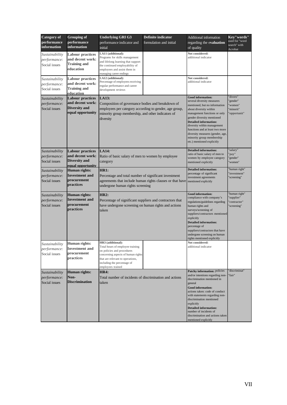| <b>Category</b> of<br>performance<br>information | <b>Grouping of</b><br>performance<br>information                                         | <b>Underlying GRI G3</b><br>performance indicator and<br>initial                                                                                                                                                  | Definite indicator<br>formulation and initial             | Additional information<br>regarding the evaluation<br>of quality                                                                                                                                                                                                                                                                                                                 | Key"words"<br>used for "word<br>search" with<br>Acrobat      |  |  |
|--------------------------------------------------|------------------------------------------------------------------------------------------|-------------------------------------------------------------------------------------------------------------------------------------------------------------------------------------------------------------------|-----------------------------------------------------------|----------------------------------------------------------------------------------------------------------------------------------------------------------------------------------------------------------------------------------------------------------------------------------------------------------------------------------------------------------------------------------|--------------------------------------------------------------|--|--|
| Sustainability<br>performance:<br>Social issues  | <b>Labour practices</b><br>and decent work:<br><b>Training and</b><br>education          | LA11 (additional):<br>Programs for skills management<br>and lifelong learning that support<br>the continued employability of<br>employees and assist them in<br>managing career endings                           |                                                           | Not considered:<br>additional indicator                                                                                                                                                                                                                                                                                                                                          |                                                              |  |  |
| Sustainability<br>performance:<br>Social issues  | <b>Labour practices</b><br>and decent work:<br><b>Training and</b><br>education          | LA12 (additional):<br>Percentage of employees receiving<br>regular performance and career<br>development reviews                                                                                                  |                                                           | Not considered:<br>additional indicator                                                                                                                                                                                                                                                                                                                                          |                                                              |  |  |
| Sustainability<br>performance:<br>Social issues  | <b>Labour practices</b><br>and decent work:<br><b>Diversity and</b><br>equal opportunity | LA13:<br>Composition of governance bodies and breakdown of<br>employees per category according to gender, age group,<br>minority group membership, and other indicators of<br>diversity                           |                                                           | <b>Good information:</b><br>several diversity measures<br>mentioned, but no information<br>about diversity within<br>management functions or only<br>gender diversity mentioned<br><b>Detailed information:</b><br>diversity within management<br>functions and at least two more<br>diversity measures (gender, age,<br>minority group membership<br>etc.) mentioned explicitly | 'divers"<br>'gender"<br>'women"<br>'minorit"<br>'opportunit" |  |  |
| Sustainability<br>performance:<br>Social issues  | <b>Labour practices</b><br>and decent work:<br><b>Diversity and</b><br>equal opportunity | <b>LA14:</b><br>Ratio of basic salary of men to women by employee<br>category                                                                                                                                     |                                                           | <b>Detailed information:</b><br>ratio of basic salary of men to<br>women by employee category<br>mentioned explicitly                                                                                                                                                                                                                                                            | 'salary"<br>'pay"<br>'gender"<br>'women"                     |  |  |
| Sustainability<br>performance:<br>Social issues  | <b>Human rights:</b><br><b>Investment</b> and<br>procurement<br><b>practices</b>         | <b>HR1:</b><br>Percentage and total number of significant investment<br>undergone human rights screening                                                                                                          | agreements that include human rights clauses or that have | <b>Detailed information:</b><br>percentage of significant<br>investment agreements<br>mentioned explicitly                                                                                                                                                                                                                                                                       | 'human right"<br>'investment"<br>'screening"                 |  |  |
| Sustainability<br>performance:<br>Social issues  | <b>Human rights:</b><br><b>Investment</b> and<br>procurement<br>practices                | <b>HR2:</b><br>Percentage of significant suppliers and contractors that<br>have undergone screening on human rights and actions<br>taken                                                                          |                                                           | <b>Good information:</b><br>compliance with company's<br>regulations/guidelines regarding<br>human rights and<br>surveys/screening of<br>suppliers/contractors mentioned<br>explicitly<br><b>Detailed information:</b><br>percentage of<br>suppliers/contractors that have<br>undergone screening on human<br>rights mentioned explicitly                                        | 'human right"<br>'supplier"<br>'contractor"<br>'screening"   |  |  |
| Sustainability<br>performance:<br>Social issues  | Human rights:<br><b>Investment</b> and<br>procurement<br>practices                       | HR3 (additional):<br>Total hours of employee training<br>on policies and procedures<br>concerning aspects of human rights<br>that are relevant to operations,<br>including the percentage of<br>employees trained |                                                           | Not considered:<br>additional indicator                                                                                                                                                                                                                                                                                                                                          |                                                              |  |  |
| Sustainability<br>performance:<br>Social issues  | <b>Human rights:</b><br>Non-<br><b>Discrimination</b>                                    | <b>HR4:</b><br>Total number of incidents of discrimination and actions<br>taken                                                                                                                                   |                                                           | Patchy information: policies<br>and/or intentions regarding non-<br>discrimination mentioned in<br>general<br>Good information:<br>actions taken: code of conduct<br>with statements regarding non-<br>discrimination mentioned<br>explicitly<br><b>Detailed information:</b><br>number of incidents of<br>discrimination and actions taken<br>mentioned explicitly              | 'discriminat"<br>'fair"                                      |  |  |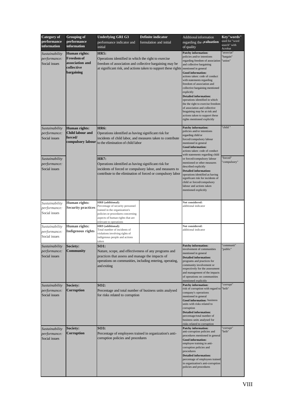| <b>Category</b> of                              | <b>Grouping of</b>                                                                | <b>Underlying GRI G3</b><br><b>Definite indicator</b>                                                                                                                                              |                                                                | Additional information                                                                                                                                                                                                                                                                                                                                                                                                                                                                                                                                                | Key"words"                                |
|-------------------------------------------------|-----------------------------------------------------------------------------------|----------------------------------------------------------------------------------------------------------------------------------------------------------------------------------------------------|----------------------------------------------------------------|-----------------------------------------------------------------------------------------------------------------------------------------------------------------------------------------------------------------------------------------------------------------------------------------------------------------------------------------------------------------------------------------------------------------------------------------------------------------------------------------------------------------------------------------------------------------------|-------------------------------------------|
| performance<br>information                      | performance<br>information                                                        | performance indicator and<br>initial                                                                                                                                                               | formulation and initial                                        | regarding the evaluation<br>of quality                                                                                                                                                                                                                                                                                                                                                                                                                                                                                                                                | used for "word<br>search" with<br>Acrobat |
| Sustainability<br>performance:<br>Social issues | Human rights:<br><b>Freedom</b> of<br>association and<br>collective<br>bargaining | <b>HR5:</b><br>Operations identified in which the right to exercise<br>freedom of association and collective bargaining may be                                                                     | at significant risk, and actions taken to support these rights | <b>Patchy information:</b><br>policies and/or intentions<br>regarding freedom of association<br>and collective bargaining<br>mentioned in general<br><b>Good information:</b><br>actions taken: code of conduct<br>with statements regarding<br>freedom of association and<br>collective bargaining mentioned<br>explicitly<br><b>Detailed information:</b><br>operations identified in which<br>the the right to exercise freedom<br>of association and collective<br>bragaining may be at risk and<br>actions taken to support these<br>rights mentioned explicitly | 'associat"<br>bargain"<br>'union"         |
| Sustainability<br>performance:<br>Social issues | <b>Human</b> rights:<br>Child labour and<br>forced/<br>compulsory labour          | <b>HR6:</b><br>Operations identified as having significant risk for<br>incidents of child labor, and measures taken to contribute<br>to the elimination of child labor                             |                                                                | <b>Patchy information:</b><br>policies and/or intentions<br>regarding child or<br>forced/compulsory labour<br>mentioned in general<br><b>Good information:</b><br>actions taken: code of conduct<br>with statements regarding child                                                                                                                                                                                                                                                                                                                                   | child'                                    |
| Sustainability<br>performance:<br>Social issues |                                                                                   | <b>HR7:</b><br>Operations identified as having significant risk for<br>incidents of forced or compulsory labor, and measures to                                                                    | contribute to the elimination of forced or compulsory labor    | or forced/compulsory labour<br>mentioned or other measures<br>described explicitly<br><b>Detailed information:</b><br>operations identified as having<br>significant risk for incidents of<br>child or forced/compulsory<br>labour and actions taken<br>mentioned explicitly                                                                                                                                                                                                                                                                                          | 'forced"<br>compulsory"                   |
| Sustainability<br>performance:<br>Social issues | Human rights:<br><b>Security practices</b>                                        | HR8 (additional):<br>Percentage of security personnel<br>trained in the organization's<br>policies or procedures concerning<br>aspects of human rights that are<br>relevant to operations          |                                                                | Not considered:<br>additional indicator                                                                                                                                                                                                                                                                                                                                                                                                                                                                                                                               |                                           |
| Sustainability<br>performance:<br>Social issues | Human rights:<br><b>Indigenous rights</b>                                         | HR9 (additional):<br>Total number of incidents of<br>violations involving rights of<br>indigenous people and actions<br>taken                                                                      |                                                                | Not considered:<br>additional indicator                                                                                                                                                                                                                                                                                                                                                                                                                                                                                                                               |                                           |
| Sustainability<br>performance:<br>Social issues | Society:<br><b>Community</b>                                                      | <b>SO1:</b><br>Nature, scope, and effectiveness of any programs and<br>practices that assess and manage the impacts of<br>operations on communities, including entering, operating,<br>and exiting |                                                                | <b>Patchy information:</b><br>involvement of communities<br>mentioned in general<br><b>Detailed information:</b><br>programs and practices for<br>community involvement or<br>respectively for the assessment<br>and management of the impacts<br>of operations on communities<br>mentioned explicitly                                                                                                                                                                                                                                                                | 'communit"<br>public"                     |
| Sustainability<br>performance:<br>Social issues | Society:<br>Corruption                                                            | SO2:<br>Percentage and total number of business units analysed<br>for risks related to corruption                                                                                                  |                                                                | <b>Patchy information:</b><br>risk of corruption with regard to<br>company's operations<br>mentioned in general<br>Good information: business<br>units with risks related to<br>corruption<br><b>Detailed information:</b><br>percentage/total number of<br>business units analysed for<br>risks related to corruption                                                                                                                                                                                                                                                | 'corrupt"<br>'brib"                       |
| Sustainability<br>performance:<br>Social issues | Society:<br>Corruption                                                            | <b>SO3:</b><br>Percentage of employees trained in organization's anti-<br>corruption policies and procedures                                                                                       |                                                                | <b>Patchy information:</b><br>anti-corruption policies and<br>procedures mentioned in general<br>Good information:<br>employee training in anti-<br>corruption policies and<br>procedures<br><b>Detailed information:</b><br>percentage of employees trained<br>in organization's anti-corruption<br>policies and procedures                                                                                                                                                                                                                                          | 'corrupt"<br>'brib"                       |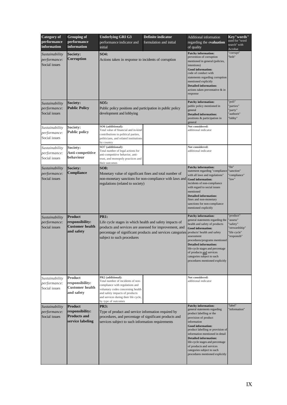| <b>Category</b> of<br>performance<br>information | <b>Grouping of</b><br>performance<br>information                             | <b>Underlying GRI G3</b><br>performance indicator and<br>initial                                                                                                                                                                 | Definite indicator<br>formulation and initial              | Additional information<br>regarding the evaluation<br>of quality                                                                                                                                                                                                                                                                                                                                   | Key"words"<br>used for "word<br>search" with<br>Acrobat                          |  |  |
|--------------------------------------------------|------------------------------------------------------------------------------|----------------------------------------------------------------------------------------------------------------------------------------------------------------------------------------------------------------------------------|------------------------------------------------------------|----------------------------------------------------------------------------------------------------------------------------------------------------------------------------------------------------------------------------------------------------------------------------------------------------------------------------------------------------------------------------------------------------|----------------------------------------------------------------------------------|--|--|
| Sustainability<br>performance:<br>Social issues  | Society:<br>Corruption                                                       | <b>SO4:</b><br>Actions taken in response to incidents of corruption                                                                                                                                                              |                                                            | <b>Patchy information:</b><br>prevention of corruption<br>mentioned in general (policies,<br>intentions)<br><b>Good information:</b><br>code of conduct with<br>statements regarding corruption<br>mentioned explicitly<br><b>Detailed information:</b><br>actions taken preventative & in<br>response                                                                                             | 'corrupt"<br>'brib"                                                              |  |  |
| Sustainability<br>performance:<br>Social issues  | <b>Society:</b><br><b>Public Policy</b>                                      | SO5:<br>Public policy positions and participation in public policy<br>development and lobbying                                                                                                                                   |                                                            | <b>Patchy information:</b><br>public policy mentioned in<br>general<br><b>Detailed information:</b><br>positions & participation in<br>general                                                                                                                                                                                                                                                     | poli"<br>parties"<br>party"<br>'authorit"<br>'lobby"                             |  |  |
| Sustainability<br>performance:<br>Social issues  | Society:<br><b>Public policy</b>                                             | SO6 (additional):<br>Total value of financial and in-kind<br>contributions to political parties,<br>politicians, and related institutions<br>by country                                                                          |                                                            | Not considered:<br>additional indicator                                                                                                                                                                                                                                                                                                                                                            |                                                                                  |  |  |
| Sustainability<br>performance:<br>Social issues  | Society:<br>Anti-competitive<br>behaviour                                    | SO7 (additional):<br>Total number of legal actions for<br>anti-competitive behavior, anti-<br>trust, and monopoly practices and<br>their outcomes                                                                                |                                                            | Not considered:<br>additional indicator                                                                                                                                                                                                                                                                                                                                                            |                                                                                  |  |  |
| Sustainability<br>performance:<br>Social issues  | <b>Society:</b><br>Compliance                                                | <b>SO8:</b><br>Monetary value of significant fines and total number of<br>regulations (related to society)                                                                                                                       | non-monetary sanctions for non-compliance with laws and    | <b>Patchy information:</b><br>statement regarding "compliance<br>with all laws and regulations"<br><b>Good</b> information:<br>incidents of non-compliance<br>with regard to social issues<br>mentioned<br><b>Detailed information:</b><br>fines and non-monetary<br>sanctions for non-compliance<br>mentioned explicitly                                                                          | 'fin"<br>'sanction"<br>'compliance"<br>'law"                                     |  |  |
| Sustainability<br>performance:<br>Social issues  | <b>Product</b><br>responsibility:<br><b>Customer</b> health<br>and safety    | <b>PR1:</b><br>Life cycle stages in which health and safety impacts of<br>products and services are assessed for improvement, and<br>subject to such procedures                                                                  | percentage of significant products and services categories | <b>Patchy information:</b><br>general statements regarding the<br>health and safety of products<br><b>Good information:</b><br>products' health and safety<br>assessment<br>procedures/programs mentioned<br><b>Detailed information:</b><br>life-cycle stages and percentage<br>of products and services<br>categories subject to such<br>procedures mentioned explicitly                         | product"<br>'assess"<br>'safety"<br>'stewardship"<br>'life cycle"<br>'responsib" |  |  |
| Sustainability<br>performance:<br>Social issues  | <b>Product</b><br>responsibility:<br><b>Customer</b> health<br>and safety    | PR2 (additional):<br>Total number of incidents of non-<br>compliance with regulations and<br>voluntary codes concerning health<br>and safety impacts of products<br>and services during their life cycle,<br>by type of outcomes |                                                            | Not considered:<br>additional indicator                                                                                                                                                                                                                                                                                                                                                            |                                                                                  |  |  |
| Sustainability<br>performance:<br>Social issues  | <b>Product</b><br>responsibility:<br><b>Products and</b><br>service labeling | <b>PR3:</b><br>Type of product and service information required by<br>procedures, and percentage of significant products and<br>services subject to such information requirements                                                |                                                            | <b>Patchy information:</b><br>general statements regarding<br>product labelling or the<br>provision of product<br>information<br><b>Good information:</b><br>product labelling or provision of<br>information mentioned in detail<br><b>Detailed information:</b><br>life-cycle stages and percentage<br>of products and services<br>categories subject to such<br>procedures mentioned explicitly | 'label"<br>'information"                                                         |  |  |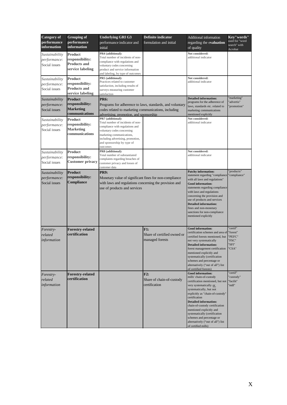| <b>Category of</b> | <b>Grouping of</b>                 | <b>Underlying GRI G3</b>                                        | <b>Definite indicator</b>   | Additional information                                         | Key"words"              |  |
|--------------------|------------------------------------|-----------------------------------------------------------------|-----------------------------|----------------------------------------------------------------|-------------------------|--|
| performance        | performance                        | performance indicator and<br>formulation and initial            |                             | regarding the evaluation                                       | used for "word          |  |
| <i>information</i> | <b>information</b>                 | initial                                                         |                             | of quality                                                     | search" with<br>Acrobat |  |
| Sustainability     | Product                            | PR4 (additional):                                               |                             | Not considered:                                                |                         |  |
| performance:       | responsibility:                    | Total number of incidents of non-                               |                             | additional indicator                                           |                         |  |
| Social issues      | <b>Products and</b>                | compliance with regulations and                                 |                             |                                                                |                         |  |
|                    | service labeling                   | voluntary codes concerning<br>product and service information   |                             |                                                                |                         |  |
|                    |                                    | and labeling, by type of outcomes                               |                             |                                                                |                         |  |
| Sustainability     | Product                            | PR5 (additional):                                               |                             | Not considered:                                                |                         |  |
| performance:       | responsibility:                    | Practices related to customer                                   |                             | additional indicator                                           |                         |  |
| Social issues      | <b>Products and</b>                | satisfaction, including results of                              |                             |                                                                |                         |  |
|                    | service labeling                   | surveys measuring customer<br>satisfaction                      |                             |                                                                |                         |  |
| Sustainability     | Product                            | <b>PR6:</b>                                                     |                             | <b>Detailed information:</b>                                   | 'marketing"             |  |
| performance:       | responsibility:                    | Programs for adherence to laws, standards, and voluntary        |                             | programs for the adherence of                                  | 'advertis"              |  |
| Social issues      | <b>Marketing</b>                   | codes related to marketing communications, including            |                             | laws, standards etc. related to                                | 'promotion"             |  |
|                    | communications                     | advertising, promotion, and sponsorship                         |                             | marketing communications<br>mentioned explicitly               |                         |  |
|                    | <b>Product</b>                     | PR7 (additional):                                               |                             | Not considered:                                                |                         |  |
| Sustainability     |                                    | Total number of incidents of non-                               |                             | additional indicator                                           |                         |  |
| performance:       | responsibility:                    | compliance with regulations and                                 |                             |                                                                |                         |  |
| Social issues      | <b>Marketing</b><br>communications | voluntary codes concerning                                      |                             |                                                                |                         |  |
|                    |                                    | marketing communications,                                       |                             |                                                                |                         |  |
|                    |                                    | including advertising, promotion,<br>and sponsorship by type of |                             |                                                                |                         |  |
|                    |                                    | outcomes                                                        |                             |                                                                |                         |  |
| Sustainability     | Product                            | PR8 (additional):                                               |                             | Not considered:                                                |                         |  |
|                    | responsibility:                    | Total number of substantiated                                   |                             | additional indicator                                           |                         |  |
| performance:       | <b>Customer privacy</b>            | complaints regarding breaches of                                |                             |                                                                |                         |  |
| Social issues      |                                    | customer privacy and losses of<br>customer data                 |                             |                                                                |                         |  |
| Sustainability     | <b>Product</b>                     | PR9:                                                            |                             | <b>Patchy information:</b>                                     | products"               |  |
| performance:       | responsibility:                    | Monetary value of significant fines for non-compliance          |                             | statement regarding "compliance                                | 'compliance"            |  |
| Social issues      | <b>Compliance</b>                  |                                                                 |                             | with all laws and regulations"                                 |                         |  |
|                    |                                    | with laws and regulations concerning the provision and          |                             | <b>Good information:</b>                                       |                         |  |
|                    |                                    | use of products and services                                    |                             | statements regarding compliance<br>with laws and regulations   |                         |  |
|                    |                                    |                                                                 |                             | concerning the provision and                                   |                         |  |
|                    |                                    |                                                                 |                             | use of products and services                                   |                         |  |
|                    |                                    |                                                                 |                             | <b>Detailed information:</b>                                   |                         |  |
|                    |                                    |                                                                 |                             | fines and non-monetary                                         |                         |  |
|                    |                                    |                                                                 |                             | sanctions for non-compliance                                   |                         |  |
|                    |                                    |                                                                 |                             | mentioned explicitly                                           |                         |  |
|                    |                                    |                                                                 |                             |                                                                |                         |  |
| Forestry-          | <b>Forestry-related</b>            |                                                                 | F1:                         | <b>Good information:</b><br>certification schemes and area of  | 'certif"                |  |
| related            | certification                      |                                                                 | Share of certified owned or | certified forests mentioned, but                               | "forest"<br>"PEFC"      |  |
| information        |                                    |                                                                 | managed forests             | not very systematically                                        | 'FSC"                   |  |
|                    |                                    |                                                                 |                             | <b>Detailed information:</b>                                   | "SFI"                   |  |
|                    |                                    |                                                                 |                             | forest management certification                                | "CSA"                   |  |
|                    |                                    |                                                                 |                             | mentioned explicitly and                                       |                         |  |
|                    |                                    |                                                                 |                             | systematically (certification                                  |                         |  |
|                    |                                    |                                                                 |                             | schemes and percentage or<br>alternatively ("out of all") list |                         |  |
|                    |                                    |                                                                 |                             | of certified forests)                                          |                         |  |
| Forestry-          | <b>Forestry-related</b>            |                                                                 | F2:                         | <b>Good information:</b>                                       | 'certif"                |  |
| related            | certification                      |                                                                 | Share of chain-of-custody   | mills' chain-of-custody                                        | 'custody"               |  |
| information        |                                    |                                                                 | certification               | certification mentioned, but not                               | "facilit"<br>"mill"     |  |
|                    |                                    |                                                                 |                             | very systematically or<br>systematically, but not              |                         |  |
|                    |                                    |                                                                 |                             | explicitly as "chain-of-custody"                               |                         |  |
|                    |                                    |                                                                 |                             | certification                                                  |                         |  |
|                    |                                    |                                                                 |                             | <b>Detailed information:</b>                                   |                         |  |
|                    |                                    |                                                                 |                             | chain-of-custody certification                                 |                         |  |
|                    |                                    |                                                                 |                             | mentioned explicitly and<br>systematically (certification      |                         |  |
|                    |                                    |                                                                 |                             | schemes and percentage or                                      |                         |  |
|                    |                                    |                                                                 |                             | alternatively ("out of all") list                              |                         |  |
|                    |                                    |                                                                 |                             | of certified mills)                                            |                         |  |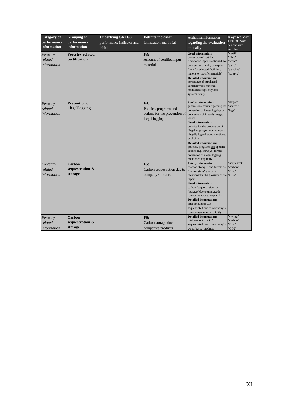| <b>Category</b> of<br>performance<br>information | <b>Grouping of</b><br>performance<br>information | <b>Underlying GRI G3</b><br>performance indicator and<br>initial | <b>Definite indicator</b><br>formulation and initial                              | Additional information<br>regarding the evaluation<br>of quality                                                                                                                                                                                                                                                                                                                                                                                               | Key"words"<br>used for "word<br>search" with<br>Acrobat          |
|--------------------------------------------------|--------------------------------------------------|------------------------------------------------------------------|-----------------------------------------------------------------------------------|----------------------------------------------------------------------------------------------------------------------------------------------------------------------------------------------------------------------------------------------------------------------------------------------------------------------------------------------------------------------------------------------------------------------------------------------------------------|------------------------------------------------------------------|
| Forestry-<br>related<br>information              | <b>Forestry-related</b><br>certification         |                                                                  | F3:<br>Amount of certified input<br>material                                      | <b>Good information:</b><br>percentage of certified<br>fiber/wood input mentioned not<br>very systematically or explicit<br>(only for selected facilities,<br>regions or specific materials)<br><b>Detailed information:</b><br>percentage of purchased<br>certified wood material<br>mentioned explicitly and<br>systematically                                                                                                                               | 'certif"<br>"fibre"<br>'wood"<br>'pulp"<br>'purchas"<br>'supply" |
| Forestry-<br>related<br>information              | <b>Prevention of</b><br>illegal logging          |                                                                  | F4:<br>Policies, programs and<br>actions for the prevention of<br>illegal logging | <b>Patchy information:</b><br>general statements regarding the<br>prevention of illegal logging or<br>prcurement of illegally logged<br>wood<br><b>Good information:</b><br>policies for the prevention of<br>illegal logging or procurement of<br>illegally logged wood mentioned<br>explicitly<br><b>Detailed information:</b><br>policies, programs and specific<br>actions (e.g. surveys) for the<br>prevention of illegal logging<br>mentioned explicitly | "illegal"<br>'source"<br>'logg''                                 |
| Forestry-<br>related<br>information              | Carbon<br>sequestration &<br>storage             |                                                                  | <b>F5:</b><br>Carbon sequestration due to<br>company's forests                    | <b>Patchy information:</b><br>"carbon storage" and forests as<br>"carbon sinks" are only<br>mentioned in the glossary of the<br>report<br><b>Good information:</b><br>carbon "sequestration" or<br>"storage" due to (managed)<br>forests mentioned explicitly<br><b>Detailed information:</b><br>total amount of $CO2$ ,<br>sequestrated due to company's<br>forests mentioned explicitly                                                                      | 'sequestrat"<br>'carbon"<br>'fixed"<br>'CO2"                     |
| Forestry-<br>related<br>information              | Carbon<br>sequestration &<br>storage             |                                                                  | F6:<br>Carbon storage due to<br>company's products                                | <b>Detailed information:</b><br>total amount of CO <sub>2</sub><br>sequestrated due to company's<br>wood-based products                                                                                                                                                                                                                                                                                                                                        | 'storage"<br>'carbon"<br>'fixed"<br>'CO <sub>2</sub> "           |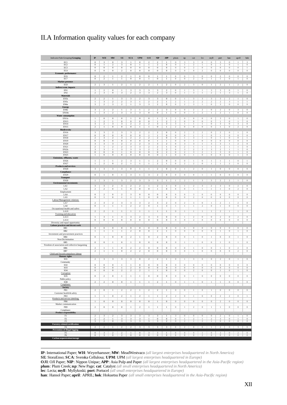## II.A Information quality values for each company

| Indicator/Sub-Grouping/Grouping                                     | $\rm I\!P$                         | WH                                   | MW                                        | ${\bf S} \, {\bf E}$                      | <b>SCA</b>                                | $\ensuremath{\mathbf{UPM}}$             | OJI                                  | $\ensuremath{\text{NIP}}$                   | APP                                       | plum                                 | $\mathbf{n}\mathbf{p}$                    | cat                                       | lec                                  | myll                                 | port                                      | han                                    | april                            | $h$ ok                               |
|---------------------------------------------------------------------|------------------------------------|--------------------------------------|-------------------------------------------|-------------------------------------------|-------------------------------------------|-----------------------------------------|--------------------------------------|---------------------------------------------|-------------------------------------------|--------------------------------------|-------------------------------------------|-------------------------------------------|--------------------------------------|--------------------------------------|-------------------------------------------|----------------------------------------|----------------------------------|--------------------------------------|
| EC1<br>EC <sub>2</sub>                                              | $\mathbf{0}$<br>$\overline{0}$     | $\mathbf{3}$<br>$\overline{1}$       | $\mathbf{0}$<br>$\overline{2}$            | $\mathbf{3}$<br>3                         | л.<br>$\overline{0}$                      | $\Omega$<br>ī                           | $\overline{2}$<br>$\overline{1}$     | $\mathcal{D}$<br>$\overline{2}$             | -1<br>$\overline{0}$                      | $\mathbf{0}$<br>$\overline{0}$       | $\mathcal{R}$<br>1                        | 3<br>$\overline{2}$                       | $\Omega$<br>1                        | $\Omega$<br>$\overline{0}$           | $\mathcal{R}$<br>1                        | $\Omega$<br>$\overline{0}$             | $\mathbf{1}$<br>1                | 3<br>$\overline{0}$                  |
| EC3<br>EC4                                                          | $\overline{0}$<br>$\overline{0}$   | $\overline{0}$<br>$\overline{0}$     | $\overline{0}$<br>$\overline{0}$          | $\overline{0}$<br>$\overline{2}$          | $\overline{0}$<br>$\overline{0}$          | $\overline{0}$<br>$\overline{0}$        | $\overline{0}$<br>$\overline{0}$     | $\overline{0}$<br>$\overline{0}$            | $\overline{0}$<br>$\overline{0}$          | $\overline{0}$<br>$\overline{0}$     | $\overline{0}$<br>$\overline{0}$          | $\overline{2}$<br>$\overline{0}$          | $\overline{0}$<br>$\overline{2}$     | $\overline{0}$<br>$\overline{0}$     | $\overline{0}$<br>$\overline{0}$          | $\overline{0}$<br>$\overline{0}$       | $\overline{0}$<br>$\overline{0}$ | T<br>$\overline{0}$                  |
| Economic performance                                                |                                    |                                      |                                           |                                           |                                           |                                         |                                      |                                             |                                           |                                      |                                           |                                           |                                      |                                      |                                           |                                        |                                  |                                      |
| EC <sub>6</sub><br>EC7                                              | $\boldsymbol{0}$<br>$\mathbf{0}$   | $\,2$<br>$\overline{2}$              | 1<br>-1                                   | $\overline{\mathbf{c}}$<br>$\mathbf{1}$   | $\mathbf{1}$<br>$\bf{0}$                  | $\bf{0}$<br>$\bf{0}$                    | $\bf{0}$<br>1                        | $\mathbf{1}$<br>$\bf{0}$                    | 1<br>-1                                   | $\bf{0}$<br>$\mathbf{0}$             | $\bf{0}$<br>$\bf{0}$                      | 3<br>2                                    | $\boldsymbol{0}$<br>$\theta$         | $\boldsymbol{0}$<br>1                | $\,2$<br>1                                | $\boldsymbol{0}$<br>$\bf{0}$           | $\,0\,$<br>1                     | $\bf{0}$<br>$\overline{0}$           |
| Market presence<br>EC <sub>8</sub>                                  | 2                                  | 3                                    | -1                                        | 2                                         | $\mathbf{1}$                              | 2                                       | 2                                    | 1                                           | 2                                         | $\mathbf{0}$                         | 2                                         | 3                                         | $\bf{0}$                             | 1                                    | 2                                         | -1                                     | 2                                | $\overline{0}$                       |
| Indirect econ. impacts                                              |                                    |                                      |                                           |                                           |                                           |                                         |                                      |                                             |                                           |                                      |                                           |                                           |                                      |                                      |                                           |                                        |                                  |                                      |
| ENI<br>EN <sub>2</sub>                                              | 1<br>$\overline{2}$                | 2<br>$\overline{\mathbf{3}}$         | $\theta$<br>$\overline{0}$                | -1<br>$\overline{\mathbf{3}}$             | 3<br>$\overline{\mathbf{2}}$              | 3<br>$\overline{\mathbf{3}}$            | 3<br>$\overline{\mathbf{3}}$         | 3<br>$\overline{2}$                         | $\overline{2}$<br>$\overline{\mathbf{3}}$ | $\theta$<br>$\overline{0}$           | $\mathbf{1}$<br>T                         | 3<br>$\overline{\mathbf{3}}$              | -1                                   | 3<br>$\overline{2}$                  | 3<br>1                                    | $\theta$<br>$\overline{\mathbf{3}}$    | 1<br>T                           | $\theta$<br>$\overline{0}$           |
| <b>Materials</b><br>EN3s                                            | $\overline{2}$                     | $\overline{2}$                       | 1                                         | 3                                         | 3                                         | $\overline{2}$                          | 3                                    | 3                                           | $\overline{0}$                            | $\overline{0}$                       | 1                                         | 3                                         | 3                                    | 3                                    | 3                                         | $\overline{2}$                         | 1                                | $\overline{0}$                       |
| EN5s                                                                | 1                                  | 3<br>$\overline{2}$                  | $\overline{2}$                            | $\overline{2}$                            | 3                                         | 1                                       | $\overline{2}$                       | $\,2$<br>$\sqrt{2}$                         | $\mathbf{1}$<br>$\boldsymbol{0}$          | $\sqrt{2}$                           | 1                                         | $\,2$<br>$\overline{\mathbf{3}}$          | $\overline{2}$                       | $\,2$<br>$\boldsymbol{0}$            | $\overline{2}$<br>$\overline{\mathbf{3}}$ | 3                                      | 1<br>$\,$ 0 $\,$                 | $\mathbf{1}$<br>$\,0\,$              |
| EN6n<br><b>Energy</b>                                               | 3                                  |                                      | 3                                         | $\overline{2}$                            | $\,1$                                     | 3                                       | 3                                    |                                             |                                           | $\,0\,$                              | $\,2\,$                                   |                                           | $\mathbf{1}$                         |                                      |                                           | $\,0\,$                                |                                  |                                      |
| EN8s<br>EN10n                                                       | 3<br>$\mathbf{1}$                  | $\overline{c}$<br>3                  | $\overline{c}$<br>$\overline{2}$          | $\mathbf{1}$<br>3                         | 3<br>3                                    | $\bf{l}$<br>3                           | 2<br>$\boldsymbol{0}$                | $\overline{2}$<br>$\boldsymbol{0}$          | 3<br>$\mathbf{1}$                         | $\bf{0}$<br>$\boldsymbol{0}$         | $\boldsymbol{0}$<br>$\boldsymbol{0}$      | 2<br>3                                    | $\mathfrak{D}$<br>$\mathcal{D}$      | $\boldsymbol{0}$<br>$\mathbf{1}$     | 2<br>$\overline{2}$                       | $\boldsymbol{0}$<br>$\mathbf{1}$       | 3<br>$\boldsymbol{0}$            | $\boldsymbol{0}$<br>$\boldsymbol{0}$ |
| Water consumption<br>ENIIs                                          | $\mathbf{1}$                       | $\boldsymbol{0}$                     | $\boldsymbol{0}$                          | $\bf{0}$                                  | $\mathbf{1}$                              | $\boldsymbol{0}$                        | $\boldsymbol{0}$                     | $\mathbf{1}$                                | $\mathbf{1}$                              | $\mathbf{1}$                         | $\boldsymbol{0}$                          | $\theta$                                  | $\boldsymbol{0}$                     | $\mathbf{0}$                         | 3                                         | $\boldsymbol{0}$                       | $\mathbf{1}$                     | $\boldsymbol{0}$                     |
| <b>EN13</b>                                                         | I.                                 | $\overline{2}$                       | $\mathbf{1}$                              | $\bf{0}$                                  | $\boldsymbol{0}$                          | $\boldsymbol{0}$                        | $\bf{0}$                             | 1                                           | $\overline{2}$                            | $\overline{2}$                       | $\bf{0}$                                  | $\bf{0}$                                  | $\bf{0}$                             | $\boldsymbol{0}$                     | 1                                         | $\bf{0}$                               | 1                                | $\boldsymbol{0}$                     |
| EN14<br>EN15                                                        | 3<br>$\overline{2}$                | $\overline{2}$<br>$\mathbf{1}$       | $\overline{\mathbf{3}}$<br>$\overline{0}$ | $\overline{\mathbf{3}}$<br>$\overline{0}$ | $\overline{2}$<br>$\overline{0}$          | $\overline{2}$<br>1                     | $\overline{2}$<br>$\mathbf{1}$       | $\overline{\mathbf{3}}$<br>$\overline{0}$   | 3<br>1                                    | $\overline{2}$                       | 1<br>$\overline{0}$                       | $\mathbf{1}$<br>$\overline{0}$            | 1<br>$\theta$                        | $\overline{0}$<br>$\overline{0}$     | $\overline{\mathbf{3}}$<br>$\mathbf{1}$   | $\overline{0}$<br>$\overline{0}$       | $\overline{2}$                   | $\overline{0}$<br>$\overline{0}$     |
| <b>Biodiversity</b><br><b>EN16</b>                                  | 3                                  | 3                                    | $\overline{2}$                            | 3                                         | 3                                         | $\overline{2}$                          | $\overline{2}$                       | $\overline{2}$                              | $\,0\,$                                   | $\bf{0}$                             | $\overline{2}$                            | $\overline{2}$                            | $\overline{2}$                       | $\,$ 0 $\,$                          | $\overline{2}$                            | $\bf{0}$                               | $\mathbf{1}$                     | $\,0\,$                              |
| <b>EN17</b><br>EN18                                                 | $\boldsymbol{0}$<br>$\overline{2}$ | $\mathbf{0}$<br>3                    | $\theta$<br>$\overline{2}$                | $\bf 0$<br>3                              | $\boldsymbol{0}$<br>2                     | $\bf{0}$<br>$\overline{c}$              | ш<br>$\overline{2}$                  | ш<br>2                                      | $\bf 0$<br>$\boldsymbol{0}$               | $\theta$<br>$\boldsymbol{0}$         | $\,0\,$<br>$\mathbf{1}$                   | 1<br>3                                    | $\mathcal{D}$<br>$\mathbf{1}$        | $\mathbf{0}$<br>$\boldsymbol{0}$     | 1<br>1                                    | $\theta$<br>$\boldsymbol{0}$           | $\,$ 0 $\,$<br>$\boldsymbol{0}$  | $\,$ 0 $\,$<br>$\mathbf{1}$          |
| EN19                                                                | $\mathbf{0}$                       | $\bf{0}$                             | $\mathbf{0}$                              | $\boldsymbol{0}$                          | $\bf{0}$                                  | $\mathbf{0}$                            | $\boldsymbol{0}$                     | $\mathbf{1}$                                | 1                                         | $\boldsymbol{0}$                     | $\boldsymbol{0}$                          | $\mathbf{1}$                              | $\boldsymbol{0}$                     | $\boldsymbol{0}$                     | $\bf{0}$                                  | $\boldsymbol{0}$                       | $\boldsymbol{0}$                 | $\boldsymbol{0}$                     |
| <b>EN20</b><br>EN21                                                 | 3<br>$\overline{2}$                | 3<br>$\mathbf{I}$                    | 3<br>$\overline{2}$                       | 2<br>$\overline{2}$                       | 2<br>3                                    | 2<br>3                                  | 3<br>2                               | 3<br>2                                      | $\overline{2}$<br>$\mathbf{1}$            | $\boldsymbol{0}$<br>$\boldsymbol{0}$ | 3<br>$\,2$                                | 3<br>$\mathbf{1}$                         | 1<br>$\mathbf{1}$                    | 3<br>$\mathbf{1}$                    | 3<br>$\mathbf{1}$                         | $\mathbf{1}$<br>$\mathbf{1}$           | $\overline{c}$<br>$\mathbf{1}$   | $\boldsymbol{0}$<br>$\,0\,$          |
| EN22s<br>EN23                                                       | 3<br>$\overline{0}$                | 3<br>$\overline{0}$                  | $\mathbf{1}$<br>$\overline{0}$            | 3<br>1                                    | 3<br>$\overline{0}$                       | 3<br>$\overline{0}$                     | $\overline{2}$<br>$\overline{0}$     | 2<br>$\overline{0}$                         | $\overline{2}$<br>$\overline{2}$          | $\mathbf{0}$<br>$\overline{0}$       | $\overline{\mathbf{3}}$<br>$\overline{2}$ | $\overline{c}$<br>$\overline{\mathbf{3}}$ | 3<br>$\overline{2}$                  | 3<br>1                               | $\overline{2}$                            | 1<br>$\overline{0}$                    | 1<br>1                           | $\overline{0}$<br>$\overline{0}$     |
| <b>EN25</b>                                                         | $\mathbf{1}$                       | $\overline{0}$                       | $\overline{0}$                            | $\overline{0}$                            | $\overline{0}$                            | $\overline{0}$                          | $\overline{0}$                       | $\overline{0}$                              | $\mathbf{I}$                              | $\overline{0}$                       | $\overline{0}$                            | 1                                         | $\overline{0}$                       | $\overline{0}$                       | $\overline{0}$                            | $\overline{0}$                         | $\mathbf{1}$                     | $\overline{0}$                       |
| Emissions, effluents, waste<br>EN26                                 | $\mathbf{1}$                       | $\mathbf{1}$                         | $\mathbf{1}$                              | $\overline{2}$                            | 3                                         | $\mathbf{1}$                            | $\mathbf{1}$                         | $\overline{c}$                              | $\,0\,$                                   | $\bf{0}$                             | $\,$ 0 $\,$                               | $\mathbf{1}$                              | $\,0\,$                              | $\mathbf{1}$                         | 1                                         | $\mathbf{1}$                           | $\,$ 0 $\,$                      | $\mathbf{1}$                         |
| <b>EN27</b><br><b>Products and services</b>                         | $\mathbf{1}$                       | $\overline{2}$                       | $\bf{0}$                                  | $\overline{2}$                            | $\,1$                                     | $\mathbf{1}$                            | $\mathbf{1}$                         | $\,2\,$                                     | $\mathbf{1}$                              | $\,$ 0 $\,$                          | $\,2\,$                                   | $\,2\,$                                   | $\,0\,$                              | $\mathbf{1}$                         | $\mathbf{1}$                              | $\sqrt{2}$                             | $\,0\,$                          | $\,0\,$                              |
| <b>EN28</b><br>Compliance                                           | 3                                  | 3                                    | 3                                         | 3                                         | $\boldsymbol{0}$                          | $\mathbf{1}$                            | $\mathbf{1}$                         | $\overline{\mathbf{c}}$                     | $\bf{0}$                                  | $\bf{0}$                             | 1                                         | $\overline{2}$                            | $\theta$                             | 1                                    | $\bf{0}$                                  | $\boldsymbol{0}$                       | $\theta$                         | $\bf{0}$                             |
| <b>EN29</b>                                                         | $\boldsymbol{0}$                   | $\mathbf{1}$                         | $\boldsymbol{0}$                          | $\mathbf{1}$                              | 3                                         | 1                                       | 3                                    | $\overline{2}$                              | $\bf{0}$                                  | $\boldsymbol{0}$                     | $\boldsymbol{0}$                          | $\boldsymbol{0}$                          |                                      | $\mathbf{1}$                         | $\bf{0}$                                  | $\boldsymbol{0}$                       | $\boldsymbol{0}$                 | $\,0\,$                              |
| <b>Transport</b><br><b>EN30</b>                                     | $\mathbf{I}$                       | $\mathbf{3}$                         | п                                         | $\mathbf{3}$                              | $\mathfrak{D}$                            | $\mathbf{3}$                            | 3                                    | 3                                           | $\mathbf{I}$                              | $\mathbf{1}$                         | $\overline{2}$                            | $\mathbf{1}$                              | $\mathcal{R}$                        | $\mathcal{R}$                        | $\mathcal{D}$                             | $\mathcal{D}_{\alpha}$                 | $\mathbf{1}$                     | $\,0\,$                              |
| <b>Environmental investments</b><br>LA1                             | 3                                  | 3                                    | $\overline{2}$                            | 3                                         | 2                                         | $\overline{2}$                          | 1                                    | 2                                           | 1                                         | $\theta$                             | 1                                         | $\overline{2}$                            | 3                                    | $\overline{2}$                       | 3                                         | $\theta$                               | $\overline{2}$                   | $\boldsymbol{0}$                     |
| LA <sub>2</sub><br>Employment                                       | $\overline{2}$                     | $\overline{2}$                       | $\bf{0}$                                  | $\mathbf{1}$                              | $\boldsymbol{0}$                          | $\boldsymbol{0}$                        | $\bf 0$                              | 1                                           | $\bf 0$                                   | $\bf{0}$                             | $\,0\,$                                   | $\mathbf{1}$                              | 1                                    | $\mathbf{1}$                         | 1                                         | $\,0\,$                                | $\overline{2}$                   | $\,0\,$                              |
| LA4<br>LA5                                                          | $\bf 0$<br>$\boldsymbol{0}$        | $\,2\,$<br>-1                        | $\theta$<br>$\boldsymbol{0}$              | $\,2\,$<br>$\bf{l}$                       | 3<br>$\bf{l}$                             | $\bf{0}$<br>$\mathbf{1}$                | $\mathbf{0}$<br>$\boldsymbol{0}$     | $\bf{0}$<br>$\bf{0}$                        | $\bf{0}$<br>$\boldsymbol{0}$              | $\theta$<br>$\bf{0}$                 | $\,0\,$<br>$\boldsymbol{0}$               | 3<br>$\overline{2}$                       | $\theta$<br>$\boldsymbol{0}$         | $\,0\,$<br>$\boldsymbol{0}$          | $\theta$<br>$\bf{0}$                      | $\theta$<br>$\bf{0}$                   | $\,0\,$<br>$\bf{0}$              | $\,$ 0 $\,$<br>$\boldsymbol{0}$      |
| Labour/Management relations                                         |                                    |                                      |                                           |                                           |                                           |                                         |                                      |                                             |                                           |                                      |                                           |                                           |                                      |                                      |                                           |                                        |                                  |                                      |
| LA7<br>LA8                                                          | 2<br>$\boldsymbol{0}$              | 3<br>-1                              | 2<br>1                                    | 3<br>$\mathbf{1}$                         | 3<br>$\overline{a}$                       | 3<br>$\overline{2}$                     | $\overline{2}$<br>$\bf{0}$           | 3<br>$\mathbf{1}$                           | $\overline{2}$<br>3                       | $\bf{0}$<br>$\mathbf{1}$             | 2<br>$\mathbf{1}$                         | 3<br>$\mathbf{1}$                         | $\boldsymbol{0}$<br>$\overline{2}$   | $\mathbf{1}$<br>$\boldsymbol{0}$     | 2<br>$\mathbf{1}$                         | $\mathbf{1}$<br>$\bf{0}$               | 2<br>$\bf{0}$                    | $\boldsymbol{0}$<br>$\boldsymbol{0}$ |
| Occupational health and safety<br>LA10                              | $\overline{2}$                     | $\overline{2}$                       | 1                                         | $\mathbf{1}$                              | $\mathbf{1}$                              | $\mathbf{1}$                            | $\mathbf{1}$                         | 1                                           | 1                                         | $\overline{0}$                       | 1                                         | $\mathbf{1}$                              | 1                                    | 1                                    | $\overline{2}$                            | $\mathbf{1}$                           | 1                                | $\overline{0}$                       |
| Training and education<br>LA13                                      | 1                                  | $\overline{\mathbf{3}}$              | 1                                         | $\overline{\mathbf{3}}$                   | $\overline{\mathbf{3}}$                   | $\overline{2}$                          | $\overline{\mathbf{3}}$              | $\overline{\mathbf{3}}$                     | $\overline{0}$                            | $\overline{0}$                       | 1                                         | $\overline{2}$                            | $\theta$                             | $\overline{0}$                       | $\overline{2}$                            | $\overline{0}$                         | $\overline{2}$                   | $\overline{0}$                       |
| LA14                                                                | $\,$ 0 $\,$                        | $\boldsymbol{0}$                     | $\,$ 0 $\,$                               | $\bf 0$                                   | $\boldsymbol{0}$                          | $\,$ 0 $\,$                             | $\,$ 0 $\,$                          | $\boldsymbol{0}$                            | $\,$ 0 $\,$                               | $\,0\,$                              | $\boldsymbol{0}$                          | $\overline{2}$                            | $\,$ 0 $\,$                          | $\,0$                                | $\,0\,$                                   | $\,0\,$                                | $\boldsymbol{0}$                 | $\,$ 0 $\,$                          |
| Diversity and equal opportunity<br>Labour practices and decent work |                                    |                                      |                                           |                                           |                                           |                                         |                                      |                                             |                                           |                                      |                                           |                                           |                                      |                                      |                                           |                                        |                                  |                                      |
| HR1<br>HR <sub>2</sub>                                              | $\boldsymbol{0}$<br>$\mathbf{I}$   | $\bf{0}$<br>$\mathbf{I}$             | $\boldsymbol{0}$<br>$\mathbf{I}$          | $\boldsymbol{0}$<br>$\bf{l}$              | $\bf{0}$<br>$\overline{\mathbf{c}}$       | $\bf{0}$<br>$\boldsymbol{0}$            | $\bf{0}$<br>$\boldsymbol{0}$         | $\boldsymbol{0}$<br>$\overline{\mathbf{c}}$ | $\boldsymbol{0}$<br>$\mathbf{1}$          | $\boldsymbol{0}$<br>$\boldsymbol{0}$ | $\boldsymbol{0}$<br>$\boldsymbol{0}$      | $\boldsymbol{0}$<br>$\bf{0}$              | $\boldsymbol{0}$<br>$\boldsymbol{0}$ | $\boldsymbol{0}$<br>$\boldsymbol{0}$ | $\boldsymbol{0}$<br>$\mathbf{1}$          | $\boldsymbol{0}$<br>$\boldsymbol{0}$   | $\boldsymbol{0}$<br>1            | $\boldsymbol{0}$<br>$\boldsymbol{0}$ |
| Investment and procurement practices                                |                                    |                                      |                                           |                                           | 2                                         |                                         |                                      |                                             |                                           |                                      |                                           |                                           |                                      |                                      |                                           |                                        |                                  |                                      |
| HR <sub>4</sub><br>Non-Dicrimination                                | $\boldsymbol{0}$                   | $\bf{l}$                             | $\bf{0}$                                  | $\boldsymbol{0}$                          |                                           | $\bf{l}$                                | $\boldsymbol{0}$                     | 2                                           | $\boldsymbol{0}$                          | $\boldsymbol{0}$                     | $\boldsymbol{0}$                          | $\mathbf{1}$                              | $\boldsymbol{0}$                     | $\mathbf{1}$                         | $\boldsymbol{0}$                          | $\boldsymbol{0}$                       | 1                                | $\,0\,$                              |
| HR5<br>Freedom of association and collective bargaining             | $\overline{0}$                     | $\overline{0}$                       | 1                                         | $\boldsymbol{0}$                          | $\mathbf{I}$                              | $\overline{0}$                          | $\overline{0}$                       | $\overline{0}$                              | $\overline{0}$                            | $\overline{0}$                       | $\mathbf{1}$                              | $\mathbf{1}$                              | $\overline{0}$                       | $\overline{0}$                       | $\mathbf{1}$                              | $\overline{0}$                         | $\mathbf{I}$                     | $\overline{0}$                       |
| HR6<br>HR7                                                          | $\overline{2}$<br>$\overline{2}$   | $\bf{l}$<br>$\bf{l}$                 | 1<br>$\mathbf{1}$                         | $\boldsymbol{0}$<br>$\boldsymbol{0}$      | $\overline{2}$<br>$\,2$                   | $\,2$<br>$\overline{2}$                 | $\boldsymbol{0}$<br>$\boldsymbol{0}$ | $\boldsymbol{0}$<br>$\boldsymbol{0}$        | $\bf 0$<br>$\,0\,$                        | $\,$ 0 $\,$<br>$\,0\,$               | $\,0\,$<br>$\,0\,$                        | $\mathbf{1}$<br>$\mathbf{1}$              | $\,0\,$<br>$\,0\,$                   | $\,0\,$<br>$\,0\,$                   | 1<br>$\,0\,$                              | $\,$ 0 $\,$<br>$\,0\,$                 | $\overline{2}$<br>$\sqrt{2}$     | $\,0\,$<br>$\,0\,$                   |
| Child and forced/compulsory labour<br>Human rights                  |                                    |                                      |                                           |                                           |                                           |                                         |                                      |                                             |                                           |                                      |                                           |                                           |                                      |                                      |                                           |                                        |                                  |                                      |
| SO1                                                                 | $\overline{c}$                     | 3                                    | 3                                         | 3                                         | 3                                         | $\boldsymbol{0}$                        | $\overline{2}$                       | 2                                           | $\mathbf{1}$                              | $\bf{0}$                             | $\mathbf{1}$                              | 3                                         | $\boldsymbol{0}$                     | $\bf{0}$                             | $\overline{2}$                            | $\mathbf{0}$                           | $\mathbf{1}$                     | $\bf{0}$                             |
| Community<br>SO <sub>2</sub>                                        | $\boldsymbol{0}$                   | $\bf{0}$                             | $\boldsymbol{0}$                          | $\mathbf{1}$                              | $\bf{l}$                                  | $\bf{0}$                                | $\boldsymbol{0}$                     | $\boldsymbol{0}$                            | $\boldsymbol{0}$                          | $\boldsymbol{0}$                     | $\boldsymbol{0}$                          | $\boldsymbol{0}$                          | $\boldsymbol{0}$                     | $\boldsymbol{0}$                     | $\bf{0}$                                  | $\boldsymbol{0}$                       | $\boldsymbol{0}$                 | $\,0\,$                              |
| SO <sub>3</sub><br>SO <sub>4</sub>                                  | $\bf{0}$<br>$\boldsymbol{0}$       | $\boldsymbol{0}$<br>$\boldsymbol{0}$ | $\bf{0}$<br>$\overline{0}$                | $\mathbf{I}$<br>$\overline{2}$            | $\overline{\mathbf{c}}$<br>$\overline{2}$ | $\boldsymbol{0}$<br>$\overline{2}$      | $\bf{0}$<br>1                        | $\bf{0}$<br>1                               | $\bf{0}$<br>$\boldsymbol{0}$              | $\mathbf{0}$<br>$\overline{0}$       | $\bf{0}$<br>$\boldsymbol{0}$              | $\bf{0}$<br>$\overline{2}$                | $\bf{0}$<br>$\theta$                 | $\bf{0}$<br>$\overline{0}$           | $\overline{0}$<br>1                       | $\mathbf{0}$<br>$\overline{0}$         | $\bf{0}$<br>1                    | $\,0\,$<br>$\boldsymbol{0}$          |
| Corruption<br>SO <sub>5</sub>                                       | $\,0\,$                            | $\,2$                                | $\,0\,$                                   | $1\,$                                     | $\,1$                                     | $\,1$                                   | $\,0\,$                              | $\boldsymbol{0}$                            | $\,0\,$                                   | $\,0\,$                              | $\,0\,$                                   | $\,1$                                     | $\,0\,$                              | $\,0$                                | $\,0\,$                                   | $\,0\,$                                | $\,0\,$                          | $\,0\,$                              |
| Public policy                                                       |                                    |                                      |                                           |                                           |                                           |                                         |                                      |                                             |                                           |                                      |                                           |                                           |                                      |                                      |                                           |                                        |                                  |                                      |
| SOS<br>Compliance                                                   | $\overline{2}$                     | $\sqrt{2}$                           | $\overline{0}$                            | $\,$ 0 $\,$                               | $\,$ 1                                    | $\,$ 1                                  | $\mathbf{1}$                         | $\overline{2}$                              | $\mathbf{1}$                              | $\boldsymbol{0}$                     | $\mathbf{1}$                              | $\mathbf{1}$                              | $\bf{0}$                             | $\mathbf{1}$                         | $\mathbf{I}$                              | $\boldsymbol{0}$                       | $\,$ 0 $\,$                      | $\,$ 0 $\,$                          |
| Society<br>PR1                                                      | $\overline{2}$                     | $\boldsymbol{0}$                     | $\mathbf{I}$                              | $\overline{2}$                            | $\overline{2}$                            | $\mathbf{1}$                            | $\overline{2}$                       | $\overline{2}$                              | $\mathbf{1}$                              | $\mathbf{0}$                         | $\bf{0}$                                  | $\mathbf{1}$                              | $\bf{0}$                             | $\mathbf{1}$                         | $\bf{0}$                                  | $\bf{0}$                               | $\bf{0}$                         | $\,$ 0 $\,$                          |
| Customer health & safety                                            |                                    |                                      |                                           |                                           |                                           |                                         |                                      |                                             |                                           |                                      |                                           |                                           |                                      |                                      |                                           |                                        |                                  |                                      |
| PR3<br>Products and service labelling                               | -1                                 | $\bf{l}$                             | $\boldsymbol{0}$                          | $\overline{a}$                            | $\mathbf{1}$                              | $\overline{2}$                          | $\mathbf{1}$                         | $\mathbf{1}$                                | $\overline{2}$                            | $\overline{2}$                       | $\boldsymbol{0}$                          | $\mathbf{1}$                              | $\boldsymbol{0}$                     | $\,0\,$                              | $\overline{2}$                            | $\overline{2}$                         | $\,0\,$                          | $\mathbf{1}$                         |
| PR <sub>6</sub><br>Market communication                             | $\mathbf{I}$                       | $\overline{0}$                       | $\boldsymbol{0}$                          | $\boldsymbol{0}$                          | $\overline{0}$                            | $\overline{0}$                          | $\overline{0}$                       | $\mathbf{1}$                                | $\overline{0}$                            | $\overline{0}$                       | $\overline{0}$                            | $\overline{0}$                            | $\overline{0}$                       | $\overline{0}$                       | $\overline{2}$                            | $\overline{0}$                         | $\overline{0}$                   | $\overline{0}$                       |
| PR9<br>Compliance                                                   | $\overline{2}$                     | $\boldsymbol{0}$                     | $\bf 0$                                   | $\boldsymbol{0}$                          | $1\,$                                     | $\overline{2}$                          | $\mathbf{1}$                         | $\,1$                                       | $\,1$                                     | $\boldsymbol{0}$                     | $\mathbf{1}$                              | $\overline{2}$                            | $\,0\,$                              | $\mathbf{1}$                         | $\mathbf{I}$                              | $\,0\,$                                | $\boldsymbol{0}$                 | $\,0\,$                              |
| <b>Product responsibility</b>                                       |                                    |                                      |                                           |                                           |                                           |                                         |                                      |                                             |                                           |                                      |                                           |                                           |                                      |                                      |                                           |                                        |                                  |                                      |
| ${\rm Fl}$<br>$\rm F2$                                              | $\overline{2}$<br>$\overline{2}$   | $\sqrt{3}$<br>$\sqrt{2}$             | $\overline{2}$<br>$\mathbf{1}$            | 3<br>$\mathbf{3}$                         | 3<br>$\mathbf{3}$                         | $_{\rm 3}$<br>$\ensuremath{\mathbf{3}}$ | $_{\rm 3}$<br>$\,1$                  | $_{\rm 3}$<br>$\boldsymbol{0}$              | $\mathbf{1}$<br>$\,0\,$                   | 3<br>$\mathbf 0$                     | $\,0\,$<br>$\mathbf{1}$                   | $\bf{0}$<br>$\,2$                         | $\,$ 0 $\,$<br>1                     | $\,0\,$<br>$\overline{2}$            | $\overline{2}$<br>3                       | $\,0\,$<br>$\,$ 0 $\,$                 | $\mathbf{1}$<br>$\mathbf{1}$     | $\boldsymbol{0}$<br>$\,$ 0 $\,$      |
| F3<br>Forestry-related certification                                | $\overline{\mathbf{3}}$            | $\overline{2}$                       | $\bf{0}$                                  | 3                                         | 3                                         | 3                                       | 3                                    | 3                                           | $\overline{2}$                            | $\mathbf{0}$                         | 2                                         | $\mathbf{1}$                              | 2                                    | $\mathbf{1}$                         | $\mathbf{0}$                              | $\mathbf{0}$                           | $\bf{0}$                         | $\mathbf{0}$                         |
| F4<br>Prevention of illegal logging                                 | $2 \parallel$                      | $2 \mid$                             | $\mathbf{1}$                              | $\frac{2}{ }$                             | $\frac{2}{ }$                             | $\overline{\phantom{a}3}$               |                                      | $3 \mid 3 \mid$                             | $\overline{\phantom{a}3}$                 |                                      | $\boxed{0}$ $\boxed{2}$                   |                                           | $0 \quad 0 \quad 1$                  |                                      | 2                                         | $\begin{array}{ccc} & 0 & \end{array}$ | $\overline{\phantom{a}3}$        | $\overline{0}$                       |
| F5                                                                  | $\bf{0}$                           | $\overline{\mathbf{3}}$              | $\overline{2}$                            | $\overline{2}$                            | $\mathbf{I}$                              | $\overline{0}$                          | $\mathbf{3}$                         | 3                                           | $\mathbf{1}$                              | $\overline{0}$                       | $\,0\,$                                   | $\overline{0}$                            | 1                                    | $\,0\,$                              | 3                                         | $\,0\,$                                | 2                                | $\,0\,$                              |
| F <sub>6</sub><br>Carbon sequestration/storage                      | $\overline{0}$                     | $\overline{\mathbf{3}}$              | $\overline{0}$                            | $\overline{2}$                            | $\overline{0}$                            | $\overline{0}$                          | $\boldsymbol{0}$                     | $\overline{0}$                              | $\overline{0}$                            | $\overline{0}$                       | $\overline{0}$                            | $\overline{0}$                            | $\overline{2}$                       | $\overline{0}$                       | $\overline{0}$                            | $\overline{0}$                         | $\overline{0}$                   | $\overline{0}$                       |

l **IP**: International Paper; **WH**: Weyerhaeuser; **MW**: MeadWestvaco *(all largest enterprises headquartered in North America)* **SE**: StoraEnso; **SCA**: Svenska Cellulosa; **UPM**: UPM *(all largest enterprises headquartered in Europe)*

**OJI**: OJI Paper; **NIP**: Nippon Unipac; **APP**: Asia Pulp and Paper *(all largest enterprises headquartered in the Asia-Pacific region)* **plum**: Plum Creek; **np**: New Page; **cat**: Catalyst *(all small enterprises headquartered in North America)*

**lec**: Lecta; **myll**: Myllykoski; **port**: Portucel *(all small enterprises headquartered in Europe)* **han**: Hansol Paper; **april**: APRIL; **hok**: Hokuetsu Paper *(all small enterprises headquartered in the Asia-Pacific region)*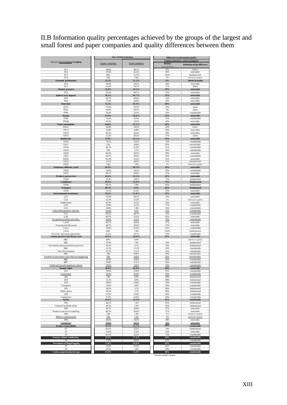II.B Information quality percentages achieved by the groups of the largest and small forest and paper companies and quality differences between them

|                                                  | Size-related evaluation |                 | Difference in information quality<br>Largest companies // Small companies |                                  |  |  |
|--------------------------------------------------|-------------------------|-----------------|---------------------------------------------------------------------------|----------------------------------|--|--|
| Indicator/Sub-Grouping/Grouping                  | Largest companies       | Small companies | <b>Relative</b><br>(worse than)                                           | Definition of the difference     |  |  |
| EC1                                              | 44,4%                   | 48,1%           | 8%                                                                        | minor                            |  |  |
| EC2                                              | 37,0%                   | 22,2%           | 40%                                                                       | noticeable                       |  |  |
| EC3<br>EC4                                       | 0,0%<br>7,4%            | 11,1%<br>7,4%   | 100%<br>0%                                                                | fundamental<br>identical quality |  |  |
| <b>Economic performance</b>                      | 22,2%                   | 22,2%           | $0\%$                                                                     | identical quality                |  |  |
| EC6                                              | 29.6%                   | 18,5%           | 38%                                                                       | noticeable                       |  |  |
| EC7<br><b>Market</b> presence                    | 22,2%<br>25,9%          | 18,5%<br>18,5%  | 17%<br>29%                                                                | minor<br>noticeable              |  |  |
| EC8                                              | 59,3%                   | 40,7%           | 31%                                                                       | noticeable                       |  |  |
| Indirect econ. impacts                           | 59,3%                   | 40,7%           | 31%                                                                       | noticeable                       |  |  |
| <b>EN1</b><br>EN <sub>2</sub>                    | 66,7%<br>77,8%          | 44,4%<br>44,4%  | 33%<br>43%                                                                | noticeable<br>noticeable         |  |  |
| <b>Materials</b>                                 | 72,2%                   | 44,4%           | 38%                                                                       | noticeable                       |  |  |
| EN3s                                             | 70,4%                   | 59,3%           | 16%                                                                       | minor                            |  |  |
| EN5s                                             | 63,0%                   | 59,3%           | 6%                                                                        | minor                            |  |  |
| EN6n<br><b>Energy</b>                            | 70,4%<br>67,9%          | 33,3%<br>50,6%  | 53%<br>25%                                                                | considerable<br>noticeable       |  |  |
| EN8s                                             | 70,4%                   | 33,3%           | 53%                                                                       | considerable                     |  |  |
| EN10n                                            | 59,3%                   | 33,3%           | 44%                                                                       | noticeable                       |  |  |
| <b>Water consumption</b><br><b>EN11s</b>         | 64,8%<br>14,8%          | 33,3%<br>18,5%  | 49%<br>20%                                                                | noticeable<br>minor              |  |  |
| EN13                                             | 25,9%                   | 14,8%           | 43%                                                                       | noticeable                       |  |  |
| EN14                                             | 85,2%                   | 44,4%           | 48%                                                                       | noticeable                       |  |  |
| EN15<br><b>Biodiversity</b>                      | 22.2%<br>37,0%          | 18,5%<br>24,1%  | 17%<br>35%                                                                | minor<br>noticeable              |  |  |
| <b>EN16</b>                                      | 74,1%                   | 33,3%           | 55%                                                                       | considerable                     |  |  |
| EN17                                             | 7,4%                    | 14,8%           | 50%                                                                       | considerable                     |  |  |
| EN18                                             | 66,7%                   | 25,9%           | 61%                                                                       | considerable                     |  |  |
| EN19<br><b>EN20</b>                              | 7,4%<br>85,2%           | 3,7%<br>59,3%   | 50%<br>30%                                                                | considerable<br>noticeable       |  |  |
| EN21                                             | 66,7%                   | 29,6%           | 56%                                                                       | considerable                     |  |  |
| <b>EN22s</b><br><b>EN23</b>                      | 81,5%<br>11.1%          | 55,6%<br>44.4%  | 32%<br>75%                                                                | noticeable                       |  |  |
| <b>EN25</b>                                      | 7,4%                    | 7,4%            | 0%                                                                        | fundamental<br>identical quality |  |  |
| Emissions, effluents, waste                      | 45,3%                   | 30,5%           | 33%                                                                       | noticeable                       |  |  |
| <b>EN26</b>                                      | 44,4%                   | 18,5%           | 58%                                                                       | considerable                     |  |  |
| EN27<br><b>Products and services</b>             | 40,7%                   | 29,6%           | 27%                                                                       | noticeable<br>noticeable         |  |  |
| <b>EN28</b>                                      | 42,6%<br>59,3%          | 24,1%<br>14,8%  | 43%<br>75%                                                                | fundamental                      |  |  |
| Compliance                                       | 59,3%                   | 14,8%           | 75%                                                                       | fundamental                      |  |  |
| <b>EN29</b>                                      | 40,7%                   | 7,4%            | 82%                                                                       | fundamental                      |  |  |
| <b>Transport</b><br><b>EN30</b>                  | 40,7%<br>74,1%          | 7,4%<br>55,6%   | 82%<br>25%                                                                | fundamental<br>noticeable        |  |  |
| <b>Environmental investments</b>                 | 74,1%                   | 55,6%           | 25%                                                                       | noticeable                       |  |  |
| LA1                                              | 70,4%                   | 48,1%           | 32%                                                                       | noticeable                       |  |  |
| LA <sub>2</sub><br>Employment                    | 22,2%<br>46,3%          | 22,2%<br>35,2%  | 0%<br>24%                                                                 | identical quality<br>noticeable  |  |  |
| LA4                                              | 25,9%                   | 11,1%           | 57%                                                                       | considerable                     |  |  |
| LA5                                              | 14,8%                   | 7,4%            | 50%                                                                       | considerable                     |  |  |
| Labour/Management relations<br>LA7               | 20,4%<br>85,2%          | 9,3%<br>40,7%   | 55%<br>52%                                                                | considerable<br>considerable     |  |  |
| LA8                                              | 40,7%                   | 22,2%           | 45%                                                                       | noticeable                       |  |  |
| Occupational health and safety                   | 63,0%                   | 31,5%           | 50%                                                                       | considerable                     |  |  |
| LA10                                             | 40,7%                   | 29,6%           | 27%                                                                       | noticeable                       |  |  |
| Training and education<br>LA13                   | 40,7%<br>70,4%          | 29,6%<br>25,9%  | 27%<br>63%                                                                | noticeable<br>considerable       |  |  |
| LA14                                             | 0,0%                    | 7,4%            | 100%                                                                      | fundamental                      |  |  |
| Diversity and equal opportunity                  | 35.2%<br>41,1%          | 16,7%           | 53%<br>41%                                                                | considerable<br>noticeable       |  |  |
| <b>Labour practices and decent work</b><br>HR1   | 0,0%                    | 24,4%<br>0,0%   |                                                                           | identical quality                |  |  |
| HR <sub>2</sub>                                  | 33,3%                   | 7,4%            | 78%                                                                       | fundamental                      |  |  |
| Investment and procurement practices             | 16,7%                   | 3,7%            | 78%                                                                       | fundamental                      |  |  |
| HR4<br>Non-Dicrimination                         | 22,2%<br>22.2%          | 11,1%<br>11,1%  | 50%<br>50%                                                                | considerable<br>considerable     |  |  |
| HR5                                              | 7,4%                    | 14,8%           | 50%                                                                       | considerable                     |  |  |
| Freedom of association and collective bargaining | 7,4%                    | 14,8%           | 50%                                                                       | considerable                     |  |  |
| HR6<br>HR7                                       | 29.6%<br>29.6%          | 14,8%<br>11,1%  | 50%<br>63%                                                                | considerable<br>considerable     |  |  |
| Child and forced/compulsory labour               | 29,6%                   | 13,0%           | 56%                                                                       | considerable                     |  |  |
| <b>Human</b> rights                              | 19,0%                   | 10.6%           | 44%                                                                       | noticeable                       |  |  |
| SO1<br>Community                                 | 70,4%<br>70,4%          | 25,9%<br>25,9%  | 63%<br>63%                                                                | considerable<br>considerable     |  |  |
| SO <sub>2</sub>                                  | 7,4%                    | 0,0%            | 100%                                                                      | fundamental                      |  |  |
| SO <sub>3</sub>                                  | 11,1%                   | 0,0%            | 100%                                                                      | fundamental                      |  |  |
| SO <sub>4</sub><br>Corruption                    | 29,6%<br>16,0%          | 14,8%<br>4,9%   | 50%<br>69%                                                                | considerable<br>considerable     |  |  |
| SO <sub>5</sub>                                  | 18,5%                   | 3,7%            | 80%                                                                       | fundamental                      |  |  |
| Public policy                                    | 18,5%                   | 3,7%            | 80%                                                                       | fundamental                      |  |  |
| SO <sub>8</sub><br>Compliance                    | 37,0%<br>37,0%          | 14,8%<br>14,8%  | 60%<br>60%                                                                | considerable<br>considerable     |  |  |
| Society                                          | 35,5%                   | 12,3%           | 65%                                                                       | considerable                     |  |  |
| PR1                                              | 48,1%                   | 7,4%            | 85%                                                                       | fundamental                      |  |  |
| Customer health & safety                         | 48,1%                   | 7,4%            | 85%                                                                       | fundamental<br>noticeable        |  |  |
| PR3<br>Products and service labelling            | 40,7%<br>40,7%          | 29,6%<br>29,6%  | 27%<br>27%                                                                | noticeable                       |  |  |
| PR <sub>6</sub>                                  | 7,4%                    | 7,4%            | 0%                                                                        | identical quality                |  |  |
| Market communication                             | 7,4%                    | 7,4%<br>18,5%   | 0%                                                                        | identical quality                |  |  |
| PR9<br>Compliance                                | 29,6%<br>29,6%          | 18,5%           | 38%<br>38%                                                                | noticeable<br>noticeable         |  |  |
| <b>Product responsibility</b>                    | 31,5%                   | 15,7%           | 50%                                                                       | considerable                     |  |  |
| F1                                               | 85,2%                   | 22,2%           | 74%                                                                       | fundamental                      |  |  |
| F2<br>F3                                         | 55,6%<br>81,5%          | 37,0%<br>22,2%  | 33%<br>73%                                                                | noticeable<br>considerable       |  |  |
| Forestry-related certification                   | 74,1%                   | 27,2%           | 63%                                                                       | considerable                     |  |  |
| F <sub>4</sub>                                   | 77,8%                   | 29,6%           | 62%                                                                       | considerable                     |  |  |
| Prevention of illegal logging<br>F5              | 77,8%<br>55,6%          | 29,6%<br>22,2%  | 62%<br>60%                                                                | considerable<br>considerable     |  |  |
| F <sub>6</sub>                                   | 18,5%                   | 7,4%            | 60%                                                                       | considerable                     |  |  |
| Carbon sequestration/storage                     | 37,0%                   | 14,8%           | 60%                                                                       | considerable                     |  |  |

\*cursive: small > largest